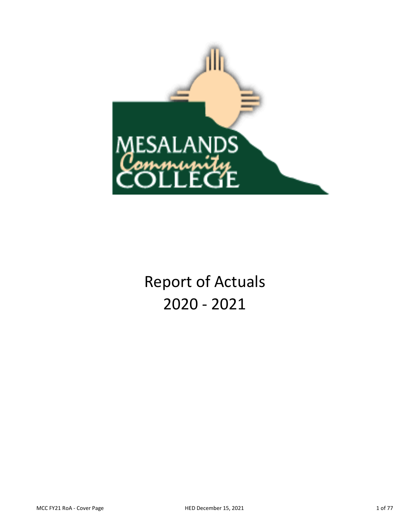

Report of Actuals 2020 ‐ 2021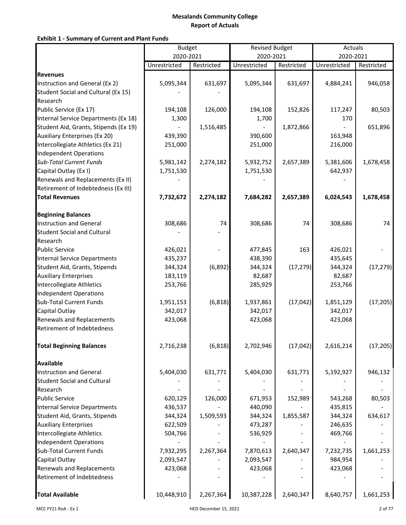## **Exhibit 1 ‐ Summary of Current and Plant Funds**

|                                       | <b>Budget</b> |            | <b>Revised Budget</b> |            | Actuals      |            |
|---------------------------------------|---------------|------------|-----------------------|------------|--------------|------------|
|                                       | 2020-2021     |            | 2020-2021             |            | 2020-2021    |            |
|                                       | Unrestricted  | Restricted | Unrestricted          | Restricted | Unrestricted | Restricted |
| <b>Revenues</b>                       |               |            |                       |            |              |            |
| Instruction and General (Ex 2)        | 5,095,344     | 631,697    | 5,095,344             | 631,697    | 4,884,241    | 946,058    |
| Student Social and Cultural (Ex 15)   |               |            |                       |            |              |            |
| Research                              |               |            |                       |            |              |            |
| Public Service (Ex 17)                | 194,108       | 126,000    | 194,108               | 152,826    | 117,247      | 80,503     |
| Internal Service Departments (Ex 18)  | 1,300         |            | 1,700                 |            | 170          |            |
| Student Aid, Grants, Stipends (Ex 19) |               | 1,516,485  |                       | 1,872,866  |              | 651,896    |
| <b>Auxiliary Enterprises (Ex 20)</b>  | 439,390       |            | 390,600               |            | 163,948      |            |
| Intercollegiate Athletics (Ex 21)     | 251,000       |            | 251,000               |            | 216,000      |            |
| <b>Independent Operations</b>         |               |            |                       |            |              |            |
| <b>Sub-Total Current Funds</b>        | 5,981,142     | 2,274,182  | 5,932,752             | 2,657,389  | 5,381,606    | 1,678,458  |
| Capital Outlay (Ex I)                 | 1,751,530     |            | 1,751,530             |            | 642,937      |            |
| Renewals and Replacements (Ex II)     |               |            |                       |            |              |            |
| Retirement of Indebtedness (Ex III)   |               |            |                       |            |              |            |
| <b>Total Revenues</b>                 | 7,732,672     | 2,274,182  | 7,684,282             | 2,657,389  | 6,024,543    | 1,678,458  |
| <b>Beginning Balances</b>             |               |            |                       |            |              |            |
| <b>Instruction and General</b>        | 308,686       | 74         | 308,686               | 74         | 308,686      | 74         |
| <b>Student Social and Cultural</b>    |               |            |                       |            |              |            |
| Research                              |               |            |                       |            |              |            |
| <b>Public Service</b>                 | 426,021       |            | 477,845               | 163        | 426,021      |            |
| <b>Internal Service Departments</b>   | 435,237       |            | 438,390               |            | 435,645      |            |
| Student Aid, Grants, Stipends         | 344,324       | (6, 892)   | 344,324               | (17, 279)  | 344,324      | (17, 279)  |
| <b>Auxiliary Enterprises</b>          | 183,119       |            | 82,687                |            | 82,687       |            |
| Intercollegiate Athletics             | 253,766       |            | 285,929               |            | 253,766      |            |
| <b>Independent Operations</b>         |               |            |                       |            |              |            |
| Sub-Total Current Funds               | 1,951,153     | (6, 818)   | 1,937,861             | (17, 042)  | 1,851,129    | (17, 205)  |
| Capital Outlay                        | 342,017       |            | 342,017               |            | 342,017      |            |
| <b>Renewals and Replacements</b>      | 423,068       |            | 423,068               |            | 423,068      |            |
| Retirement of Indebtedness            |               |            |                       |            |              |            |
| <b>Total Beginning Balances</b>       | 2,716,238     | (6, 818)   | 2,702,946             | (17, 042)  | 2,616,214    | (17, 205)  |
| <b>Available</b>                      |               |            |                       |            |              |            |
| <b>Instruction and General</b>        | 5,404,030     | 631,771    | 5,404,030             | 631,771    | 5,192,927    | 946,132    |
| <b>Student Social and Cultural</b>    |               |            |                       |            |              |            |
| Research                              |               |            |                       |            |              |            |
| <b>Public Service</b>                 | 620,129       | 126,000    | 671,953               | 152,989    | 543,268      | 80,503     |
| <b>Internal Service Departments</b>   | 436,537       |            | 440,090               |            | 435,815      |            |
| Student Aid, Grants, Stipends         | 344,324       | 1,509,593  | 344,324               | 1,855,587  | 344,324      | 634,617    |
| <b>Auxiliary Enterprises</b>          | 622,509       |            | 473,287               |            | 246,635      |            |
| Intercollegiate Athletics             | 504,766       |            | 536,929               |            | 469,766      |            |
| <b>Independent Operations</b>         |               |            |                       |            |              |            |
| <b>Sub-Total Current Funds</b>        | 7,932,295     | 2,267,364  | 7,870,613             | 2,640,347  | 7,232,735    | 1,661,253  |
| Capital Outlay                        | 2,093,547     |            | 2,093,547             |            | 984,954      |            |
| Renewals and Replacements             | 423,068       |            | 423,068               |            | 423,068      |            |
| Retirement of Indebtedness            |               |            |                       |            |              |            |
| <b>Total Available</b>                | 10,448,910    | 2,267,364  | 10,387,228            | 2,640,347  | 8,640,757    | 1,661,253  |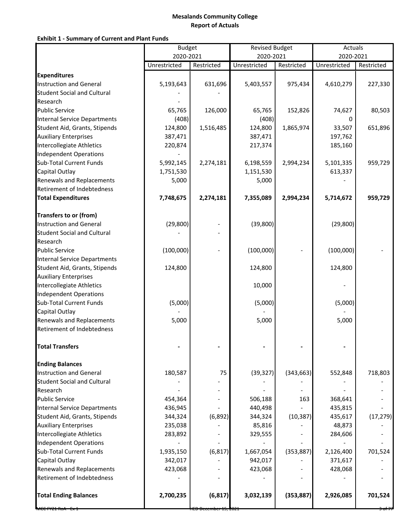## **Exhibit 1 ‐ Summary of Current and Plant Funds**

|                                     |              | <b>Budget</b> |              | <b>Revised Budget</b> |              | Actuals    |  |
|-------------------------------------|--------------|---------------|--------------|-----------------------|--------------|------------|--|
|                                     | 2020-2021    |               | 2020-2021    |                       | 2020-2021    |            |  |
|                                     | Unrestricted | Restricted    | Unrestricted | Restricted            | Unrestricted | Restricted |  |
| <b>Expenditures</b>                 |              |               |              |                       |              |            |  |
| <b>Instruction and General</b>      | 5,193,643    | 631,696       | 5,403,557    | 975,434               | 4,610,279    | 227,330    |  |
| <b>Student Social and Cultural</b>  |              |               |              |                       |              |            |  |
| Research                            |              |               |              |                       |              |            |  |
| <b>Public Service</b>               | 65,765       | 126,000       | 65,765       | 152,826               | 74,627       | 80,503     |  |
| <b>Internal Service Departments</b> | (408)        |               | (408)        |                       | 0            |            |  |
| Student Aid, Grants, Stipends       | 124,800      | 1,516,485     | 124,800      | 1,865,974             | 33,507       | 651,896    |  |
| <b>Auxiliary Enterprises</b>        | 387,471      |               | 387,471      |                       | 197,762      |            |  |
| Intercollegiate Athletics           | 220,874      |               | 217,374      |                       | 185,160      |            |  |
| Independent Operations              |              |               |              |                       |              |            |  |
| <b>Sub-Total Current Funds</b>      | 5,992,145    | 2,274,181     | 6,198,559    | 2,994,234             | 5,101,335    | 959,729    |  |
| Capital Outlay                      | 1,751,530    |               | 1,151,530    |                       | 613,337      |            |  |
| <b>Renewals and Replacements</b>    | 5,000        |               | 5,000        |                       |              |            |  |
| Retirement of Indebtedness          |              |               |              |                       |              |            |  |
| <b>Total Expenditures</b>           | 7,748,675    | 2,274,181     | 7,355,089    | 2,994,234             | 5,714,672    | 959,729    |  |
| <b>Transfers to or (from)</b>       |              |               |              |                       |              |            |  |
| <b>Instruction and General</b>      | (29, 800)    |               | (39, 800)    |                       | (29, 800)    |            |  |
| <b>Student Social and Cultural</b>  |              |               |              |                       |              |            |  |
| Research                            |              |               |              |                       |              |            |  |
| <b>Public Service</b>               | (100,000)    |               | (100,000)    |                       | (100,000)    |            |  |
| <b>Internal Service Departments</b> |              |               |              |                       |              |            |  |
| Student Aid, Grants, Stipends       | 124,800      |               | 124,800      |                       | 124,800      |            |  |
| <b>Auxiliary Enterprises</b>        |              |               |              |                       |              |            |  |
| Intercollegiate Athletics           |              |               | 10,000       |                       |              |            |  |
| Independent Operations              |              |               |              |                       |              |            |  |
| <b>Sub-Total Current Funds</b>      | (5,000)      |               | (5,000)      |                       | (5,000)      |            |  |
| Capital Outlay                      |              |               |              |                       |              |            |  |
| <b>Renewals and Replacements</b>    | 5,000        |               | 5,000        |                       | 5,000        |            |  |
| <b>Retirement of Indebtedness</b>   |              |               |              |                       |              |            |  |
| <b>Total Transfers</b>              |              |               |              |                       |              |            |  |
| <b>Ending Balances</b>              |              |               |              |                       |              |            |  |
| <b>Instruction and General</b>      | 180,587      | 75            | (39, 327)    | (343, 663)            | 552,848      | 718,803    |  |
| <b>Student Social and Cultural</b>  |              |               |              |                       |              |            |  |
| Research                            |              |               |              |                       |              |            |  |
| <b>Public Service</b>               | 454,364      |               | 506,188      | 163                   | 368,641      |            |  |
| <b>Internal Service Departments</b> | 436,945      |               | 440,498      |                       | 435,815      |            |  |
| Student Aid, Grants, Stipends       | 344,324      | (6, 892)      | 344,324      | (10, 387)             | 435,617      | (17, 279)  |  |
| <b>Auxiliary Enterprises</b>        | 235,038      |               | 85,816       |                       | 48,873       |            |  |
| Intercollegiate Athletics           | 283,892      |               | 329,555      |                       | 284,606      |            |  |
| Independent Operations              |              |               |              |                       |              |            |  |
| <b>Sub-Total Current Funds</b>      | 1,935,150    | (6, 817)      | 1,667,054    | (353, 887)            | 2,126,400    | 701,524    |  |
| Capital Outlay                      | 342,017      |               | 942,017      |                       | 371,617      |            |  |
| <b>Renewals and Replacements</b>    | 423,068      |               | 423,068      |                       | 428,068      |            |  |
| Retirement of Indebtedness          |              |               |              |                       |              |            |  |
| <b>Total Ending Balances</b>        | 2,700,235    | (6, 817)      | 3,032,139    | (353, 887)            | 2,926,085    | 701,524    |  |
|                                     |              |               |              |                       |              |            |  |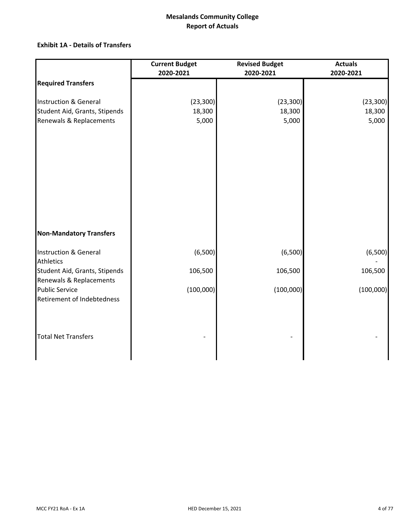## **Exhibit 1A ‐ Details of Transfers**

|                                | <b>Current Budget</b> | <b>Revised Budget</b> |           |
|--------------------------------|-----------------------|-----------------------|-----------|
|                                | 2020-2021             | 2020-2021             | 2020-2021 |
| <b>Required Transfers</b>      |                       |                       |           |
| Instruction & General          | (23, 300)             | (23, 300)             | (23, 300) |
| Student Aid, Grants, Stipends  | 18,300                | 18,300                | 18,300    |
| Renewals & Replacements        | 5,000                 | 5,000                 | 5,000     |
|                                |                       |                       |           |
|                                |                       |                       |           |
|                                |                       |                       |           |
|                                |                       |                       |           |
|                                |                       |                       |           |
|                                |                       |                       |           |
|                                |                       |                       |           |
|                                |                       |                       |           |
|                                |                       |                       |           |
|                                |                       |                       |           |
| <b>Non-Mandatory Transfers</b> |                       |                       |           |
| Instruction & General          | (6,500)               | (6,500)               | (6,500)   |
| Athletics                      |                       |                       |           |
| Student Aid, Grants, Stipends  | 106,500               | 106,500               | 106,500   |
| Renewals & Replacements        |                       |                       |           |
| <b>Public Service</b>          | (100,000)             | (100,000)             | (100,000) |
| Retirement of Indebtedness     |                       |                       |           |
|                                |                       |                       |           |
|                                |                       |                       |           |
| <b>Total Net Transfers</b>     |                       |                       |           |
|                                |                       |                       |           |
|                                |                       |                       |           |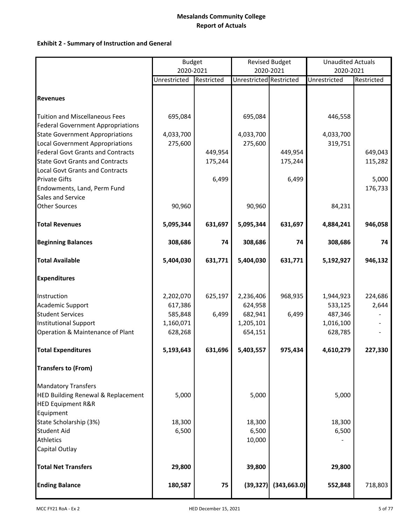### **Exhibit 2 ‐ Summary of Instruction and General**

|                                                                                   | <b>Budget</b> |            | <b>Revised Budget</b>   |              | <b>Unaudited Actuals</b> |            |
|-----------------------------------------------------------------------------------|---------------|------------|-------------------------|--------------|--------------------------|------------|
|                                                                                   | 2020-2021     |            |                         | 2020-2021    | 2020-2021                |            |
|                                                                                   | Unrestricted  | Restricted | Unrestricted Restricted |              | Unrestricted             | Restricted |
| <b>Revenues</b>                                                                   |               |            |                         |              |                          |            |
| <b>Tuition and Miscellaneous Fees</b><br><b>Federal Government Appropriations</b> | 695,084       |            | 695,084                 |              | 446,558                  |            |
| <b>State Government Appropriations</b>                                            | 4,033,700     |            | 4,033,700               |              | 4,033,700                |            |
| <b>Local Government Appropriations</b>                                            | 275,600       |            | 275,600                 |              | 319,751                  |            |
| <b>Federal Govt Grants and Contracts</b>                                          |               | 449,954    |                         | 449,954      |                          | 649,043    |
| <b>State Govt Grants and Contracts</b>                                            |               | 175,244    |                         | 175,244      |                          | 115,282    |
| <b>Local Govt Grants and Contracts</b>                                            |               |            |                         |              |                          |            |
| <b>Private Gifts</b>                                                              |               | 6,499      |                         | 6,499        |                          | 5,000      |
| Endowments, Land, Perm Fund                                                       |               |            |                         |              |                          | 176,733    |
| Sales and Service                                                                 |               |            |                         |              |                          |            |
| <b>Other Sources</b>                                                              | 90,960        |            | 90,960                  |              | 84,231                   |            |
| <b>Total Revenues</b>                                                             | 5,095,344     | 631,697    | 5,095,344               | 631,697      | 4,884,241                | 946,058    |
| <b>Beginning Balances</b>                                                         | 308,686       | 74         | 308,686                 | 74           | 308,686                  | 74         |
| <b>Total Available</b>                                                            | 5,404,030     | 631,771    | 5,404,030               | 631,771      | 5,192,927                | 946,132    |
| <b>Expenditures</b>                                                               |               |            |                         |              |                          |            |
| Instruction                                                                       | 2,202,070     | 625,197    | 2,236,406               | 968,935      | 1,944,923                | 224,686    |
| <b>Academic Support</b>                                                           | 617,386       |            | 624,958                 |              | 533,125                  | 2,644      |
| <b>Student Services</b>                                                           | 585,848       | 6,499      | 682,941                 | 6,499        | 487,346                  |            |
| <b>Institutional Support</b>                                                      | 1,160,071     |            | 1,205,101               |              | 1,016,100                |            |
| Operation & Maintenance of Plant                                                  | 628,268       |            | 654,151                 |              | 628,785                  |            |
| <b>Total Expenditures</b>                                                         | 5,193,643     | 631,696    | 5,403,557               | 975,434      | 4,610,279                | 227,330    |
| <b>Transfers to (From)</b>                                                        |               |            |                         |              |                          |            |
| <b>Mandatory Transfers</b>                                                        |               |            |                         |              |                          |            |
| <b>HED Building Renewal &amp; Replacement</b>                                     | 5,000         |            | 5,000                   |              | 5,000                    |            |
| <b>HED Equipment R&amp;R</b>                                                      |               |            |                         |              |                          |            |
| Equipment                                                                         |               |            |                         |              |                          |            |
| State Scholarship (3%)                                                            | 18,300        |            | 18,300                  |              | 18,300                   |            |
| <b>Student Aid</b>                                                                | 6,500         |            | 6,500                   |              | 6,500                    |            |
| <b>Athletics</b>                                                                  |               |            | 10,000                  |              |                          |            |
| Capital Outlay                                                                    |               |            |                         |              |                          |            |
| <b>Total Net Transfers</b>                                                        | 29,800        |            | 39,800                  |              | 29,800                   |            |
| <b>Ending Balance</b>                                                             | 180,587       | 75         | (39, 327)               | (343, 663.0) | 552,848                  | 718,803    |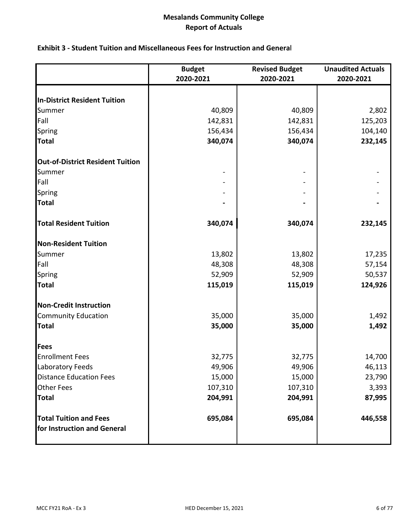|  |  |  | <b>Exhibit 3 - Student Tuition and Miscellaneous Fees for Instruction and General</b> |  |  |  |
|--|--|--|---------------------------------------------------------------------------------------|--|--|--|
|--|--|--|---------------------------------------------------------------------------------------|--|--|--|

|                                         | <b>Budget</b> | <b>Revised Budget</b> | <b>Unaudited Actuals</b> |
|-----------------------------------------|---------------|-----------------------|--------------------------|
|                                         | 2020-2021     | 2020-2021             | 2020-2021                |
|                                         |               |                       |                          |
| <b>In-District Resident Tuition</b>     |               |                       |                          |
| Summer                                  | 40,809        | 40,809                | 2,802                    |
| Fall                                    | 142,831       | 142,831               | 125,203                  |
| Spring                                  | 156,434       | 156,434               | 104,140                  |
| <b>Total</b>                            | 340,074       | 340,074               | 232,145                  |
| <b>Out-of-District Resident Tuition</b> |               |                       |                          |
| Summer                                  |               |                       |                          |
| Fall                                    |               |                       |                          |
| Spring                                  |               |                       |                          |
| <b>Total</b>                            |               |                       |                          |
| <b>Total Resident Tuition</b>           | 340,074       | 340,074               | 232,145                  |
| <b>Non-Resident Tuition</b>             |               |                       |                          |
| Summer                                  | 13,802        | 13,802                | 17,235                   |
| Fall                                    | 48,308        | 48,308                | 57,154                   |
| Spring                                  | 52,909        | 52,909                | 50,537                   |
| <b>Total</b>                            | 115,019       | 115,019               | 124,926                  |
| <b>Non-Credit Instruction</b>           |               |                       |                          |
| <b>Community Education</b>              | 35,000        | 35,000                | 1,492                    |
| <b>Total</b>                            | 35,000        | 35,000                | 1,492                    |
| Fees                                    |               |                       |                          |
| <b>Enrollment Fees</b>                  | 32,775        | 32,775                | 14,700                   |
| Laboratory Feeds                        | 49,906        | 49,906                | 46,113                   |
| <b>Distance Education Fees</b>          | 15,000        | 15,000                | 23,790                   |
| <b>Other Fees</b>                       | 107,310       | 107,310               | 3,393                    |
| <b>Total</b>                            | 204,991       | 204,991               | 87,995                   |
| <b>Total Tuition and Fees</b>           | 695,084       | 695,084               | 446,558                  |
| for Instruction and General             |               |                       |                          |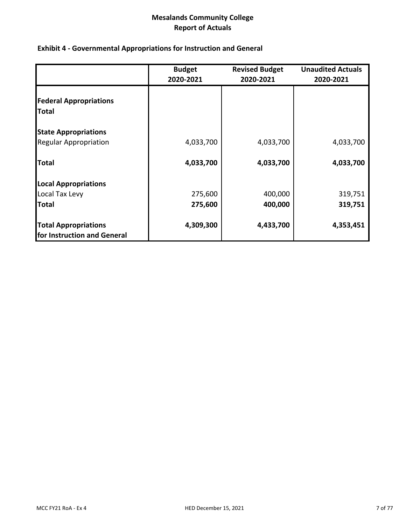# **Exhibit 4 ‐ Governmental Appropriations for Instruction and General**

|                                                            | <b>Budget</b><br>2020-2021 | <b>Revised Budget</b><br>2020-2021 | <b>Unaudited Actuals</b><br>2020-2021 |
|------------------------------------------------------------|----------------------------|------------------------------------|---------------------------------------|
| <b>Federal Appropriations</b><br><b>Total</b>              |                            |                                    |                                       |
| <b>State Appropriations</b>                                |                            |                                    |                                       |
| <b>Regular Appropriation</b>                               | 4,033,700                  | 4,033,700                          | 4,033,700                             |
| <b>Total</b>                                               | 4,033,700                  | 4,033,700                          | 4,033,700                             |
| <b>Local Appropriations</b>                                |                            |                                    |                                       |
| Local Tax Levy                                             | 275,600                    | 400,000                            | 319,751                               |
| <b>Total</b>                                               | 275,600                    | 400,000                            | 319,751                               |
| <b>Total Appropriations</b><br>for Instruction and General | 4,309,300                  | 4,433,700                          | 4,353,451                             |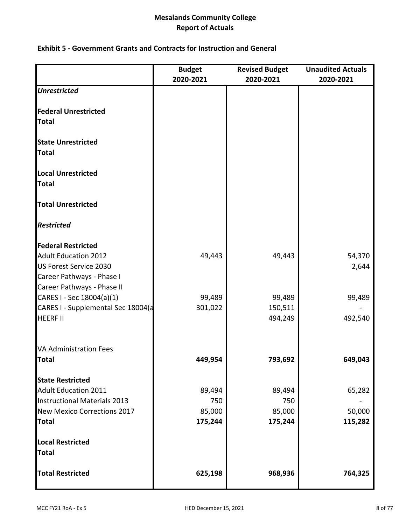## **Exhibit 5 ‐ Government Grants and Contracts for Instruction and General**

|                                           | <b>Budget</b><br>2020-2021 | <b>Revised Budget</b><br>2020-2021 | <b>Unaudited Actuals</b><br>2020-2021 |
|-------------------------------------------|----------------------------|------------------------------------|---------------------------------------|
| <b>Unrestricted</b>                       |                            |                                    |                                       |
|                                           |                            |                                    |                                       |
| <b>Federal Unrestricted</b>               |                            |                                    |                                       |
| <b>Total</b>                              |                            |                                    |                                       |
| <b>State Unrestricted</b><br><b>Total</b> |                            |                                    |                                       |
| <b>Local Unrestricted</b>                 |                            |                                    |                                       |
| <b>Total</b>                              |                            |                                    |                                       |
| <b>Total Unrestricted</b>                 |                            |                                    |                                       |
| <b>Restricted</b>                         |                            |                                    |                                       |
| <b>Federal Restricted</b>                 |                            |                                    |                                       |
| <b>Adult Education 2012</b>               | 49,443                     | 49,443                             | 54,370                                |
| US Forest Service 2030                    |                            |                                    | 2,644                                 |
| Career Pathways - Phase I                 |                            |                                    |                                       |
| Career Pathways - Phase II                |                            |                                    |                                       |
| CARES I - Sec 18004(a)(1)                 | 99,489                     | 99,489                             | 99,489                                |
| CARES I - Supplemental Sec 18004(a        | 301,022                    | 150,511                            |                                       |
| <b>HEERF II</b>                           |                            | 494,249                            | 492,540                               |
| <b>VA Administration Fees</b>             |                            |                                    |                                       |
| <b>Total</b>                              | 449,954                    | 793,692                            | 649,043                               |
| <b>State Restricted</b>                   |                            |                                    |                                       |
| <b>Adult Education 2011</b>               | 89,494                     | 89,494                             | 65,282                                |
| <b>Instructional Materials 2013</b>       | 750                        | 750                                |                                       |
| New Mexico Corrections 2017               | 85,000                     | 85,000                             | 50,000                                |
| <b>Total</b>                              | 175,244                    | 175,244                            | 115,282                               |
| <b>Local Restricted</b>                   |                            |                                    |                                       |
| <b>Total</b>                              |                            |                                    |                                       |
| <b>Total Restricted</b>                   | 625,198                    | 968,936                            | 764,325                               |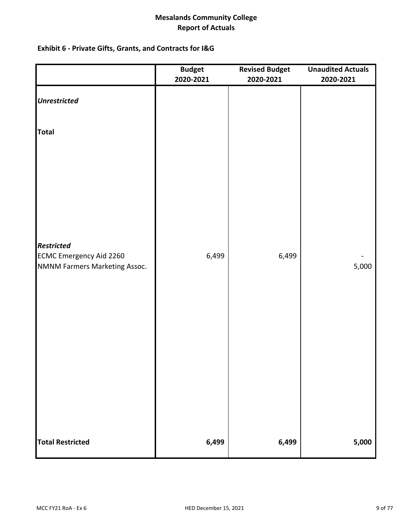# **Exhibit 6 ‐ Private Gifts, Grants, and Contracts for I&G**

|                                                     | <b>Budget</b><br>2020-2021 | <b>Revised Budget</b><br>2020-2021 | <b>Unaudited Actuals</b><br>2020-2021 |
|-----------------------------------------------------|----------------------------|------------------------------------|---------------------------------------|
| <b>Unrestricted</b>                                 |                            |                                    |                                       |
| <b>Total</b>                                        |                            |                                    |                                       |
|                                                     |                            |                                    |                                       |
| <b>Restricted</b><br><b>ECMC Emergency Aid 2260</b> | 6,499                      | 6,499                              |                                       |
| NMNM Farmers Marketing Assoc.                       |                            |                                    | 5,000                                 |
|                                                     |                            |                                    |                                       |
|                                                     |                            |                                    |                                       |
|                                                     |                            |                                    |                                       |
| <b>Total Restricted</b>                             | 6,499                      | 6,499                              | 5,000                                 |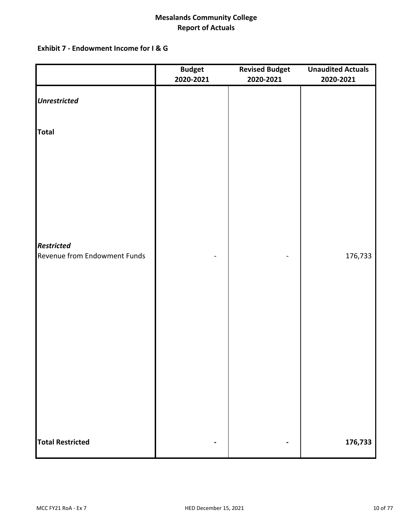## **Exhibit 7 ‐ Endowment Income for I & G**

|                                                   | <b>Budget</b><br>2020-2021 | <b>Revised Budget</b><br>2020-2021 | <b>Unaudited Actuals</b><br>2020-2021 |
|---------------------------------------------------|----------------------------|------------------------------------|---------------------------------------|
| <b>Unrestricted</b>                               |                            |                                    |                                       |
| <b>Total</b>                                      |                            |                                    |                                       |
|                                                   |                            |                                    |                                       |
|                                                   |                            |                                    |                                       |
|                                                   |                            |                                    |                                       |
|                                                   |                            |                                    |                                       |
| <b>Restricted</b><br>Revenue from Endowment Funds |                            |                                    | 176,733                               |
|                                                   |                            |                                    |                                       |
|                                                   |                            |                                    |                                       |
|                                                   |                            |                                    |                                       |
|                                                   |                            |                                    |                                       |
|                                                   |                            |                                    |                                       |
|                                                   |                            |                                    |                                       |
|                                                   |                            |                                    |                                       |
| <b>Total Restricted</b>                           |                            |                                    | 176,733                               |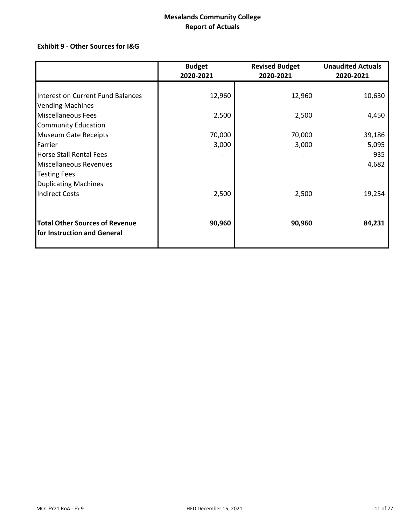# **Exhibit 9 ‐ Other Sources for I&G**

|                                       | <b>Budget</b><br>2020-2021 | <b>Revised Budget</b><br>2020-2021 | <b>Unaudited Actuals</b><br>2020-2021 |
|---------------------------------------|----------------------------|------------------------------------|---------------------------------------|
|                                       |                            |                                    |                                       |
| Interest on Current Fund Balances     | 12,960                     | 12,960                             | 10,630                                |
| <b>Vending Machines</b>               |                            |                                    |                                       |
| <b>Miscellaneous Fees</b>             | 2,500                      | 2,500                              | 4,450                                 |
| <b>Community Education</b>            |                            |                                    |                                       |
| <b>Museum Gate Receipts</b>           | 70,000                     | 70,000                             | 39,186                                |
| Farrier                               | 3,000                      | 3,000                              | 5,095                                 |
| <b>Horse Stall Rental Fees</b>        |                            |                                    | 935                                   |
| Miscellaneous Revenues                |                            |                                    | 4,682                                 |
| <b>Testing Fees</b>                   |                            |                                    |                                       |
| <b>Duplicating Machines</b>           |                            |                                    |                                       |
| <b>Indirect Costs</b>                 | 2,500                      | 2,500                              | 19,254                                |
| <b>Total Other Sources of Revenue</b> | 90,960                     | 90,960                             | 84,231                                |
| for Instruction and General           |                            |                                    |                                       |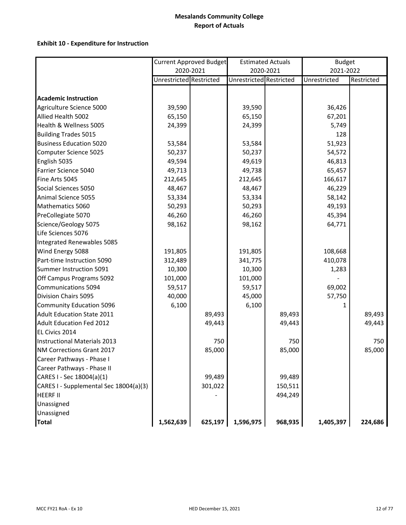|                                        |                         | <b>Current Approved Budget</b> |                         | <b>Estimated Actuals</b> | <b>Budget</b> |            |
|----------------------------------------|-------------------------|--------------------------------|-------------------------|--------------------------|---------------|------------|
|                                        |                         | 2020-2021                      |                         | 2020-2021                | 2021-2022     |            |
|                                        | Unrestricted Restricted |                                | Unrestricted Restricted |                          | Unrestricted  | Restricted |
| <b>Academic Instruction</b>            |                         |                                |                         |                          |               |            |
| Agriculture Science 5000               | 39,590                  |                                | 39,590                  |                          | 36,426        |            |
| Allied Health 5002                     | 65,150                  |                                | 65,150                  |                          | 67,201        |            |
| Health & Wellness 5005                 |                         |                                |                         |                          |               |            |
|                                        | 24,399                  |                                | 24,399                  |                          | 5,749         |            |
| <b>Building Trades 5015</b>            |                         |                                |                         |                          | 128           |            |
| <b>Business Education 5020</b>         | 53,584                  |                                | 53,584                  |                          | 51,923        |            |
| Computer Science 5025                  | 50,237                  |                                | 50,237                  |                          | 54,572        |            |
| English 5035                           | 49,594                  |                                | 49,619                  |                          | 46,813        |            |
| Farrier Science 5040                   | 49,713                  |                                | 49,738                  |                          | 65,457        |            |
| Fine Arts 5045                         | 212,645                 |                                | 212,645                 |                          | 166,617       |            |
| Social Sciences 5050                   | 48,467                  |                                | 48,467                  |                          | 46,229        |            |
| Animal Science 5055                    | 53,334                  |                                | 53,334                  |                          | 58,142        |            |
| Mathematics 5060                       | 50,293                  |                                | 50,293                  |                          | 49,193        |            |
| PreCollegiate 5070                     | 46,260                  |                                | 46,260                  |                          | 45,394        |            |
| Science/Geology 5075                   | 98,162                  |                                | 98,162                  |                          | 64,771        |            |
| Life Sciences 5076                     |                         |                                |                         |                          |               |            |
| Integrated Renewables 5085             |                         |                                |                         |                          |               |            |
| Wind Energy 5088                       | 191,805                 |                                | 191,805                 |                          | 108,668       |            |
| Part-time Instruction 5090             | 312,489                 |                                | 341,775                 |                          | 410,078       |            |
| Summer Instruction 5091                | 10,300                  |                                | 10,300                  |                          | 1,283         |            |
| Off Campus Programs 5092               | 101,000                 |                                | 101,000                 |                          |               |            |
| Communications 5094                    | 59,517                  |                                | 59,517                  |                          | 69,002        |            |
| Division Chairs 5095                   | 40,000                  |                                | 45,000                  |                          | 57,750        |            |
| <b>Community Education 5096</b>        | 6,100                   |                                | 6,100                   |                          | 1             |            |
| Adult Education State 2011             |                         | 89,493                         |                         | 89,493                   |               | 89,493     |
| <b>Adult Education Fed 2012</b>        |                         | 49,443                         |                         | 49,443                   |               | 49,443     |
| EL Civics 2014                         |                         |                                |                         |                          |               |            |
| Instructional Materials 2013           |                         | 750                            |                         | 750                      |               | 750        |
| NM Corrections Grant 2017              |                         | 85,000                         |                         | 85,000                   |               | 85,000     |
| Career Pathways - Phase I              |                         |                                |                         |                          |               |            |
| Career Pathways - Phase II             |                         |                                |                         |                          |               |            |
| CARES I - Sec 18004(a)(1)              |                         | 99,489                         |                         | 99,489                   |               |            |
| CARES I - Supplemental Sec 18004(a)(3) |                         | 301,022                        |                         | 150,511                  |               |            |
| <b>HEERF II</b>                        |                         |                                |                         | 494,249                  |               |            |
| Unassigned                             |                         |                                |                         |                          |               |            |
| Unassigned                             |                         |                                |                         |                          |               |            |
| <b>Total</b>                           | 1,562,639               | 625,197                        | 1,596,975               | 968,935                  | 1,405,397     | 224,686    |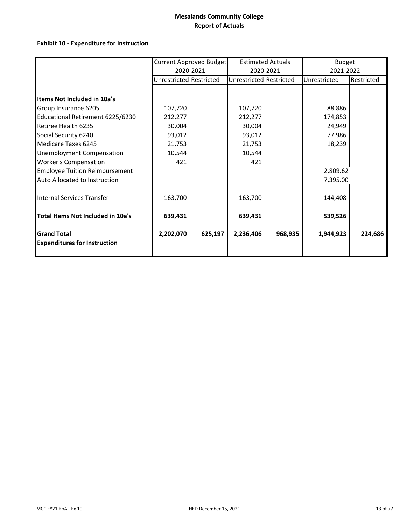|                                       |                         | Current Approved Budget |                         | <b>Estimated Actuals</b> | <b>Budget</b> |            |
|---------------------------------------|-------------------------|-------------------------|-------------------------|--------------------------|---------------|------------|
|                                       |                         | 2020-2021               |                         | 2020-2021                | 2021-2022     |            |
|                                       | Unrestricted Restricted |                         | Unrestricted Restricted |                          | Unrestricted  | Restricted |
|                                       |                         |                         |                         |                          |               |            |
| <b>Items Not Included in 10a's</b>    |                         |                         |                         |                          |               |            |
| Group Insurance 6205                  | 107,720                 |                         | 107,720                 |                          | 88,886        |            |
| Educational Retirement 6225/6230      | 212,277                 |                         | 212,277                 |                          | 174,853       |            |
| Retiree Health 6235                   | 30,004                  |                         | 30,004                  |                          | 24,949        |            |
| Social Security 6240                  | 93,012                  |                         | 93,012                  |                          | 77,986        |            |
| Medicare Taxes 6245                   | 21,753                  |                         | 21,753                  |                          | 18,239        |            |
| <b>Unemployment Compensation</b>      | 10,544                  |                         | 10,544                  |                          |               |            |
| <b>Worker's Compensation</b>          | 421                     |                         | 421                     |                          |               |            |
| <b>Employee Tuition Reimbursement</b> |                         |                         |                         |                          | 2,809.62      |            |
| Auto Allocated to Instruction         |                         |                         |                         |                          | 7,395.00      |            |
|                                       |                         |                         |                         |                          |               |            |
| Internal Services Transfer            | 163,700                 |                         | 163,700                 |                          | 144,408       |            |
|                                       |                         |                         |                         |                          |               |            |
| Total Items Not Included in 10a's     | 639,431                 |                         | 639,431                 |                          | 539,526       |            |
|                                       |                         |                         |                         |                          |               |            |
| <b>Grand Total</b>                    | 2,202,070               | 625,197                 | 2,236,406               | 968,935                  | 1,944,923     | 224,686    |
| <b>Expenditures for Instruction</b>   |                         |                         |                         |                          |               |            |
|                                       |                         |                         |                         |                          |               |            |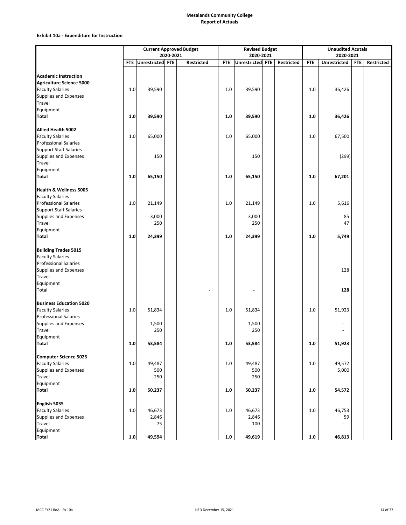|                                 |         |                      |           | <b>Current Approved Budget</b> |            | <b>Revised Budget</b> |            |            | <b>Unaudited Acutals</b> |            |            |
|---------------------------------|---------|----------------------|-----------|--------------------------------|------------|-----------------------|------------|------------|--------------------------|------------|------------|
|                                 |         |                      | 2020-2021 |                                |            | 2020-2021             |            |            | 2020-2021                |            |            |
|                                 |         | FTE Unrestricted FTE |           | Restricted                     | <b>FTE</b> | Unrestricted FTE      | Restricted | <b>FTE</b> | <b>Unrestricted</b>      | <b>FTE</b> | Restricted |
|                                 |         |                      |           |                                |            |                       |            |            |                          |            |            |
| <b>Academic Instruction</b>     |         |                      |           |                                |            |                       |            |            |                          |            |            |
| <b>Agriculture Science 5000</b> |         |                      |           |                                |            |                       |            |            |                          |            |            |
| <b>Faculty Salaries</b>         | 1.0     | 39,590               |           |                                | 1.0        | 39,590                |            | 1.0        | 36,426                   |            |            |
| <b>Supplies and Expenses</b>    |         |                      |           |                                |            |                       |            |            |                          |            |            |
| Travel                          |         |                      |           |                                |            |                       |            |            |                          |            |            |
| Equipment                       |         |                      |           |                                |            |                       |            |            |                          |            |            |
| Total                           | $1.0\,$ | 39,590               |           |                                | 1.0        | 39,590                |            | 1.0        | 36,426                   |            |            |
|                                 |         |                      |           |                                |            |                       |            |            |                          |            |            |
| Allied Health 5002              |         |                      |           |                                |            |                       |            |            |                          |            |            |
| <b>Faculty Salaries</b>         | $1.0\,$ | 65,000               |           |                                | 1.0        | 65,000                |            | 1.0        | 67,500                   |            |            |
| <b>Professional Salaries</b>    |         |                      |           |                                |            |                       |            |            |                          |            |            |
| <b>Support Staff Salaries</b>   |         |                      |           |                                |            |                       |            |            |                          |            |            |
| <b>Supplies and Expenses</b>    |         | 150                  |           |                                |            | 150                   |            |            | (299)                    |            |            |
| Travel                          |         |                      |           |                                |            |                       |            |            |                          |            |            |
| Equipment                       |         |                      |           |                                |            |                       |            |            |                          |            |            |
| <b>Total</b>                    | 1.0     | 65,150               |           |                                | 1.0        | 65,150                |            | 1.0        | 67,201                   |            |            |
|                                 |         |                      |           |                                |            |                       |            |            |                          |            |            |
| Health & Wellness 5005          |         |                      |           |                                |            |                       |            |            |                          |            |            |
| <b>Faculty Salaries</b>         |         |                      |           |                                |            |                       |            |            |                          |            |            |
| <b>Professional Salaries</b>    | $1.0$   | 21,149               |           |                                | 1.0        | 21,149                |            | 1.0        | 5,616                    |            |            |
| <b>Support Staff Salaries</b>   |         |                      |           |                                |            |                       |            |            |                          |            |            |
| Supplies and Expenses           |         | 3,000                |           |                                |            | 3,000                 |            |            | 85                       |            |            |
| Travel                          |         | 250                  |           |                                |            | 250                   |            |            | 47                       |            |            |
| Equipment                       |         |                      |           |                                |            |                       |            |            |                          |            |            |
| Total                           | 1.0     | 24,399               |           |                                | 1.0        | 24,399                |            | 1.0        | 5,749                    |            |            |
| <b>Building Trades 5015</b>     |         |                      |           |                                |            |                       |            |            |                          |            |            |
| <b>Faculty Salaries</b>         |         |                      |           |                                |            |                       |            |            |                          |            |            |
| <b>Professional Salaries</b>    |         |                      |           |                                |            |                       |            |            |                          |            |            |
| Supplies and Expenses           |         |                      |           |                                |            |                       |            |            | 128                      |            |            |
| <b>Travel</b>                   |         |                      |           |                                |            |                       |            |            |                          |            |            |
|                                 |         |                      |           |                                |            |                       |            |            |                          |            |            |
| Equipment                       |         |                      |           |                                |            |                       |            |            |                          |            |            |
| Total                           |         |                      |           |                                |            |                       |            |            | 128                      |            |            |
| <b>Business Education 5020</b>  |         |                      |           |                                |            |                       |            |            |                          |            |            |
| <b>Faculty Salaries</b>         | $1.0\,$ | 51,834               |           |                                | 1.0        | 51,834                |            | 1.0        | 51,923                   |            |            |
| <b>Professional Salaries</b>    |         |                      |           |                                |            |                       |            |            |                          |            |            |
| Supplies and Expenses           |         | 1,500                |           |                                |            | 1,500                 |            |            |                          |            |            |
| Travel                          |         | 250                  |           |                                |            | 250                   |            |            |                          |            |            |
| Equipment                       |         |                      |           |                                |            |                       |            |            |                          |            |            |
| Total                           | 1.0     | 53,584               |           |                                | $1.0\,$    | 53,584                |            | 1.0        | 51,923                   |            |            |
|                                 |         |                      |           |                                |            |                       |            |            |                          |            |            |
| <b>Computer Science 5025</b>    |         |                      |           |                                |            |                       |            |            |                          |            |            |
| <b>Faculty Salaries</b>         | $1.0\,$ | 49,487               |           |                                | 1.0        | 49,487                |            | 1.0        | 49,572                   |            |            |
| Supplies and Expenses           |         | 500                  |           |                                |            | 500                   |            |            | 5,000                    |            |            |
| <b>Travel</b>                   |         | 250                  |           |                                |            | 250                   |            |            | ÷.                       |            |            |
| Equipment                       |         |                      |           |                                |            |                       |            |            |                          |            |            |
| <b>Total</b>                    | $1.0\,$ | 50,237               |           |                                | 1.0        | 50,237                |            | 1.0        | 54,572                   |            |            |
|                                 |         |                      |           |                                |            |                       |            |            |                          |            |            |
| English 5035                    |         |                      |           |                                |            |                       |            |            |                          |            |            |
| <b>Faculty Salaries</b>         | $1.0\,$ | 46,673               |           |                                | 1.0        | 46,673                |            | 1.0        | 46,753                   |            |            |
| Supplies and Expenses           |         | 2,846                |           |                                |            | 2,846                 |            |            | 59                       |            |            |
| Travel                          |         | 75                   |           |                                |            | 100                   |            |            |                          |            |            |
| Equipment                       |         |                      |           |                                |            |                       |            |            |                          |            |            |
| <b>Total</b>                    | $1.0\,$ | 49,594               |           |                                | $1.0\,$    | 49,619                |            | 1.0        | 46,813                   |            |            |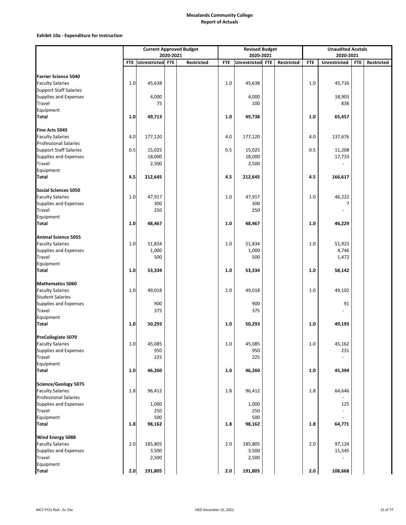|                               |         |                      |           | <b>Current Approved Budget</b> |            | <b>Revised Budget</b> |            |            | <b>Unaudited Acutals</b> |            |                   |
|-------------------------------|---------|----------------------|-----------|--------------------------------|------------|-----------------------|------------|------------|--------------------------|------------|-------------------|
|                               |         |                      | 2020-2021 |                                |            | 2020-2021             |            |            | 2020-2021                |            |                   |
|                               |         | FTE Unrestricted FTE |           | <b>Restricted</b>              | <b>FTE</b> | Unrestricted FTE      | Restricted | <b>FTE</b> | <b>Unrestricted</b>      | <b>FTE</b> | <b>Restricted</b> |
|                               |         |                      |           |                                |            |                       |            |            |                          |            |                   |
| <b>Farrier Science 5040</b>   |         |                      |           |                                |            |                       |            |            |                          |            |                   |
| <b>Faculty Salaries</b>       | $1.0$   | 45,638               |           |                                | 1.0        | 45,638                |            | 1.0        | 45,716                   |            |                   |
| <b>Support Staff Salaries</b> |         |                      |           |                                |            |                       |            |            |                          |            |                   |
| Supplies and Expenses         |         | 4,000                |           |                                |            | 4,000                 |            |            | 18,903                   |            |                   |
| Travel                        |         | 75                   |           |                                |            | 100                   |            |            | 838                      |            |                   |
| Equipment                     |         |                      |           |                                |            |                       |            |            |                          |            |                   |
| Total                         | 1.0     | 49,713               |           |                                | 1.0        | 49,738                |            | 1.0        | 65,457                   |            |                   |
|                               |         |                      |           |                                |            |                       |            |            |                          |            |                   |
| Fine Arts 5045                |         |                      |           |                                |            |                       |            |            |                          |            |                   |
| <b>Faculty Salaries</b>       | 4.0     | 177,120              |           |                                | 4.0        | 177,120               |            | 4.0        | 137,676                  |            |                   |
| <b>Professional Salaries</b>  |         |                      |           |                                |            |                       |            |            |                          |            |                   |
| <b>Support Staff Salaries</b> | 0.5     | 15,025               |           |                                | 0.5        | 15,025                |            | 0.5        | 11,208                   |            |                   |
| Supplies and Expenses         |         | 18,000               |           |                                |            | 18,000                |            |            | 17,733                   |            |                   |
| Travel                        |         | 2,500                |           |                                |            | 2,500                 |            |            |                          |            |                   |
| Equipment                     |         |                      |           |                                |            |                       |            |            |                          |            |                   |
| Total                         | 4.5     | 212,645              |           |                                | 4.5        | 212,645               |            | 4.5        | 166,617                  |            |                   |
|                               |         |                      |           |                                |            |                       |            |            |                          |            |                   |
| <b>Social Sciences 5050</b>   |         |                      |           |                                |            |                       |            |            |                          |            |                   |
| <b>Faculty Salaries</b>       | 1.0     | 47,917               |           |                                | 1.0        | 47,917                |            | 1.0        | 46,222                   |            |                   |
| Supplies and Expenses         |         | 300                  |           |                                |            | 300                   |            |            | 7                        |            |                   |
| Travel                        |         | 250                  |           |                                |            | 250                   |            |            | $\overline{a}$           |            |                   |
| Equipment                     |         |                      |           |                                |            |                       |            |            |                          |            |                   |
| <b>Total</b>                  | $1.0\,$ | 48,467               |           |                                | 1.0        | 48,467                |            | $1.0\,$    | 46,229                   |            |                   |
|                               |         |                      |           |                                |            |                       |            |            |                          |            |                   |
| <b>Animal Science 5055</b>    |         |                      |           |                                |            |                       |            |            |                          |            |                   |
| <b>Faculty Salaries</b>       | 1.0     | 51,834               |           |                                | 1.0        | 51,834                |            | 1.0        | 51,923                   |            |                   |
| <b>Supplies and Expenses</b>  |         | 1,000                |           |                                |            | 1,000                 |            |            | 4,746                    |            |                   |
| Travel                        |         | 500                  |           |                                |            | 500                   |            |            | 1,472                    |            |                   |
| Equipment                     |         |                      |           |                                |            |                       |            |            |                          |            |                   |
| <b>Total</b>                  | $1.0\,$ | 53,334               |           |                                | 1.0        | 53,334                |            | 1.0        | 58,142                   |            |                   |
|                               |         |                      |           |                                |            |                       |            |            |                          |            |                   |
| <b>Mathematics 5060</b>       |         |                      |           |                                |            |                       |            |            |                          |            |                   |
| <b>Faculty Salaries</b>       | 1.0     | 49,018               |           |                                | 1.0        | 49,018                |            | 1.0        | 49,102                   |            |                   |
| <b>Student Salaries</b>       |         |                      |           |                                |            |                       |            |            |                          |            |                   |
| Supplies and Expenses         |         | 900                  |           |                                |            | 900                   |            |            | 91                       |            |                   |
| Travel                        |         | 375                  |           |                                |            | 375                   |            |            |                          |            |                   |
| Equipment                     |         |                      |           |                                |            |                       |            |            |                          |            |                   |
| Total                         | $1.0\,$ | 50,293               |           |                                | 1.0        | 50,293                |            | 1.0        | 49,193                   |            |                   |
|                               |         |                      |           |                                |            |                       |            |            |                          |            |                   |
| PreCollegiate 5070            |         |                      |           |                                |            |                       |            |            |                          |            |                   |
| <b>Faculty Salaries</b>       | 1.0     | 45,085               |           |                                | 1.0        | 45,085                |            | 1.0        | 45,162                   |            |                   |
| <b>Supplies and Expenses</b>  |         | 950                  |           |                                |            | 950                   |            |            | 231                      |            |                   |
| Travel                        |         | 225                  |           |                                |            | 225                   |            |            |                          |            |                   |
| Equipment                     |         |                      |           |                                |            |                       |            |            |                          |            |                   |
| <b>Total</b>                  | $1.0\,$ | 46,260               |           |                                | 1.0        | 46,260                |            | $1.0\,$    | 45,394                   |            |                   |
|                               |         |                      |           |                                |            |                       |            |            |                          |            |                   |
| <b>Science/Geology 5075</b>   |         |                      |           |                                |            |                       |            |            |                          |            |                   |
| <b>Faculty Salaries</b>       | $1.8\,$ | 96,412               |           |                                | 1.8        | 96,412                |            | 1.8        | 64,646                   |            |                   |
| <b>Professional Salaries</b>  |         |                      |           |                                |            |                       |            |            |                          |            |                   |
| <b>Supplies and Expenses</b>  |         | 1,000                |           |                                |            | 1,000                 |            |            | 125                      |            |                   |
| Travel                        |         | 250                  |           |                                |            | 250                   |            |            |                          |            |                   |
| Equipment                     |         | 500                  |           |                                |            | 500                   |            |            |                          |            |                   |
| <b>Total</b>                  | 1.8     | 98,162               |           |                                | 1.8        | 98,162                |            | 1.8        | 64,771                   |            |                   |
|                               |         |                      |           |                                |            |                       |            |            |                          |            |                   |
| <b>Wind Energy 5088</b>       |         |                      |           |                                |            |                       |            |            |                          |            |                   |
| <b>Faculty Salaries</b>       | 2.0     | 185,805              |           |                                | 2.0        | 185,805               |            | 2.0        | 97,124                   |            |                   |
| Supplies and Expenses         |         | 3,500                |           |                                |            | 3,500                 |            |            | 11,545                   |            |                   |
| Travel                        |         | 2,500                |           |                                |            | 2,500                 |            |            |                          |            |                   |
| Equipment                     |         |                      |           |                                |            |                       |            |            |                          |            |                   |
| <b>Total</b>                  | 2.0     | 191,805              |           |                                | 2.0        | 191,805               |            | $2.0\,$    | 108,668                  |            |                   |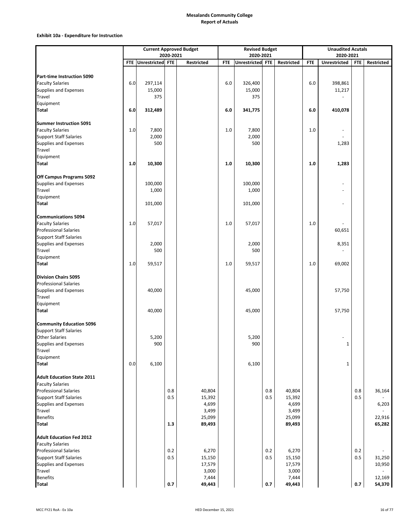|                                                               |         |                      |            | <b>Current Approved Budget</b> |            | <b>Revised Budget</b> |            |                 |            | <b>Unaudited Acutals</b> |            |            |
|---------------------------------------------------------------|---------|----------------------|------------|--------------------------------|------------|-----------------------|------------|-----------------|------------|--------------------------|------------|------------|
|                                                               |         |                      | 2020-2021  |                                |            | 2020-2021             |            |                 |            | 2020-2021                |            |            |
|                                                               |         | FTE Unrestricted FTE |            | Restricted                     | <b>FTE</b> | Unrestricted FTE      |            | Restricted      | <b>FTE</b> | Unrestricted             | FTE        | Restricted |
|                                                               |         |                      |            |                                |            |                       |            |                 |            |                          |            |            |
| Part-time Instruction 5090                                    |         |                      |            |                                |            |                       |            |                 |            |                          |            |            |
| <b>Faculty Salaries</b>                                       | 6.0     | 297,114              |            |                                | $6.0\,$    | 326,400               |            |                 | 6.0        | 398,861                  |            |            |
| Supplies and Expenses<br>Travel                               |         | 15,000<br>375        |            |                                |            | 15,000<br>375         |            |                 |            | 11,217                   |            |            |
|                                                               |         |                      |            |                                |            |                       |            |                 |            |                          |            |            |
| Equipment<br><b>Total</b>                                     | 6.0     | 312,489              |            |                                | $6.0\,$    |                       |            |                 | 6.0        | 410,078                  |            |            |
|                                                               |         |                      |            |                                |            | 341,775               |            |                 |            |                          |            |            |
| Summer Instruction 5091                                       |         |                      |            |                                |            |                       |            |                 |            |                          |            |            |
| <b>Faculty Salaries</b>                                       | $1.0\,$ | 7,800                |            |                                | $1.0\,$    | 7,800                 |            |                 | $1.0\,$    | $\overline{\phantom{a}}$ |            |            |
| <b>Support Staff Salaries</b>                                 |         | 2,000                |            |                                |            | 2,000                 |            |                 |            |                          |            |            |
| Supplies and Expenses                                         |         | 500                  |            |                                |            | 500                   |            |                 |            | 1,283                    |            |            |
| Travel                                                        |         |                      |            |                                |            |                       |            |                 |            |                          |            |            |
| Equipment                                                     |         |                      |            |                                |            |                       |            |                 |            |                          |            |            |
| <b>Total</b>                                                  | 1.0     | 10,300               |            |                                | 1.0        | 10,300                |            |                 | 1.0        | 1,283                    |            |            |
|                                                               |         |                      |            |                                |            |                       |            |                 |            |                          |            |            |
| Off Campus Programs 5092                                      |         |                      |            |                                |            |                       |            |                 |            |                          |            |            |
| <b>Supplies and Expenses</b>                                  |         | 100,000              |            |                                |            | 100,000               |            |                 |            |                          |            |            |
| Travel                                                        |         | 1,000                |            |                                |            | 1,000                 |            |                 |            |                          |            |            |
| Equipment                                                     |         |                      |            |                                |            |                       |            |                 |            |                          |            |            |
| Total                                                         |         | 101,000              |            |                                |            | 101,000               |            |                 |            |                          |            |            |
|                                                               |         |                      |            |                                |            |                       |            |                 |            |                          |            |            |
| <b>Communications 5094</b>                                    |         |                      |            |                                |            |                       |            |                 |            |                          |            |            |
| <b>Faculty Salaries</b>                                       | $1.0\,$ | 57,017               |            |                                | 1.0        | 57,017                |            |                 | 1.0        |                          |            |            |
| <b>Professional Salaries</b>                                  |         |                      |            |                                |            |                       |            |                 |            | 60,651                   |            |            |
| <b>Support Staff Salaries</b>                                 |         |                      |            |                                |            |                       |            |                 |            |                          |            |            |
| Supplies and Expenses                                         |         | 2,000                |            |                                |            | 2,000                 |            |                 |            | 8,351                    |            |            |
| Travel                                                        |         | 500                  |            |                                |            | 500                   |            |                 |            |                          |            |            |
| Equipment                                                     |         |                      |            |                                |            |                       |            |                 |            |                          |            |            |
| <b>Total</b>                                                  | 1.0     | 59,517               |            |                                | 1.0        | 59,517                |            |                 | 1.0        | 69,002                   |            |            |
| <b>Division Chairs 5095</b>                                   |         |                      |            |                                |            |                       |            |                 |            |                          |            |            |
| <b>Professional Salaries</b>                                  |         |                      |            |                                |            |                       |            |                 |            |                          |            |            |
| Supplies and Expenses                                         |         | 40,000               |            |                                |            | 45,000                |            |                 |            | 57,750                   |            |            |
| Travel                                                        |         |                      |            |                                |            |                       |            |                 |            |                          |            |            |
| Equipment                                                     |         |                      |            |                                |            |                       |            |                 |            |                          |            |            |
| <b>Total</b>                                                  |         | 40,000               |            |                                |            | 45,000                |            |                 |            | 57,750                   |            |            |
|                                                               |         |                      |            |                                |            |                       |            |                 |            |                          |            |            |
| <b>Community Education 5096</b>                               |         |                      |            |                                |            |                       |            |                 |            |                          |            |            |
| <b>Support Staff Salaries</b>                                 |         |                      |            |                                |            |                       |            |                 |            |                          |            |            |
| <b>Other Salaries</b>                                         |         | 5,200                |            |                                |            | 5,200                 |            |                 |            | ٠                        |            |            |
| Supplies and Expenses                                         |         | 900                  |            |                                |            | 900                   |            |                 |            | 1                        |            |            |
| Travel                                                        |         |                      |            |                                |            |                       |            |                 |            |                          |            |            |
| Equipment                                                     |         |                      |            |                                |            |                       |            |                 |            |                          |            |            |
| <b>Total</b>                                                  | 0.0     | 6,100                |            |                                |            | 6,100                 |            |                 |            | $\mathbf 1$              |            |            |
|                                                               |         |                      |            |                                |            |                       |            |                 |            |                          |            |            |
| <b>Adult Education State 2011</b>                             |         |                      |            |                                |            |                       |            |                 |            |                          |            |            |
| <b>Faculty Salaries</b>                                       |         |                      |            |                                |            |                       |            |                 |            |                          |            |            |
| <b>Professional Salaries</b>                                  |         |                      | 0.8        | 40,804                         |            |                       | 0.8        | 40,804          |            |                          | 0.8        | 36,164     |
| <b>Support Staff Salaries</b>                                 |         |                      | 0.5        | 15,392                         |            |                       | 0.5        | 15,392          |            |                          | 0.5        |            |
| Supplies and Expenses                                         |         |                      |            | 4,699                          |            |                       |            | 4,699           |            |                          |            | 6,203      |
| Travel                                                        |         |                      |            | 3,499                          |            |                       |            | 3,499           |            |                          |            |            |
| <b>Benefits</b>                                               |         |                      |            | 25,099                         |            |                       |            | 25,099          |            |                          |            | 22,916     |
| <b>Total</b>                                                  |         |                      | 1.3        | 89,493                         |            |                       |            | 89,493          |            |                          |            | 65,282     |
|                                                               |         |                      |            |                                |            |                       |            |                 |            |                          |            |            |
| <b>Adult Education Fed 2012</b>                               |         |                      |            |                                |            |                       |            |                 |            |                          |            |            |
| <b>Faculty Salaries</b>                                       |         |                      |            |                                |            |                       |            |                 |            |                          |            |            |
| <b>Professional Salaries</b><br><b>Support Staff Salaries</b> |         |                      | 0.2<br>0.5 | 6,270                          |            |                       | 0.2<br>0.5 | 6,270           |            |                          | 0.2<br>0.5 |            |
|                                                               |         |                      |            | 15,150                         |            |                       |            | 15,150          |            |                          |            | 31,250     |
| <b>Supplies and Expenses</b><br>Travel                        |         |                      |            | 17,579<br>3,000                |            |                       |            | 17,579<br>3,000 |            |                          |            | 10,950     |
| <b>Benefits</b>                                               |         |                      |            | 7,444                          |            |                       |            | 7,444           |            |                          |            | 12,169     |
| <b>Total</b>                                                  |         |                      | $0.7\,$    | 49,443                         |            |                       | 0.7        | 49,443          |            |                          | 0.7        | 54,370     |
|                                                               |         |                      |            |                                |            |                       |            |                 |            |                          |            |            |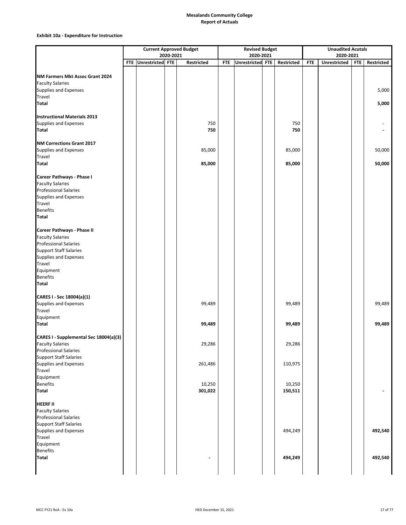|                                                              |                      |           | <b>Current Approved Budget</b> |            | <b>Revised Budget</b> |            |            | <b>Unaudited Acutals</b> |            |            |
|--------------------------------------------------------------|----------------------|-----------|--------------------------------|------------|-----------------------|------------|------------|--------------------------|------------|------------|
|                                                              |                      | 2020-2021 |                                |            | 2020-2021             |            |            | 2020-2021                |            |            |
|                                                              | FTE Unrestricted FTE |           | Restricted                     | <b>FTE</b> | Unrestricted FTE      | Restricted | <b>FTF</b> | Unrestricted             | <b>FTE</b> | Restricted |
|                                                              |                      |           |                                |            |                       |            |            |                          |            |            |
| NM Farmers Mkt Assoc Grant 2024                              |                      |           |                                |            |                       |            |            |                          |            |            |
| <b>Faculty Salaries</b>                                      |                      |           |                                |            |                       |            |            |                          |            |            |
| <b>Supplies and Expenses</b>                                 |                      |           |                                |            |                       |            |            |                          |            | 5,000      |
| Travel                                                       |                      |           |                                |            |                       |            |            |                          |            |            |
| <b>Total</b>                                                 |                      |           |                                |            |                       |            |            |                          |            | 5,000      |
|                                                              |                      |           |                                |            |                       |            |            |                          |            |            |
| <b>Instructional Materials 2013</b>                          |                      |           |                                |            |                       |            |            |                          |            |            |
| Supplies and Expenses                                        |                      |           | 750                            |            |                       | 750        |            |                          |            |            |
| <b>Total</b>                                                 |                      |           | 750                            |            |                       | 750        |            |                          |            |            |
|                                                              |                      |           |                                |            |                       |            |            |                          |            |            |
| NM Corrections Grant 2017                                    |                      |           |                                |            |                       |            |            |                          |            |            |
| Supplies and Expenses                                        |                      |           | 85,000                         |            |                       | 85,000     |            |                          |            | 50,000     |
| Travel                                                       |                      |           |                                |            |                       |            |            |                          |            |            |
| <b>Total</b>                                                 |                      |           | 85,000                         |            |                       | 85,000     |            |                          |            | 50,000     |
|                                                              |                      |           |                                |            |                       |            |            |                          |            |            |
| Career Pathways - Phase I                                    |                      |           |                                |            |                       |            |            |                          |            |            |
| <b>Faculty Salaries</b>                                      |                      |           |                                |            |                       |            |            |                          |            |            |
| <b>Professional Salaries</b><br><b>Supplies and Expenses</b> |                      |           |                                |            |                       |            |            |                          |            |            |
| Travel                                                       |                      |           |                                |            |                       |            |            |                          |            |            |
| <b>Benefits</b>                                              |                      |           |                                |            |                       |            |            |                          |            |            |
| <b>Total</b>                                                 |                      |           |                                |            |                       |            |            |                          |            |            |
|                                                              |                      |           |                                |            |                       |            |            |                          |            |            |
| Career Pathways - Phase II                                   |                      |           |                                |            |                       |            |            |                          |            |            |
| <b>Faculty Salaries</b>                                      |                      |           |                                |            |                       |            |            |                          |            |            |
| <b>Professional Salaries</b>                                 |                      |           |                                |            |                       |            |            |                          |            |            |
| <b>Support Staff Salaries</b>                                |                      |           |                                |            |                       |            |            |                          |            |            |
| Supplies and Expenses                                        |                      |           |                                |            |                       |            |            |                          |            |            |
| Travel                                                       |                      |           |                                |            |                       |            |            |                          |            |            |
| Equipment                                                    |                      |           |                                |            |                       |            |            |                          |            |            |
| <b>Benefits</b>                                              |                      |           |                                |            |                       |            |            |                          |            |            |
| <b>Total</b>                                                 |                      |           |                                |            |                       |            |            |                          |            |            |
|                                                              |                      |           |                                |            |                       |            |            |                          |            |            |
| CARES I - Sec 18004(a)(1)                                    |                      |           |                                |            |                       |            |            |                          |            |            |
| Supplies and Expenses                                        |                      |           | 99,489                         |            |                       | 99,489     |            |                          |            | 99,489     |
| Travel                                                       |                      |           |                                |            |                       |            |            |                          |            |            |
| Equipment                                                    |                      |           |                                |            |                       |            |            |                          |            |            |
| <b>Total</b>                                                 |                      |           | 99,489                         |            |                       | 99,489     |            |                          |            | 99,489     |
|                                                              |                      |           |                                |            |                       |            |            |                          |            |            |
| CARES I - Supplemental Sec 18004(a)(3)                       |                      |           |                                |            |                       |            |            |                          |            |            |
| <b>Faculty Salaries</b>                                      |                      |           | 29,286                         |            |                       | 29,286     |            |                          |            |            |
| <b>Professional Salaries</b>                                 |                      |           |                                |            |                       |            |            |                          |            |            |
| <b>Support Staff Salaries</b>                                |                      |           |                                |            |                       |            |            |                          |            |            |
| Supplies and Expenses                                        |                      |           | 261,486                        |            |                       | 110,975    |            |                          |            |            |
| Travel                                                       |                      |           |                                |            |                       |            |            |                          |            |            |
| Equipment                                                    |                      |           |                                |            |                       |            |            |                          |            |            |
| <b>Benefits</b>                                              |                      |           | 10,250                         |            |                       | 10,250     |            |                          |            |            |
| <b>Total</b>                                                 |                      |           | 301,022                        |            |                       | 150,511    |            |                          |            |            |
|                                                              |                      |           |                                |            |                       |            |            |                          |            |            |
| <b>HEERF II</b>                                              |                      |           |                                |            |                       |            |            |                          |            |            |
| <b>Faculty Salaries</b>                                      |                      |           |                                |            |                       |            |            |                          |            |            |
| <b>Professional Salaries</b>                                 |                      |           |                                |            |                       |            |            |                          |            |            |
| <b>Support Staff Salaries</b>                                |                      |           |                                |            |                       |            |            |                          |            |            |
| Supplies and Expenses                                        |                      |           |                                |            |                       | 494,249    |            |                          |            | 492,540    |
| Travel                                                       |                      |           |                                |            |                       |            |            |                          |            |            |
| Equipment                                                    |                      |           |                                |            |                       |            |            |                          |            |            |
| <b>Benefits</b>                                              |                      |           |                                |            |                       |            |            |                          |            |            |
| <b>Total</b>                                                 |                      |           |                                |            |                       | 494,249    |            |                          |            | 492,540    |
|                                                              |                      |           |                                |            |                       |            |            |                          |            |            |
|                                                              |                      |           |                                |            |                       |            |            |                          |            |            |
|                                                              |                      |           |                                |            |                       |            |            |                          |            |            |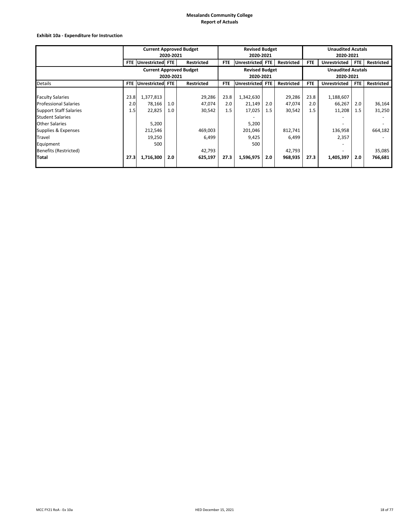|                               | <b>Current Approved Budget</b><br>2020-2021<br>FTE Unrestricted FTE |           |                                |                   |            | <b>Revised Budget</b><br>2020-2021 |     |                   | <b>Unaudited Acutals</b><br>2020-2021 |                          |     |                   |  |
|-------------------------------|---------------------------------------------------------------------|-----------|--------------------------------|-------------------|------------|------------------------------------|-----|-------------------|---------------------------------------|--------------------------|-----|-------------------|--|
|                               |                                                                     |           |                                | <b>Restricted</b> | FTE.       | Unrestricted FTE                   |     | Restricted        | FTE.                                  | <b>Unrestricted</b>      | FTE | Restricted        |  |
|                               |                                                                     |           | <b>Current Approved Budget</b> |                   |            | <b>Revised Budget</b>              |     |                   |                                       | <b>Unaudited Acutals</b> |     |                   |  |
|                               | 2020-2021<br>Unrestricted FTE                                       |           |                                |                   |            | 2020-2021                          |     |                   |                                       | 2020-2021                |     |                   |  |
| Details                       | <b>FTE</b>                                                          |           |                                | <b>Restricted</b> | <b>FTE</b> | Unrestricted FTE                   |     | <b>Restricted</b> | <b>FTE</b>                            | <b>Unrestricted</b>      | FTE | <b>Restricted</b> |  |
|                               |                                                                     |           |                                |                   |            |                                    |     |                   |                                       |                          |     |                   |  |
| <b>Faculty Salaries</b>       | 23.8                                                                | 1,377,813 |                                | 29,286            | 23.8       | 1,342,630                          |     | 29,286            | 23.8                                  | 1,188,607                |     |                   |  |
| <b>Professional Salaries</b>  | 2.0                                                                 | 78,166    | 1.0                            | 47,074            | 2.0        | 21,149                             | 2.0 | 47,074            | 2.0                                   | 66,267                   | 2.0 | 36,164            |  |
| <b>Support Staff Salaries</b> | 1.5                                                                 | 22,825    | 1.0                            | 30,542            | 1.5        | 17,025                             | 1.5 | 30,542            | 1.5                                   | 11,208                   | 1.5 | 31,250            |  |
| <b>Student Salaries</b>       |                                                                     |           |                                |                   |            |                                    |     |                   |                                       |                          |     |                   |  |
| <b>Other Salaries</b>         |                                                                     | 5,200     |                                |                   |            | 5,200                              |     |                   |                                       |                          |     |                   |  |
| Supplies & Expenses           |                                                                     | 212,546   |                                | 469,003           |            | 201,046                            |     | 812,741           |                                       | 136,958                  |     | 664,182           |  |
| <b>Travel</b>                 |                                                                     | 19,250    |                                | 6,499             |            | 9,425                              |     | 6,499             |                                       | 2,357                    |     |                   |  |
| Equipment                     |                                                                     | 500       |                                |                   |            | 500                                |     |                   |                                       |                          |     |                   |  |
| <b>Benefits (Restricted)</b>  |                                                                     |           |                                | 42,793            |            |                                    |     | 42,793            |                                       |                          |     | 35,085            |  |
| <b>Total</b>                  | 27.3                                                                | 1,716,300 | 2.0                            | 625,197           | 27.3       | 1,596,975                          | 2.0 | 968,935           | 27.3                                  | 1,405,397                | 2.0 | 766,681           |  |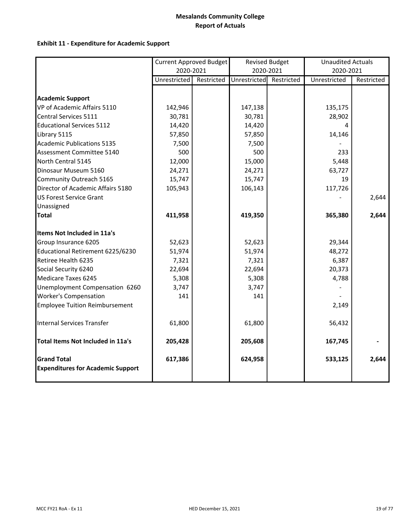### **Exhibit 11 ‐ Expenditure for Academic Support**

|                                                                | Current Approved Budget |            |              | <b>Revised Budget</b> | <b>Unaudited Actuals</b> |            |
|----------------------------------------------------------------|-------------------------|------------|--------------|-----------------------|--------------------------|------------|
|                                                                | 2020-2021               |            |              | 2020-2021             | 2020-2021                |            |
|                                                                | Unrestricted            | Restricted | Unrestricted | Restricted            | Unrestricted             | Restricted |
|                                                                |                         |            |              |                       |                          |            |
| <b>Academic Support</b>                                        |                         |            |              |                       |                          |            |
| VP of Academic Affairs 5110                                    | 142,946                 |            | 147,138      |                       | 135,175                  |            |
| Central Services 5111                                          | 30,781                  |            | 30,781       |                       | 28,902                   |            |
| <b>Educational Services 5112</b>                               | 14,420                  |            | 14,420       |                       | Δ                        |            |
| Library 5115                                                   | 57,850                  |            | 57,850       |                       | 14,146                   |            |
| <b>Academic Publications 5135</b>                              | 7,500                   |            | 7,500        |                       |                          |            |
| Assessment Committee 5140                                      | 500                     |            | 500          |                       | 233                      |            |
| North Central 5145                                             | 12,000                  |            | 15,000       |                       | 5,448                    |            |
| Dinosaur Museum 5160                                           | 24,271                  |            | 24,271       |                       | 63,727                   |            |
| Community Outreach 5165                                        | 15,747                  |            | 15,747       |                       | 19                       |            |
| Director of Academic Affairs 5180                              | 105,943                 |            | 106,143      |                       | 117,726                  |            |
| <b>US Forest Service Grant</b>                                 |                         |            |              |                       |                          | 2,644      |
| Unassigned                                                     |                         |            |              |                       |                          |            |
| <b>Total</b>                                                   | 411,958                 |            | 419,350      |                       | 365,380                  | 2,644      |
| Items Not Included in 11a's                                    |                         |            |              |                       |                          |            |
| Group Insurance 6205                                           | 52,623                  |            | 52,623       |                       | 29,344                   |            |
| Educational Retirement 6225/6230                               | 51,974                  |            | 51,974       |                       | 48,272                   |            |
| Retiree Health 6235                                            | 7,321                   |            | 7,321        |                       | 6,387                    |            |
| Social Security 6240                                           | 22,694                  |            | 22,694       |                       | 20,373                   |            |
| <b>Medicare Taxes 6245</b>                                     | 5,308                   |            | 5,308        |                       | 4,788                    |            |
| Unemployment Compensation 6260                                 | 3,747                   |            | 3,747        |                       |                          |            |
| <b>Worker's Compensation</b>                                   | 141                     |            | 141          |                       |                          |            |
| <b>Employee Tuition Reimbursement</b>                          |                         |            |              |                       | 2,149                    |            |
| Internal Services Transfer                                     | 61,800                  |            | 61,800       |                       | 56,432                   |            |
| Total Items Not Included in 11a's                              | 205,428                 |            | 205,608      |                       | 167,745                  |            |
| <b>Grand Total</b><br><b>Expenditures for Academic Support</b> | 617,386                 |            | 624,958      |                       | 533,125                  | 2,644      |
|                                                                |                         |            |              |                       |                          |            |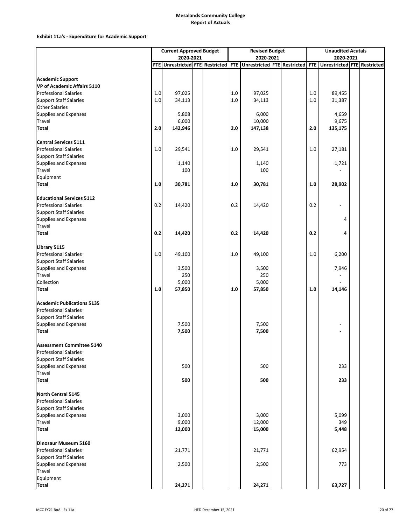### **Exhibit 11a's ‐ Expenditure for Academic Support**

|                                                    |       | <b>Current Approved Budget</b>  |  |            | <b>Revised Budget</b>           |  |         | <b>Unaudited Acutals</b>    |  |
|----------------------------------------------------|-------|---------------------------------|--|------------|---------------------------------|--|---------|-----------------------------|--|
|                                                    |       | 2020-2021                       |  |            | 2020-2021                       |  |         | 2020-2021                   |  |
|                                                    |       | FTE Unrestricted FTE Restricted |  | <b>FTE</b> | Unrestricted FTE Restricted FTE |  |         | Unrestricted FTE Restricted |  |
|                                                    |       |                                 |  |            |                                 |  |         |                             |  |
| <b>Academic Support</b>                            |       |                                 |  |            |                                 |  |         |                             |  |
| VP of Academic Affairs 5110                        |       |                                 |  |            |                                 |  |         |                             |  |
| <b>Professional Salaries</b>                       | $1.0$ | 97,025                          |  | 1.0        | 97,025                          |  | 1.0     | 89,455                      |  |
| <b>Support Staff Salaries</b>                      | $1.0$ | 34,113                          |  | 1.0        | 34,113                          |  | $1.0\,$ | 31,387                      |  |
| <b>Other Salaries</b>                              |       |                                 |  |            |                                 |  |         |                             |  |
| <b>Supplies and Expenses</b>                       |       | 5,808                           |  |            | 6,000                           |  |         | 4,659                       |  |
| Travel                                             |       | 6,000                           |  |            | 10,000                          |  |         | 9,675                       |  |
| Total                                              | 2.0   | 142,946                         |  | 2.0        | 147,138                         |  | 2.0     | 135,175                     |  |
|                                                    |       |                                 |  |            |                                 |  |         |                             |  |
| <b>Central Services 5111</b>                       |       |                                 |  |            |                                 |  |         |                             |  |
| <b>Professional Salaries</b>                       | $1.0$ | 29,541                          |  | 1.0        | 29,541                          |  | 1.0     | 27,181                      |  |
| <b>Support Staff Salaries</b>                      |       |                                 |  |            |                                 |  |         |                             |  |
| <b>Supplies and Expenses</b>                       |       | 1,140                           |  |            | 1,140                           |  |         | 1,721                       |  |
| Travel                                             |       | 100                             |  |            | 100                             |  |         |                             |  |
| Equipment                                          |       |                                 |  |            |                                 |  |         |                             |  |
| Total                                              | 1.0   | 30,781                          |  | 1.0        | 30,781                          |  | $1.0\,$ | 28,902                      |  |
| <b>Educational Services 5112</b>                   |       |                                 |  |            |                                 |  |         |                             |  |
| <b>Professional Salaries</b>                       | 0.2   | 14,420                          |  | 0.2        | 14,420                          |  | 0.2     |                             |  |
| <b>Support Staff Salaries</b>                      |       |                                 |  |            |                                 |  |         |                             |  |
| <b>Supplies and Expenses</b>                       |       |                                 |  |            |                                 |  |         | 4                           |  |
| Travel                                             |       |                                 |  |            |                                 |  |         |                             |  |
| <b>Total</b>                                       | 0.2   | 14,420                          |  | 0.2        | 14,420                          |  | 0.2     | 4                           |  |
|                                                    |       |                                 |  |            |                                 |  |         |                             |  |
| Library 5115                                       |       |                                 |  |            |                                 |  |         |                             |  |
| <b>Professional Salaries</b>                       | $1.0$ | 49,100                          |  | 1.0        | 49,100                          |  | $1.0\,$ | 6,200                       |  |
| <b>Support Staff Salaries</b>                      |       |                                 |  |            |                                 |  |         |                             |  |
| <b>Supplies and Expenses</b>                       |       | 3,500                           |  |            | 3,500                           |  |         | 7,946                       |  |
| Travel                                             |       | 250                             |  |            | 250                             |  |         |                             |  |
| Collection                                         |       | 5,000                           |  |            | 5,000                           |  |         |                             |  |
| Total                                              | 1.0   | 57,850                          |  | 1.0        | 57,850                          |  | 1.0     | 14,146                      |  |
|                                                    |       |                                 |  |            |                                 |  |         |                             |  |
| <b>Academic Publications 5135</b>                  |       |                                 |  |            |                                 |  |         |                             |  |
| <b>Professional Salaries</b>                       |       |                                 |  |            |                                 |  |         |                             |  |
| <b>Support Staff Salaries</b>                      |       |                                 |  |            |                                 |  |         |                             |  |
| <b>Supplies and Expenses</b>                       |       | 7,500                           |  |            | 7,500                           |  |         |                             |  |
| Total                                              |       | 7,500                           |  |            | 7,500                           |  |         |                             |  |
|                                                    |       |                                 |  |            |                                 |  |         |                             |  |
| <b>Assessment Committee 5140</b>                   |       |                                 |  |            |                                 |  |         |                             |  |
| <b>Professional Salaries</b>                       |       |                                 |  |            |                                 |  |         |                             |  |
| <b>Support Staff Salaries</b>                      |       |                                 |  |            |                                 |  |         |                             |  |
| Supplies and Expenses                              |       | 500                             |  |            | 500                             |  |         | 233                         |  |
| Travel                                             |       |                                 |  |            |                                 |  |         |                             |  |
| <b>Total</b>                                       |       | 500                             |  |            | 500                             |  |         | 233                         |  |
|                                                    |       |                                 |  |            |                                 |  |         |                             |  |
| North Central 5145<br><b>Professional Salaries</b> |       |                                 |  |            |                                 |  |         |                             |  |
| <b>Support Staff Salaries</b>                      |       |                                 |  |            |                                 |  |         |                             |  |
| <b>Supplies and Expenses</b>                       |       | 3,000                           |  |            | 3,000                           |  |         | 5,099                       |  |
| <b>Travel</b>                                      |       | 9,000                           |  |            | 12,000                          |  |         | 349                         |  |
| <b>Total</b>                                       |       | 12,000                          |  |            | 15,000                          |  |         | 5,448                       |  |
|                                                    |       |                                 |  |            |                                 |  |         |                             |  |
| Dinosaur Museum 5160                               |       |                                 |  |            |                                 |  |         |                             |  |
| <b>Professional Salaries</b>                       |       | 21,771                          |  |            | 21,771                          |  |         | 62,954                      |  |
| <b>Support Staff Salaries</b>                      |       |                                 |  |            |                                 |  |         |                             |  |
| <b>Supplies and Expenses</b>                       |       | 2,500                           |  |            | 2,500                           |  |         | 773                         |  |
| Travel                                             |       |                                 |  |            |                                 |  |         |                             |  |
| Equipment                                          |       |                                 |  |            |                                 |  |         |                             |  |
| <b>Total</b>                                       |       | 24,271                          |  |            | 24,271                          |  |         | 63,727                      |  |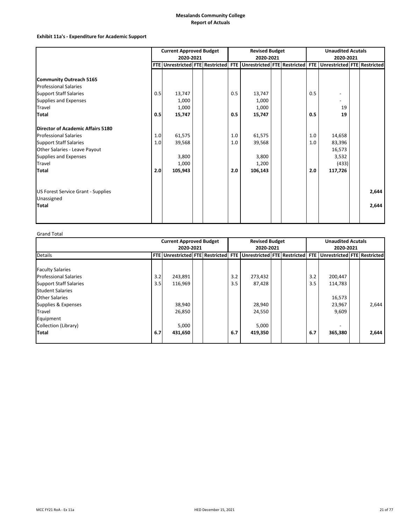### **Exhibit 11a's ‐ Expenditure for Academic Support**

|                                           | <b>Current Approved Budget</b><br>2020-2021 |                                 |  |  | <b>Revised Budget</b><br>2020-2021 |                                 |  |  | <b>Unaudited Acutals</b><br>2020-2021 |                                    |  |       |
|-------------------------------------------|---------------------------------------------|---------------------------------|--|--|------------------------------------|---------------------------------|--|--|---------------------------------------|------------------------------------|--|-------|
|                                           |                                             | FTE Unrestricted FTE Restricted |  |  | <b>FTE</b>                         | Unrestricted FTE Restricted FTE |  |  |                                       | <b>Unrestricted FTE Restricted</b> |  |       |
|                                           |                                             |                                 |  |  |                                    |                                 |  |  |                                       |                                    |  |       |
| <b>Community Outreach 5165</b>            |                                             |                                 |  |  |                                    |                                 |  |  |                                       |                                    |  |       |
| <b>Professional Salaries</b>              |                                             |                                 |  |  |                                    |                                 |  |  |                                       |                                    |  |       |
| <b>Support Staff Salaries</b>             | 0.5                                         | 13,747                          |  |  | 0.5                                | 13,747                          |  |  | 0.5                                   |                                    |  |       |
| Supplies and Expenses                     |                                             | 1,000                           |  |  |                                    | 1,000                           |  |  |                                       |                                    |  |       |
| Travel                                    |                                             | 1,000                           |  |  |                                    | 1,000                           |  |  |                                       | 19                                 |  |       |
| Total                                     | 0.5                                         | 15,747                          |  |  | 0.5                                | 15,747                          |  |  | 0.5                                   | 19                                 |  |       |
| Director of Academic Affairs 5180         |                                             |                                 |  |  |                                    |                                 |  |  |                                       |                                    |  |       |
| <b>Professional Salaries</b>              | 1.0                                         | 61,575                          |  |  | 1.0                                | 61,575                          |  |  | 1.0                                   | 14,658                             |  |       |
| <b>Support Staff Salaries</b>             | 1.0                                         | 39,568                          |  |  | 1.0                                | 39,568                          |  |  | 1.0                                   | 83,396                             |  |       |
| Other Salaries - Leave Payout             |                                             |                                 |  |  |                                    |                                 |  |  |                                       | 16,573                             |  |       |
| Supplies and Expenses                     |                                             | 3,800                           |  |  |                                    | 3,800                           |  |  |                                       | 3,532                              |  |       |
| Travel                                    |                                             | 1,000                           |  |  |                                    | 1,200                           |  |  |                                       | (433)                              |  |       |
| Total                                     | 2.0                                         | 105,943                         |  |  | 2.0                                | 106,143                         |  |  | 2.0                                   | 117,726                            |  |       |
| <b>US Forest Service Grant - Supplies</b> |                                             |                                 |  |  |                                    |                                 |  |  |                                       |                                    |  | 2,644 |
| Unassigned                                |                                             |                                 |  |  |                                    |                                 |  |  |                                       |                                    |  |       |
| Total                                     |                                             |                                 |  |  |                                    |                                 |  |  |                                       |                                    |  | 2,644 |
|                                           |                                             |                                 |  |  |                                    |                                 |  |  |                                       |                                    |  |       |

Grand Total

|                               | <b>Current Approved Budget</b><br>2020-2021 |                                        |  |  | <b>Revised Budget</b><br>2020-2021<br>Unrestricted FTE Restricted |         |  |  | <b>Unaudited Acutals</b><br>2020-2021 |                             |  |       |
|-------------------------------|---------------------------------------------|----------------------------------------|--|--|-------------------------------------------------------------------|---------|--|--|---------------------------------------|-----------------------------|--|-------|
| <b>Details</b>                |                                             | <b>FTE Unrestricted FTE Restricted</b> |  |  | <b>FTE</b>                                                        |         |  |  | FTE I                                 | Unrestricted FTE Restricted |  |       |
| <b>Faculty Salaries</b>       |                                             |                                        |  |  |                                                                   |         |  |  |                                       |                             |  |       |
| <b>Professional Salaries</b>  | 3.2                                         | 243,891                                |  |  | 3.2                                                               | 273,432 |  |  | 3.2                                   | 200,447                     |  |       |
| <b>Support Staff Salaries</b> | 3.5                                         | 116,969<br>3.5                         |  |  |                                                                   | 87,428  |  |  | 3.5                                   | 114,783                     |  |       |
| <b>Student Salaries</b>       |                                             |                                        |  |  |                                                                   |         |  |  |                                       |                             |  |       |
| <b>Other Salaries</b>         |                                             |                                        |  |  |                                                                   |         |  |  |                                       | 16,573                      |  |       |
| Supplies & Expenses           |                                             | 38,940                                 |  |  |                                                                   | 28,940  |  |  |                                       | 23,967                      |  | 2,644 |
| Travel                        |                                             | 26,850                                 |  |  |                                                                   | 24,550  |  |  |                                       | 9,609                       |  |       |
| Equipment                     |                                             |                                        |  |  |                                                                   |         |  |  |                                       |                             |  |       |
| Collection (Library)          |                                             | 5,000                                  |  |  |                                                                   | 5,000   |  |  |                                       |                             |  |       |
| Total                         | 6.7                                         | 431,650                                |  |  | 6.7                                                               | 419,350 |  |  | 6.7                                   | 365,380                     |  | 2,644 |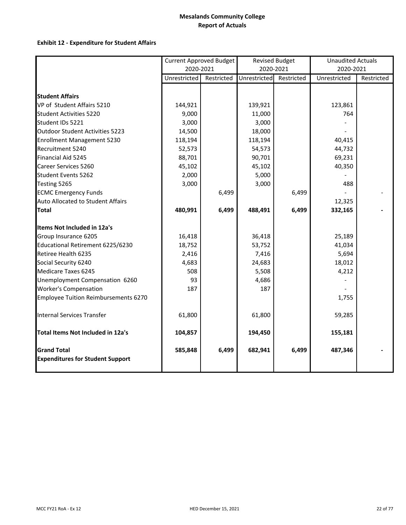### **Exhibit 12 ‐ Expenditure for Student Affairs**

|                                          | <b>Current Approved Budget</b> |            |              | <b>Revised Budget</b> | Unaudited Actuals |            |
|------------------------------------------|--------------------------------|------------|--------------|-----------------------|-------------------|------------|
|                                          | 2020-2021                      |            | 2020-2021    |                       | 2020-2021         |            |
|                                          | Unrestricted                   | Restricted | Unrestricted | Restricted            | Unrestricted      | Restricted |
|                                          |                                |            |              |                       |                   |            |
| <b>Student Affairs</b>                   |                                |            |              |                       |                   |            |
| VP of Student Affairs 5210               | 144,921                        |            | 139,921      |                       | 123,861           |            |
| <b>Student Activities 5220</b>           | 9,000                          |            | 11,000       |                       | 764               |            |
| Student IDs 5221                         | 3,000                          |            | 3,000        |                       |                   |            |
| Outdoor Student Activities 5223          | 14,500                         |            | 18,000       |                       |                   |            |
| <b>Enrollment Management 5230</b>        | 118,194                        |            | 118,194      |                       | 40,415            |            |
| Recruitment 5240                         | 52,573                         |            | 54,573       |                       | 44,732            |            |
| Financial Aid 5245                       | 88,701                         |            | 90,701       |                       | 69,231            |            |
| Career Services 5260                     | 45,102                         |            | 45,102       |                       | 40,350            |            |
| <b>Student Events 5262</b>               | 2,000                          |            | 5,000        |                       |                   |            |
| Testing 5265                             | 3,000                          |            | 3,000        |                       | 488               |            |
| <b>ECMC Emergency Funds</b>              |                                | 6,499      |              | 6,499                 |                   |            |
| Auto Allocated to Student Affairs        |                                |            |              |                       | 12,325            |            |
| <b>Total</b>                             | 480,991                        | 6,499      | 488,491      | 6,499                 | 332,165           |            |
| Items Not Included in 12a's              |                                |            |              |                       |                   |            |
| Group Insurance 6205                     | 16,418                         |            | 36,418       |                       | 25,189            |            |
| Educational Retirement 6225/6230         | 18,752                         |            | 53,752       |                       | 41,034            |            |
| Retiree Health 6235                      | 2,416                          |            | 7,416        |                       | 5,694             |            |
| Social Security 6240                     | 4,683                          |            | 24,683       |                       | 18,012            |            |
| Medicare Taxes 6245                      | 508                            |            | 5,508        |                       | 4,212             |            |
| Unemployment Compensation 6260           | 93                             |            | 4,686        |                       |                   |            |
| <b>Worker's Compensation</b>             | 187                            |            | 187          |                       |                   |            |
| Employee Tuition Reimbursements 6270     |                                |            |              |                       | 1,755             |            |
|                                          |                                |            |              |                       |                   |            |
| <b>Internal Services Transfer</b>        | 61,800                         |            | 61,800       |                       | 59,285            |            |
| <b>Total Items Not Included in 12a's</b> | 104,857                        |            | 194,450      |                       | 155,181           |            |
| <b>Grand Total</b>                       | 585,848                        | 6,499      | 682,941      | 6,499                 | 487,346           |            |
| <b>Expenditures for Student Support</b>  |                                |            |              |                       |                   |            |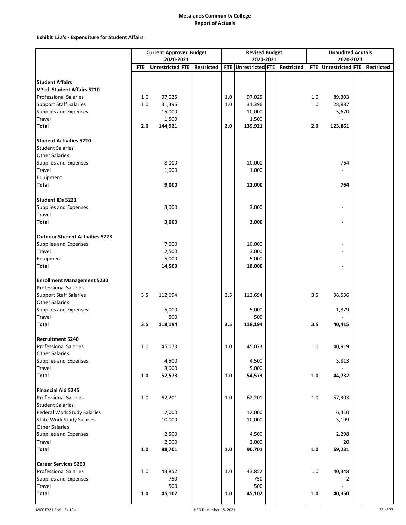### **Exhibit 12a's ‐ Expenditure for Student Affairs**

|                                                           |            | <b>Current Approved Budget</b> |            |         | <b>Revised Budget</b> |            |            | <b>Unaudited Acutals</b> |            |
|-----------------------------------------------------------|------------|--------------------------------|------------|---------|-----------------------|------------|------------|--------------------------|------------|
|                                                           |            | 2020-2021                      |            |         | 2020-2021             |            |            | 2020-2021                |            |
|                                                           | <b>FTE</b> | Unrestricted FTE               | Restricted |         | FTE Unrestricted FTE  | Restricted | <b>FTE</b> | Unrestricted FTE         | Restricted |
|                                                           |            |                                |            |         |                       |            |            |                          |            |
| <b>Student Affairs</b><br>VP of Student Affairs 5210      |            |                                |            |         |                       |            |            |                          |            |
| <b>Professional Salaries</b>                              | 1.0        | 97,025                         |            | 1.0     | 97,025                |            | 1.0        | 89,303                   |            |
| <b>Support Staff Salaries</b>                             | $1.0\,$    | 31,396                         |            | $1.0$   | 31,396                |            | 1.0        | 28,887                   |            |
| <b>Supplies and Expenses</b>                              |            | 15,000                         |            |         | 10,000                |            |            | 5,670                    |            |
| Travel                                                    |            | 1,500                          |            |         | 1,500                 |            |            |                          |            |
| <b>Total</b>                                              | 2.0        | 144,921                        |            | $2.0$   | 139,921               |            | $2.0$      | 123,861                  |            |
|                                                           |            |                                |            |         |                       |            |            |                          |            |
| <b>Student Activities 5220</b>                            |            |                                |            |         |                       |            |            |                          |            |
| <b>Student Salaries</b>                                   |            |                                |            |         |                       |            |            |                          |            |
| <b>Other Salaries</b>                                     |            |                                |            |         |                       |            |            |                          |            |
| Supplies and Expenses                                     |            | 8,000                          |            |         | 10,000                |            |            | 764                      |            |
| Travel                                                    |            | 1,000                          |            |         | 1,000                 |            |            |                          |            |
| Equipment                                                 |            |                                |            |         |                       |            |            |                          |            |
| <b>Total</b>                                              |            | 9,000                          |            |         | 11,000                |            |            | 764                      |            |
|                                                           |            |                                |            |         |                       |            |            |                          |            |
| Student IDs 5221                                          |            |                                |            |         |                       |            |            |                          |            |
| Supplies and Expenses<br><b>Travel</b>                    |            | 3,000                          |            |         | 3,000                 |            |            |                          |            |
| <b>Total</b>                                              |            | 3,000                          |            |         | 3,000                 |            |            |                          |            |
|                                                           |            |                                |            |         |                       |            |            |                          |            |
| <b>Outdoor Student Activities 5223</b>                    |            |                                |            |         |                       |            |            |                          |            |
| Supplies and Expenses                                     |            | 7,000                          |            |         | 10,000                |            |            |                          |            |
| Travel                                                    |            | 2,500                          |            |         | 3,000                 |            |            |                          |            |
| Equipment                                                 |            | 5,000                          |            |         | 5,000                 |            |            |                          |            |
| <b>Total</b>                                              |            | 14,500                         |            |         | 18,000                |            |            |                          |            |
|                                                           |            |                                |            |         |                       |            |            |                          |            |
| <b>Enrollment Management 5230</b>                         |            |                                |            |         |                       |            |            |                          |            |
| <b>Professional Salaries</b>                              |            |                                |            |         |                       |            |            |                          |            |
| <b>Support Staff Salaries</b>                             | 3.5        | 112,694                        |            | 3.5     | 112,694               |            | 3.5        | 38,536                   |            |
| <b>Other Salaries</b>                                     |            |                                |            |         |                       |            |            |                          |            |
| Supplies and Expenses                                     |            | 5,000                          |            |         | 5,000                 |            |            | 1,879                    |            |
| <b>Travel</b><br><b>Total</b>                             | 3.5        | 500<br>118,194                 |            | 3.5     | 500                   |            | 3.5        | 40,415                   |            |
|                                                           |            |                                |            |         | 118,194               |            |            |                          |            |
| <b>Recruitment 5240</b>                                   |            |                                |            |         |                       |            |            |                          |            |
| <b>Professional Salaries</b>                              | 1.0        | 45,073                         |            | $1.0\,$ | 45,073                |            | $1.0\,$    | 40,919                   |            |
| <b>Other Salaries</b>                                     |            |                                |            |         |                       |            |            |                          |            |
| Supplies and Expenses                                     |            | 4,500                          |            |         | 4,500                 |            |            | 3,813                    |            |
| Travel                                                    |            | 3,000                          |            |         | 5,000                 |            |            |                          |            |
| <b>Total</b>                                              | 1.0        | 52,573                         |            | 1.0     | 54,573                |            | 1.0        | 44,732                   |            |
|                                                           |            |                                |            |         |                       |            |            |                          |            |
| <b>Financial Aid 5245</b><br><b>Professional Salaries</b> | 1.0        | 62,201                         |            | $1.0\,$ |                       |            |            |                          |            |
| <b>Student Salaries</b>                                   |            |                                |            |         | 62,201                |            | $1.0\,$    | 57,303                   |            |
| <b>Federal Work Study Salaries</b>                        |            | 12,000                         |            |         | 12,000                |            |            | 6,410                    |            |
| <b>State Work Study Salaries</b>                          |            | 10,000                         |            |         | 10,000                |            |            | 3,199                    |            |
| <b>Other Salaries</b>                                     |            |                                |            |         |                       |            |            |                          |            |
| Supplies and Expenses                                     |            | 2,500                          |            |         | 4,500                 |            |            | 2,298                    |            |
| Travel                                                    |            | 2,000                          |            |         | 2,000                 |            |            | 20                       |            |
| <b>Total</b>                                              | 1.0        | 88,701                         |            | 1.0     | 90,701                |            | 1.0        | 69,231                   |            |
|                                                           |            |                                |            |         |                       |            |            |                          |            |
| <b>Career Services 5260</b>                               |            |                                |            |         |                       |            |            |                          |            |
| <b>Professional Salaries</b>                              | 1.0        | 43,852                         |            | $1.0$   | 43,852                |            | 1.0        | 40,348                   |            |
| Supplies and Expenses                                     |            | 750                            |            |         | 750                   |            |            |                          |            |
| Travel<br><b>Total</b>                                    |            | 500                            |            |         | 500                   |            |            |                          |            |
|                                                           | 1.0        | 45,102                         |            | $1.0\,$ | 45,102                |            | 1.0        | 40,350                   |            |
|                                                           |            |                                |            |         |                       |            |            |                          |            |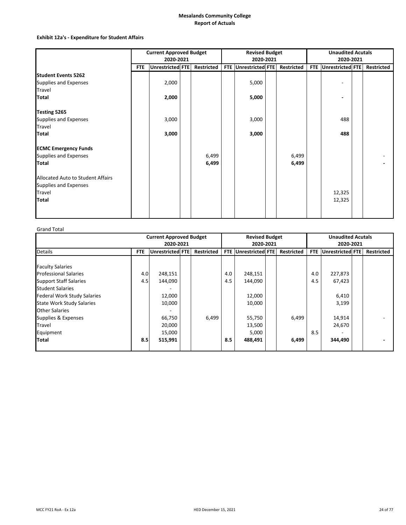### **Exhibit 12a's ‐ Expenditure for Student Affairs**

|                                   | <b>Current Approved Budget</b> |                  |  |                   |  | <b>Revised Budget</b> |  |                   |  | <b>Unaudited Acutals</b> |  |                   |  |
|-----------------------------------|--------------------------------|------------------|--|-------------------|--|-----------------------|--|-------------------|--|--------------------------|--|-------------------|--|
|                                   |                                | 2020-2021        |  |                   |  | 2020-2021             |  |                   |  | 2020-2021                |  |                   |  |
|                                   | <b>FTE</b>                     | Unrestricted FTE |  | <b>Restricted</b> |  | FTE Unrestricted FTE  |  | <b>Restricted</b> |  | FTE Unrestricted FTE     |  | <b>Restricted</b> |  |
| <b>Student Events 5262</b>        |                                |                  |  |                   |  |                       |  |                   |  |                          |  |                   |  |
| Supplies and Expenses             |                                | 2,000            |  |                   |  | 5,000                 |  |                   |  |                          |  |                   |  |
| Travel                            |                                |                  |  |                   |  |                       |  |                   |  |                          |  |                   |  |
| <b>Total</b>                      |                                | 2,000            |  |                   |  | 5,000                 |  |                   |  |                          |  |                   |  |
| Testing 5265                      |                                |                  |  |                   |  |                       |  |                   |  |                          |  |                   |  |
| Supplies and Expenses             |                                | 3,000            |  |                   |  | 3,000                 |  |                   |  | 488                      |  |                   |  |
| Travel                            |                                |                  |  |                   |  |                       |  |                   |  |                          |  |                   |  |
| <b>Total</b>                      |                                | 3,000            |  |                   |  | 3,000                 |  |                   |  | 488                      |  |                   |  |
| <b>ECMC Emergency Funds</b>       |                                |                  |  |                   |  |                       |  |                   |  |                          |  |                   |  |
| Supplies and Expenses             |                                |                  |  | 6,499             |  |                       |  | 6,499             |  |                          |  |                   |  |
| <b>Total</b>                      |                                |                  |  | 6,499             |  |                       |  | 6,499             |  |                          |  |                   |  |
| Allocated Auto to Student Affairs |                                |                  |  |                   |  |                       |  |                   |  |                          |  |                   |  |
| Supplies and Expenses             |                                |                  |  |                   |  |                       |  |                   |  |                          |  |                   |  |
| Travel                            |                                |                  |  |                   |  |                       |  |                   |  | 12,325                   |  |                   |  |
| Total                             |                                |                  |  |                   |  |                       |  |                   |  | 12,325                   |  |                   |  |
|                                   |                                |                  |  |                   |  |                       |  |                   |  |                          |  |                   |  |

#### Grand Total

|                                    | <b>Current Approved Budget</b> |                         |  |                   | <b>Revised Budget</b> |                         |  |                   | <b>Unaudited Acutals</b> |                  |  |                   |
|------------------------------------|--------------------------------|-------------------------|--|-------------------|-----------------------|-------------------------|--|-------------------|--------------------------|------------------|--|-------------------|
|                                    |                                | 2020-2021               |  |                   |                       | 2020-2021               |  |                   |                          | 2020-2021        |  |                   |
| <b>Details</b>                     | <b>FTE</b>                     | <b>Unrestricted FTE</b> |  | <b>Restricted</b> | <b>FTE</b>            | <b>Unrestricted FTE</b> |  | <b>Restricted</b> | <b>FTE</b>               | Unrestricted FTE |  | <b>Restricted</b> |
|                                    |                                |                         |  |                   |                       |                         |  |                   |                          |                  |  |                   |
| <b>Faculty Salaries</b>            |                                |                         |  |                   |                       |                         |  |                   |                          |                  |  |                   |
| <b>Professional Salaries</b>       | 4.0                            | 248,151                 |  |                   | 4.0                   | 248,151                 |  |                   | 4.0                      | 227,873          |  |                   |
| <b>Support Staff Salaries</b>      | 4.5                            | 144,090                 |  |                   | 4.5                   | 144,090                 |  |                   | 4.5                      | 67,423           |  |                   |
| <b>Student Salaries</b>            |                                |                         |  |                   |                       |                         |  |                   |                          |                  |  |                   |
| <b>Federal Work Study Salaries</b> |                                | 12,000                  |  |                   |                       | 12,000                  |  |                   |                          | 6,410            |  |                   |
| <b>State Work Study Salaries</b>   |                                | 10,000                  |  |                   |                       | 10,000                  |  |                   |                          | 3,199            |  |                   |
| <b>Other Salaries</b>              |                                |                         |  |                   |                       |                         |  |                   |                          |                  |  |                   |
| Supplies & Expenses                |                                | 66,750                  |  | 6,499             |                       | 55,750                  |  | 6,499             |                          | 14,914           |  |                   |
| Travel                             |                                | 20,000                  |  |                   |                       | 13,500                  |  |                   |                          | 24,670           |  |                   |
| Equipment                          |                                | 15,000                  |  |                   |                       | 5,000                   |  |                   | 8.5                      |                  |  |                   |
| <b>Total</b>                       | 8.5                            | 515,991                 |  |                   | 8.5                   | 488,491                 |  | 6,499             |                          | 344,490          |  |                   |
|                                    |                                |                         |  |                   |                       |                         |  |                   |                          |                  |  |                   |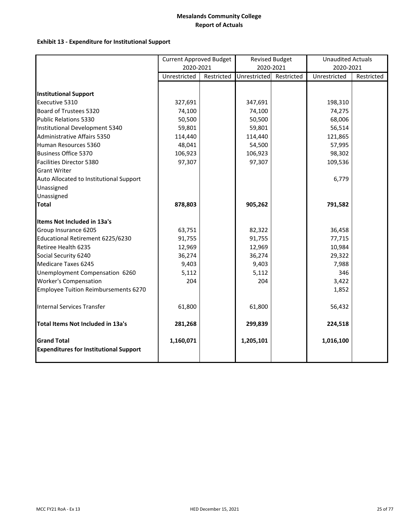## **Exhibit 13 ‐ Expenditure for Institutional Support**

|                                                                     | <b>Current Approved Budget</b> |            |              | <b>Revised Budget</b> | <b>Unaudited Actuals</b> |            |
|---------------------------------------------------------------------|--------------------------------|------------|--------------|-----------------------|--------------------------|------------|
|                                                                     | 2020-2021                      |            | 2020-2021    |                       | 2020-2021                |            |
|                                                                     | Unrestricted                   | Restricted | Unrestricted | Restricted            | Unrestricted             | Restricted |
|                                                                     |                                |            |              |                       |                          |            |
| <b>Institutional Support</b>                                        |                                |            |              |                       |                          |            |
| Executive 5310                                                      | 327,691                        |            | 347,691      |                       | 198,310                  |            |
| Board of Trustees 5320                                              | 74,100                         |            | 74,100       |                       | 74,275                   |            |
| <b>Public Relations 5330</b>                                        | 50,500                         |            | 50,500       |                       | 68,006                   |            |
| Institutional Development 5340                                      | 59,801                         |            | 59,801       |                       | 56,514                   |            |
| <b>Administrative Affairs 5350</b>                                  | 114,440                        |            | 114,440      |                       | 121,865                  |            |
| Human Resources 5360                                                | 48,041                         |            | 54,500       |                       | 57,995                   |            |
| <b>Business Office 5370</b>                                         | 106,923                        |            | 106,923      |                       | 98,302                   |            |
| Facilities Director 5380                                            | 97,307                         |            | 97,307       |                       | 109,536                  |            |
| <b>Grant Writer</b>                                                 |                                |            |              |                       |                          |            |
| Auto Allocated to Institutional Support                             |                                |            |              |                       | 6,779                    |            |
| Unassigned                                                          |                                |            |              |                       |                          |            |
| Unassigned                                                          |                                |            |              |                       |                          |            |
| <b>Total</b>                                                        | 878,803                        |            | 905,262      |                       | 791,582                  |            |
| <b>Items Not Included in 13a's</b>                                  |                                |            |              |                       |                          |            |
| Group Insurance 6205                                                | 63,751                         |            | 82,322       |                       | 36,458                   |            |
| Educational Retirement 6225/6230                                    | 91,755                         |            | 91,755       |                       | 77,715                   |            |
| Retiree Health 6235                                                 | 12,969                         |            | 12,969       |                       | 10,984                   |            |
| Social Security 6240                                                | 36,274                         |            | 36,274       |                       | 29,322                   |            |
| Medicare Taxes 6245                                                 | 9,403                          |            | 9,403        |                       | 7,988                    |            |
| Unemployment Compensation 6260                                      | 5,112                          |            | 5,112        |                       | 346                      |            |
| <b>Worker's Compensation</b>                                        | 204                            |            | 204          |                       | 3,422                    |            |
| Employee Tuition Reimbursements 6270                                |                                |            |              |                       | 1,852                    |            |
| <b>Internal Services Transfer</b>                                   | 61,800                         |            | 61,800       |                       | 56,432                   |            |
| Total Items Not Included in 13a's                                   | 281,268                        |            | 299,839      |                       | 224,518                  |            |
| <b>Grand Total</b><br><b>Expenditures for Institutional Support</b> | 1,160,071                      |            | 1,205,101    |                       | 1,016,100                |            |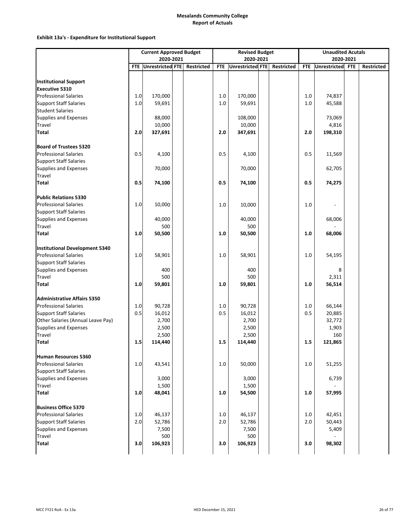### **Exhibit 13a's ‐ Expenditure for Institutional Support**

|                                                       | <b>Current Approved Budget</b><br>2020-2021 |                  |  |            | <b>Revised Budget</b> |                  |  |            |            | <b>Unaudited Acutals</b> |            |            |  |  |
|-------------------------------------------------------|---------------------------------------------|------------------|--|------------|-----------------------|------------------|--|------------|------------|--------------------------|------------|------------|--|--|
|                                                       |                                             |                  |  |            |                       | 2020-2021        |  |            |            | 2020-2021                |            |            |  |  |
|                                                       | <b>FTE</b>                                  | Unrestricted FTE |  | Restricted | <b>FTE</b>            | Unrestricted FTE |  | Restricted | <b>FTE</b> | <b>Unrestricted</b>      | <b>FTE</b> | Restricted |  |  |
|                                                       |                                             |                  |  |            |                       |                  |  |            |            |                          |            |            |  |  |
| <b>Institutional Support</b><br><b>Executive 5310</b> |                                             |                  |  |            |                       |                  |  |            |            |                          |            |            |  |  |
| <b>Professional Salaries</b>                          | 1.0                                         | 170,000          |  |            | 1.0                   | 170,000          |  |            | 1.0        | 74,837                   |            |            |  |  |
| <b>Support Staff Salaries</b>                         | $1.0\,$                                     | 59,691           |  |            | $1.0\,$               | 59,691           |  |            | 1.0        | 45,588                   |            |            |  |  |
| <b>Student Salaries</b>                               |                                             |                  |  |            |                       |                  |  |            |            |                          |            |            |  |  |
| Supplies and Expenses                                 |                                             | 88,000           |  |            |                       | 108,000          |  |            |            | 73,069                   |            |            |  |  |
| Travel                                                |                                             | 10,000           |  |            |                       | 10,000           |  |            |            | 4,816                    |            |            |  |  |
| Total                                                 | 2.0                                         | 327,691          |  |            | 2.0                   | 347,691          |  |            | 2.0        | 198,310                  |            |            |  |  |
| <b>Board of Trustees 5320</b>                         |                                             |                  |  |            |                       |                  |  |            |            |                          |            |            |  |  |
| <b>Professional Salaries</b>                          | 0.5                                         | 4,100            |  |            | 0.5                   | 4,100            |  |            | 0.5        | 11,569                   |            |            |  |  |
| <b>Support Staff Salaries</b>                         |                                             |                  |  |            |                       |                  |  |            |            |                          |            |            |  |  |
| Supplies and Expenses                                 |                                             | 70,000           |  |            |                       | 70,000           |  |            |            | 62,705                   |            |            |  |  |
| Travel                                                |                                             |                  |  |            |                       |                  |  |            |            |                          |            |            |  |  |
| Total                                                 | 0.5                                         | 74,100           |  |            | 0.5                   | 74,100           |  |            | 0.5        | 74,275                   |            |            |  |  |
| <b>Public Relations 5330</b>                          |                                             |                  |  |            |                       |                  |  |            |            |                          |            |            |  |  |
| <b>Professional Salaries</b>                          | 1.0                                         | 10,000           |  |            | $1.0$                 | 10,000           |  |            | 1.0        |                          |            |            |  |  |
| <b>Support Staff Salaries</b>                         |                                             |                  |  |            |                       |                  |  |            |            |                          |            |            |  |  |
| Supplies and Expenses                                 |                                             | 40,000           |  |            |                       | 40,000           |  |            |            | 68,006                   |            |            |  |  |
| Travel                                                |                                             | 500              |  |            |                       | 500              |  |            |            |                          |            |            |  |  |
| <b>Total</b>                                          | 1.0                                         | 50,500           |  |            | 1.0                   | 50,500           |  |            | 1.0        | 68,006                   |            |            |  |  |
| <b>Institutional Development 5340</b>                 |                                             |                  |  |            |                       |                  |  |            |            |                          |            |            |  |  |
| <b>Professional Salaries</b>                          | $1.0\,$                                     | 58,901           |  |            | $1.0$                 | 58,901           |  |            | 1.0        | 54,195                   |            |            |  |  |
| <b>Support Staff Salaries</b>                         |                                             |                  |  |            |                       |                  |  |            |            |                          |            |            |  |  |
| Supplies and Expenses                                 |                                             | 400              |  |            |                       | 400              |  |            |            | 8                        |            |            |  |  |
| Travel                                                |                                             | 500              |  |            |                       | 500              |  |            |            | 2,311                    |            |            |  |  |
| <b>Total</b>                                          | 1.0                                         | 59,801           |  |            | $1.0$                 | 59,801           |  |            | 1.0        | 56,514                   |            |            |  |  |
| <b>Administrative Affairs 5350</b>                    |                                             |                  |  |            |                       |                  |  |            |            |                          |            |            |  |  |
| <b>Professional Salaries</b>                          | 1.0                                         | 90,728           |  |            | 1.0                   | 90,728           |  |            | 1.0        | 66,144                   |            |            |  |  |
| <b>Support Staff Salaries</b>                         | 0.5                                         | 16,012           |  |            | 0.5                   | 16,012           |  |            | 0.5        | 20,885                   |            |            |  |  |
| Other Salaries (Annual Leave Pay)                     |                                             | 2,700            |  |            |                       | 2,700            |  |            |            | 32,772                   |            |            |  |  |
| Supplies and Expenses                                 |                                             | 2,500            |  |            |                       | 2,500            |  |            |            | 1,903                    |            |            |  |  |
| <b>Travel</b>                                         |                                             | 2,500            |  |            |                       | 2,500            |  |            |            | 160                      |            |            |  |  |
| Total                                                 | 1.5                                         | 114,440          |  |            | 1.5                   | 114,440          |  |            | 1.5        | 121,865                  |            |            |  |  |
| <b>Human Resources 5360</b>                           |                                             |                  |  |            |                       |                  |  |            |            |                          |            |            |  |  |
| <b>Professional Salaries</b>                          | 1.0                                         | 43,541           |  |            | 1.0                   | 50,000           |  |            | 1.0        | 51,255                   |            |            |  |  |
| <b>Support Staff Salaries</b>                         |                                             |                  |  |            |                       |                  |  |            |            |                          |            |            |  |  |
| Supplies and Expenses                                 |                                             | 3,000            |  |            |                       | 3,000            |  |            |            | 6,739                    |            |            |  |  |
| Travel                                                |                                             | 1,500            |  |            |                       | 1,500            |  |            |            |                          |            |            |  |  |
| Total                                                 | 1.0                                         | 48,041           |  |            | 1.0                   | 54,500           |  |            | 1.0        | 57,995                   |            |            |  |  |
| <b>Business Office 5370</b>                           |                                             |                  |  |            |                       |                  |  |            |            |                          |            |            |  |  |
| <b>Professional Salaries</b>                          | 1.0                                         | 46,137           |  |            | 1.0                   | 46,137           |  |            | 1.0        | 42,451                   |            |            |  |  |
| <b>Support Staff Salaries</b>                         | 2.0                                         | 52,786           |  |            | $2.0$                 | 52,786           |  |            | 2.0        | 50,443                   |            |            |  |  |
| Supplies and Expenses                                 |                                             | 7,500            |  |            |                       | 7,500            |  |            |            | 5,409                    |            |            |  |  |
| <b>Travel</b>                                         |                                             | 500              |  |            |                       | 500              |  |            |            |                          |            |            |  |  |
| <b>Total</b>                                          | 3.0                                         | 106,923          |  |            | 3.0                   | 106,923          |  |            | 3.0        | 98,302                   |            |            |  |  |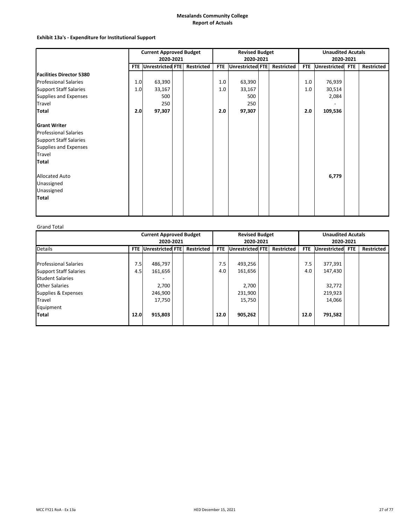### **Exhibit 13a's ‐ Expenditure for Institutional Support**

|                                 | <b>Current Approved Budget</b> |                      |  |            | <b>Revised Budget</b> |                  |  |                   | <b>Unaudited Acutals</b> |                  |           |                   |
|---------------------------------|--------------------------------|----------------------|--|------------|-----------------------|------------------|--|-------------------|--------------------------|------------------|-----------|-------------------|
|                                 |                                | 2020-2021            |  |            |                       | 2020-2021        |  |                   |                          |                  | 2020-2021 |                   |
|                                 |                                | FTE Unrestricted FTE |  | Restricted | <b>FTE</b>            | Unrestricted FTE |  | <b>Restricted</b> | <b>FTE</b>               | Unrestricted FTE |           | <b>Restricted</b> |
| <b>Facilities Director 5380</b> |                                |                      |  |            |                       |                  |  |                   |                          |                  |           |                   |
| <b>Professional Salaries</b>    | 1.0                            | 63,390               |  |            | 1.0                   | 63,390           |  |                   | 1.0                      | 76,939           |           |                   |
| <b>Support Staff Salaries</b>   | 1.0                            | 33,167               |  |            | 1.0                   | 33,167           |  |                   | 1.0                      | 30,514           |           |                   |
| Supplies and Expenses           |                                | 500                  |  |            |                       | 500              |  |                   |                          | 2,084            |           |                   |
| <b>Travel</b>                   |                                | 250                  |  |            |                       | 250              |  |                   |                          |                  |           |                   |
| <b>Total</b>                    | 2.0                            | 97,307               |  |            | 2.0                   | 97,307           |  |                   | 2.0                      | 109,536          |           |                   |
| <b>Grant Writer</b>             |                                |                      |  |            |                       |                  |  |                   |                          |                  |           |                   |
| <b>Professional Salaries</b>    |                                |                      |  |            |                       |                  |  |                   |                          |                  |           |                   |
| <b>Support Staff Salaries</b>   |                                |                      |  |            |                       |                  |  |                   |                          |                  |           |                   |
| Supplies and Expenses           |                                |                      |  |            |                       |                  |  |                   |                          |                  |           |                   |
| Travel                          |                                |                      |  |            |                       |                  |  |                   |                          |                  |           |                   |
| <b>Total</b>                    |                                |                      |  |            |                       |                  |  |                   |                          |                  |           |                   |
| <b>Allocated Auto</b>           |                                |                      |  |            |                       |                  |  |                   |                          | 6,779            |           |                   |
| Unassigned                      |                                |                      |  |            |                       |                  |  |                   |                          |                  |           |                   |
| Unassigned                      |                                |                      |  |            |                       |                  |  |                   |                          |                  |           |                   |
| <b>Total</b>                    |                                |                      |  |            |                       |                  |  |                   |                          |                  |           |                   |
|                                 |                                |                      |  |            |                       |                  |  |                   |                          |                  |           |                   |
|                                 |                                |                      |  |            |                       |                  |  |                   |                          |                  |           |                   |

### Grand Total

|                                                                                          | <b>Current Approved Budget</b><br>2020-2021 |                                       |  |  |            | <b>Revised Budget</b><br>2020-2021 |                   | <b>Unaudited Acutals</b><br>2020-2021 |                             |            |                   |
|------------------------------------------------------------------------------------------|---------------------------------------------|---------------------------------------|--|--|------------|------------------------------------|-------------------|---------------------------------------|-----------------------------|------------|-------------------|
| <b>Details</b>                                                                           | FTE.                                        | <b>Restricted</b><br>Unrestricted FTE |  |  | <b>FTE</b> | Unrestricted FTE                   | <b>Restricted</b> | <b>FTE</b>                            | <b>Unrestricted</b>         | <b>FTE</b> | <b>Restricted</b> |
| <b>Professional Salaries</b><br><b>Support Staff Salaries</b><br><b>Student Salaries</b> | 7.5<br>4.5                                  | 486,797<br>161,656                    |  |  | 7.5<br>4.0 | 493,256<br>161,656                 |                   | 7.5<br>4.0                            | 377,391<br>147,430          |            |                   |
| <b>Other Salaries</b><br>Supplies & Expenses<br><b>Travel</b><br>Equipment               |                                             | 2,700<br>246,900<br>17,750            |  |  |            | 2,700<br>231,900<br>15,750         |                   |                                       | 32,772<br>219,923<br>14,066 |            |                   |
| <b>Total</b>                                                                             | 12.0                                        | 915,803                               |  |  | 12.0       | 905,262                            |                   | 12.0                                  | 791,582                     |            |                   |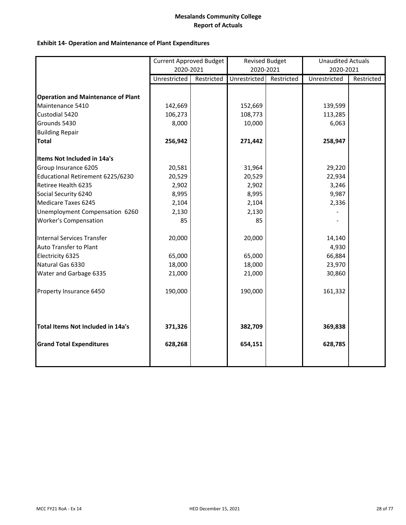## **Exhibit 14‐ Operation and Maintenance of Plant Expenditures**

|                                           | <b>Current Approved Budget</b> |            | <b>Revised Budget</b> |            | <b>Unaudited Actuals</b> |            |
|-------------------------------------------|--------------------------------|------------|-----------------------|------------|--------------------------|------------|
|                                           | 2020-2021                      |            | 2020-2021             |            | 2020-2021                |            |
|                                           | Unrestricted                   | Restricted | Unrestricted          | Restricted | Unrestricted             | Restricted |
|                                           |                                |            |                       |            |                          |            |
| <b>Operation and Maintenance of Plant</b> |                                |            |                       |            |                          |            |
| Maintenance 5410                          | 142,669                        |            | 152,669               |            | 139,599                  |            |
| Custodial 5420                            | 106,273                        |            | 108,773               |            | 113,285                  |            |
| Grounds 5430                              | 8,000                          |            | 10,000                |            | 6,063                    |            |
| <b>Building Repair</b>                    |                                |            |                       |            |                          |            |
| <b>Total</b>                              | 256,942                        |            | 271,442               |            | 258,947                  |            |
| Items Not Included in 14a's               |                                |            |                       |            |                          |            |
| Group Insurance 6205                      | 20,581                         |            | 31,964                |            | 29,220                   |            |
| Educational Retirement 6225/6230          | 20,529                         |            | 20,529                |            | 22,934                   |            |
| Retiree Health 6235                       | 2,902                          |            | 2,902                 |            | 3,246                    |            |
| Social Security 6240                      | 8,995                          |            | 8,995                 |            | 9,987                    |            |
| Medicare Taxes 6245                       | 2,104                          |            | 2,104                 |            | 2,336                    |            |
| Unemployment Compensation 6260            | 2,130                          |            | 2,130                 |            |                          |            |
| <b>Worker's Compensation</b>              | 85                             |            | 85                    |            |                          |            |
| Internal Services Transfer                | 20,000                         |            | 20,000                |            | 14,140                   |            |
| Auto Transfer to Plant                    |                                |            |                       |            | 4,930                    |            |
| Electricity 6325                          | 65,000                         |            | 65,000                |            | 66,884                   |            |
| Natural Gas 6330                          | 18,000                         |            | 18,000                |            | 23,970                   |            |
| Water and Garbage 6335                    | 21,000                         |            | 21,000                |            | 30,860                   |            |
| Property Insurance 6450                   | 190,000                        |            | 190,000               |            | 161,332                  |            |
| <b>Total Items Not Included in 14a's</b>  | 371,326                        |            | 382,709               |            | 369,838                  |            |
| <b>Grand Total Expenditures</b>           | 628,268                        |            | 654,151               |            | 628,785                  |            |
|                                           |                                |            |                       |            |                          |            |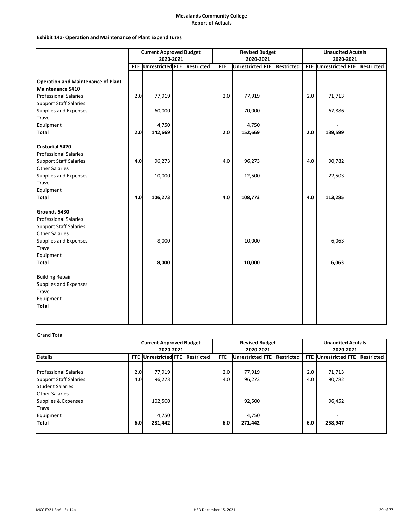### **Exhibit 14a‐ Operation and Maintenance of Plant Expenditures**

|                                           | <b>Current Approved Budget</b> |                                 |  |  | <b>Revised Budget</b> |                         |  |                   |            | <b>Unaudited Acutals</b> |  |                   |  |
|-------------------------------------------|--------------------------------|---------------------------------|--|--|-----------------------|-------------------------|--|-------------------|------------|--------------------------|--|-------------------|--|
|                                           |                                | 2020-2021                       |  |  |                       | 2020-2021               |  |                   |            | 2020-2021                |  |                   |  |
|                                           |                                | FTE Unrestricted FTE Restricted |  |  | <b>FTE</b>            | <b>Unrestricted FTE</b> |  | <b>Restricted</b> | <b>FTE</b> | <b>Unrestricted FTE</b>  |  | <b>Restricted</b> |  |
|                                           |                                |                                 |  |  |                       |                         |  |                   |            |                          |  |                   |  |
| <b>Operation and Maintenance of Plant</b> |                                |                                 |  |  |                       |                         |  |                   |            |                          |  |                   |  |
| Maintenance 5410                          |                                |                                 |  |  |                       |                         |  |                   |            |                          |  |                   |  |
| <b>Professional Salaries</b>              | 2.0                            | 77,919                          |  |  | 2.0                   | 77,919                  |  |                   | 2.0        | 71,713                   |  |                   |  |
| <b>Support Staff Salaries</b>             |                                |                                 |  |  |                       |                         |  |                   |            |                          |  |                   |  |
| Supplies and Expenses                     |                                | 60,000                          |  |  |                       | 70,000                  |  |                   |            | 67,886                   |  |                   |  |
| Travel                                    |                                |                                 |  |  |                       |                         |  |                   |            |                          |  |                   |  |
| Equipment                                 |                                | 4,750                           |  |  |                       | 4,750                   |  |                   |            |                          |  |                   |  |
| <b>Total</b>                              | 2.0                            | 142,669                         |  |  | 2.0                   | 152,669                 |  |                   | 2.0        | 139,599                  |  |                   |  |
| Custodial 5420                            |                                |                                 |  |  |                       |                         |  |                   |            |                          |  |                   |  |
| <b>Professional Salaries</b>              |                                |                                 |  |  |                       |                         |  |                   |            |                          |  |                   |  |
| <b>Support Staff Salaries</b>             | 4.0                            | 96,273                          |  |  | 4.0                   | 96,273                  |  |                   | 4.0        | 90,782                   |  |                   |  |
| <b>Other Salaries</b>                     |                                |                                 |  |  |                       |                         |  |                   |            |                          |  |                   |  |
| Supplies and Expenses                     |                                | 10,000                          |  |  |                       | 12,500                  |  |                   |            | 22,503                   |  |                   |  |
| Travel                                    |                                |                                 |  |  |                       |                         |  |                   |            |                          |  |                   |  |
| Equipment                                 |                                |                                 |  |  |                       |                         |  |                   |            |                          |  |                   |  |
| Total                                     | 4.0                            | 106,273                         |  |  | 4.0                   | 108,773                 |  |                   | 4.0        | 113,285                  |  |                   |  |
| Grounds 5430                              |                                |                                 |  |  |                       |                         |  |                   |            |                          |  |                   |  |
| <b>Professional Salaries</b>              |                                |                                 |  |  |                       |                         |  |                   |            |                          |  |                   |  |
| <b>Support Staff Salaries</b>             |                                |                                 |  |  |                       |                         |  |                   |            |                          |  |                   |  |
| <b>Other Salaries</b>                     |                                |                                 |  |  |                       |                         |  |                   |            |                          |  |                   |  |
| Supplies and Expenses                     |                                | 8,000                           |  |  |                       | 10,000                  |  |                   |            | 6,063                    |  |                   |  |
| Travel                                    |                                |                                 |  |  |                       |                         |  |                   |            |                          |  |                   |  |
| Equipment                                 |                                |                                 |  |  |                       |                         |  |                   |            |                          |  |                   |  |
| Total                                     |                                | 8,000                           |  |  |                       | 10,000                  |  |                   |            | 6,063                    |  |                   |  |
| <b>Building Repair</b>                    |                                |                                 |  |  |                       |                         |  |                   |            |                          |  |                   |  |
| Supplies and Expenses                     |                                |                                 |  |  |                       |                         |  |                   |            |                          |  |                   |  |
| Travel                                    |                                |                                 |  |  |                       |                         |  |                   |            |                          |  |                   |  |
| Equipment                                 |                                |                                 |  |  |                       |                         |  |                   |            |                          |  |                   |  |
| Total                                     |                                |                                 |  |  |                       |                         |  |                   |            |                          |  |                   |  |
|                                           |                                |                                 |  |  |                       |                         |  |                   |            |                          |  |                   |  |
|                                           |                                |                                 |  |  |                       |                         |  |                   |            |                          |  |                   |  |

### Grand Total

|                                                                                          | <b>Current Approved Budget</b><br>2020-2021 |                  |  |                   |            | <b>Revised Budget</b><br>2020-2021 |  | <b>Unaudited Acutals</b><br>2020-2021 |            |                         |  |                   |
|------------------------------------------------------------------------------------------|---------------------------------------------|------------------|--|-------------------|------------|------------------------------------|--|---------------------------------------|------------|-------------------------|--|-------------------|
| <b>Details</b>                                                                           | <b>FTE</b>                                  | Unrestricted FTE |  | <b>Restricted</b> | FTE.       | <b>Unrestricted FTE</b>            |  | <b>Restricted</b>                     | <b>FTE</b> | <b>Unrestricted FTE</b> |  | <b>Restricted</b> |
| <b>Professional Salaries</b><br><b>Support Staff Salaries</b>                            | 2.0<br>4.0                                  | 77,919<br>96,273 |  |                   | 2.0<br>4.0 | 77,919<br>96,273                   |  |                                       | 2.0<br>4.0 | 71,713<br>90,782        |  |                   |
| <b>Student Salaries</b><br><b>Other Salaries</b><br>Supplies & Expenses<br><b>Travel</b> |                                             | 102,500          |  |                   |            | 92,500                             |  |                                       |            | 96,452                  |  |                   |
| Equipment<br><b>Total</b>                                                                | 6.0                                         | 4,750<br>281,442 |  |                   | 6.0        | 4,750<br>271,442                   |  |                                       | 6.0        | 258,947                 |  |                   |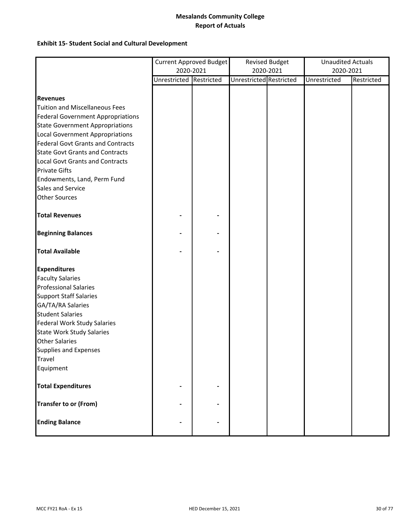### **Exhibit 15‐ Student Social and Cultural Development**

|                                          |                         | <b>Current Approved Budget</b> |                         | <b>Revised Budget</b> | <b>Unaudited Actuals</b> |            |
|------------------------------------------|-------------------------|--------------------------------|-------------------------|-----------------------|--------------------------|------------|
|                                          | 2020-2021               |                                |                         | 2020-2021             | 2020-2021                |            |
|                                          | Unrestricted Restricted |                                | Unrestricted Restricted |                       | Unrestricted             | Restricted |
|                                          |                         |                                |                         |                       |                          |            |
| <b>Revenues</b>                          |                         |                                |                         |                       |                          |            |
| <b>Tuition and Miscellaneous Fees</b>    |                         |                                |                         |                       |                          |            |
| <b>Federal Government Appropriations</b> |                         |                                |                         |                       |                          |            |
| <b>State Government Appropriations</b>   |                         |                                |                         |                       |                          |            |
| <b>Local Government Appropriations</b>   |                         |                                |                         |                       |                          |            |
| <b>Federal Govt Grants and Contracts</b> |                         |                                |                         |                       |                          |            |
| <b>State Govt Grants and Contracts</b>   |                         |                                |                         |                       |                          |            |
| <b>Local Govt Grants and Contracts</b>   |                         |                                |                         |                       |                          |            |
| <b>Private Gifts</b>                     |                         |                                |                         |                       |                          |            |
| Endowments, Land, Perm Fund              |                         |                                |                         |                       |                          |            |
| Sales and Service                        |                         |                                |                         |                       |                          |            |
| <b>Other Sources</b>                     |                         |                                |                         |                       |                          |            |
| <b>Total Revenues</b>                    |                         |                                |                         |                       |                          |            |
| <b>Beginning Balances</b>                |                         |                                |                         |                       |                          |            |
| <b>Total Available</b>                   |                         |                                |                         |                       |                          |            |
| <b>Expenditures</b>                      |                         |                                |                         |                       |                          |            |
| <b>Faculty Salaries</b>                  |                         |                                |                         |                       |                          |            |
| <b>Professional Salaries</b>             |                         |                                |                         |                       |                          |            |
| <b>Support Staff Salaries</b>            |                         |                                |                         |                       |                          |            |
| GA/TA/RA Salaries                        |                         |                                |                         |                       |                          |            |
| <b>Student Salaries</b>                  |                         |                                |                         |                       |                          |            |
| <b>Federal Work Study Salaries</b>       |                         |                                |                         |                       |                          |            |
| <b>State Work Study Salaries</b>         |                         |                                |                         |                       |                          |            |
| <b>Other Salaries</b>                    |                         |                                |                         |                       |                          |            |
| Supplies and Expenses                    |                         |                                |                         |                       |                          |            |
| Travel                                   |                         |                                |                         |                       |                          |            |
| Equipment                                |                         |                                |                         |                       |                          |            |
| <b>Total Expenditures</b>                |                         |                                |                         |                       |                          |            |
| <b>Transfer to or (From)</b>             |                         |                                |                         |                       |                          |            |
| <b>Ending Balance</b>                    |                         |                                |                         |                       |                          |            |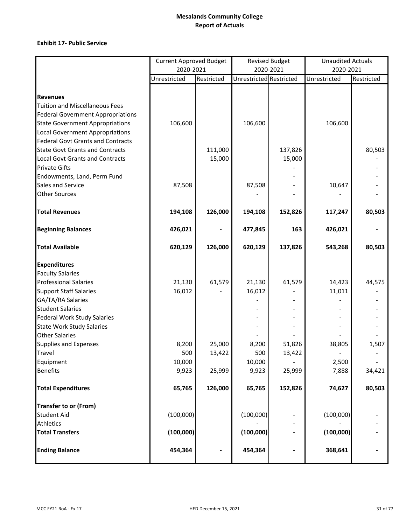### **Exhibit 17‐ Public Service**

|                                          | <b>Current Approved Budget</b> |            |                                | <b>Revised Budget</b> | <b>Unaudited Actuals</b> |            |
|------------------------------------------|--------------------------------|------------|--------------------------------|-----------------------|--------------------------|------------|
|                                          | 2020-2021                      |            | 2020-2021                      |                       | 2020-2021                |            |
|                                          | Unrestricted                   | Restricted | <b>Unrestricted Restricted</b> |                       | Unrestricted             | Restricted |
|                                          |                                |            |                                |                       |                          |            |
| <b>Revenues</b>                          |                                |            |                                |                       |                          |            |
| <b>Tuition and Miscellaneous Fees</b>    |                                |            |                                |                       |                          |            |
| <b>Federal Government Appropriations</b> |                                |            |                                |                       |                          |            |
| <b>State Government Appropriations</b>   | 106,600                        |            | 106,600                        |                       | 106,600                  |            |
| <b>Local Government Appropriations</b>   |                                |            |                                |                       |                          |            |
| <b>Federal Govt Grants and Contracts</b> |                                |            |                                |                       |                          |            |
| <b>State Govt Grants and Contracts</b>   |                                | 111,000    |                                | 137,826               |                          | 80,503     |
| <b>Local Govt Grants and Contracts</b>   |                                | 15,000     |                                | 15,000                |                          |            |
| <b>Private Gifts</b>                     |                                |            |                                |                       |                          |            |
| Endowments, Land, Perm Fund              |                                |            |                                |                       |                          |            |
| Sales and Service                        | 87,508                         |            | 87,508                         |                       | 10,647                   |            |
| <b>Other Sources</b>                     |                                |            |                                |                       |                          |            |
| <b>Total Revenues</b>                    | 194,108                        | 126,000    | 194,108                        | 152,826               | 117,247                  | 80,503     |
| <b>Beginning Balances</b>                | 426,021                        |            | 477,845                        | 163                   | 426,021                  |            |
| <b>Total Available</b>                   | 620,129                        | 126,000    | 620,129                        | 137,826               | 543,268                  | 80,503     |
| <b>Expenditures</b>                      |                                |            |                                |                       |                          |            |
| <b>Faculty Salaries</b>                  |                                |            |                                |                       |                          |            |
| <b>Professional Salaries</b>             | 21,130                         | 61,579     | 21,130                         | 61,579                | 14,423                   | 44,575     |
| <b>Support Staff Salaries</b>            | 16,012                         |            | 16,012                         |                       | 11,011                   |            |
| GA/TA/RA Salaries                        |                                |            |                                |                       |                          |            |
| <b>Student Salaries</b>                  |                                |            |                                |                       |                          |            |
| <b>Federal Work Study Salaries</b>       |                                |            |                                |                       |                          |            |
| <b>State Work Study Salaries</b>         |                                |            |                                |                       |                          |            |
| <b>Other Salaries</b>                    |                                |            |                                |                       |                          |            |
| <b>Supplies and Expenses</b>             | 8,200                          | 25,000     | 8,200                          | 51,826                | 38,805                   | 1,507      |
| Travel                                   | 500                            | 13,422     | 500                            | 13,422                |                          |            |
| Equipment                                | 10,000                         |            | 10,000                         |                       | 2,500                    |            |
| <b>Benefits</b>                          | 9,923                          | 25,999     | 9,923                          | 25,999                | 7,888                    | 34,421     |
| <b>Total Expenditures</b>                | 65,765                         | 126,000    | 65,765                         | 152,826               | 74,627                   | 80,503     |
| <b>Transfer to or (From)</b>             |                                |            |                                |                       |                          |            |
| <b>Student Aid</b>                       | (100,000)                      |            | (100,000)                      |                       | (100,000)                |            |
| <b>Athletics</b>                         |                                |            |                                |                       |                          |            |
| <b>Total Transfers</b>                   | (100,000)                      |            | (100,000)                      |                       | (100,000)                |            |
| <b>Ending Balance</b>                    | 454,364                        |            | 454,364                        |                       | 368,641                  |            |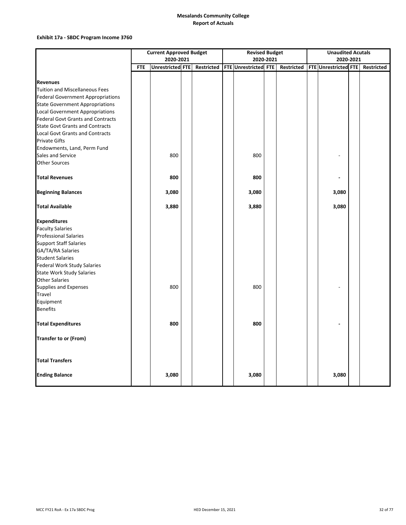### **Exhibit 17a ‐ SBDC Program Income 3760**

|                                          | <b>Current Approved Budget</b> |                         |  |                   |  | <b>Revised Budget</b> |           |            |  | <b>Unaudited Acutals</b>    |  |                   |  |
|------------------------------------------|--------------------------------|-------------------------|--|-------------------|--|-----------------------|-----------|------------|--|-----------------------------|--|-------------------|--|
|                                          |                                | 2020-2021               |  |                   |  |                       | 2020-2021 |            |  | 2020-2021                   |  |                   |  |
|                                          | <b>FTE</b>                     | <b>Unrestricted FTE</b> |  | <b>Restricted</b> |  | FTE Unrestricted FTE  |           | Restricted |  | <b>FTE Unrestricted FTE</b> |  | <b>Restricted</b> |  |
|                                          |                                |                         |  |                   |  |                       |           |            |  |                             |  |                   |  |
| <b>Revenues</b>                          |                                |                         |  |                   |  |                       |           |            |  |                             |  |                   |  |
| <b>Tuition and Miscellaneous Fees</b>    |                                |                         |  |                   |  |                       |           |            |  |                             |  |                   |  |
| <b>Federal Government Appropriations</b> |                                |                         |  |                   |  |                       |           |            |  |                             |  |                   |  |
| <b>State Government Appropriations</b>   |                                |                         |  |                   |  |                       |           |            |  |                             |  |                   |  |
| <b>Local Government Appropriations</b>   |                                |                         |  |                   |  |                       |           |            |  |                             |  |                   |  |
| <b>Federal Govt Grants and Contracts</b> |                                |                         |  |                   |  |                       |           |            |  |                             |  |                   |  |
| <b>State Govt Grants and Contracts</b>   |                                |                         |  |                   |  |                       |           |            |  |                             |  |                   |  |
| <b>Local Govt Grants and Contracts</b>   |                                |                         |  |                   |  |                       |           |            |  |                             |  |                   |  |
| <b>Private Gifts</b>                     |                                |                         |  |                   |  |                       |           |            |  |                             |  |                   |  |
| Endowments, Land, Perm Fund              |                                |                         |  |                   |  |                       |           |            |  |                             |  |                   |  |
| Sales and Service                        |                                | 800                     |  |                   |  | 800                   |           |            |  |                             |  |                   |  |
| <b>Other Sources</b>                     |                                |                         |  |                   |  |                       |           |            |  |                             |  |                   |  |
| <b>Total Revenues</b>                    |                                | 800                     |  |                   |  | 800                   |           |            |  |                             |  |                   |  |
| <b>Beginning Balances</b>                |                                | 3,080                   |  |                   |  | 3,080                 |           |            |  | 3,080                       |  |                   |  |
| <b>Total Available</b>                   |                                | 3,880                   |  |                   |  | 3,880                 |           |            |  | 3,080                       |  |                   |  |
| <b>Expenditures</b>                      |                                |                         |  |                   |  |                       |           |            |  |                             |  |                   |  |
| <b>Faculty Salaries</b>                  |                                |                         |  |                   |  |                       |           |            |  |                             |  |                   |  |
| <b>Professional Salaries</b>             |                                |                         |  |                   |  |                       |           |            |  |                             |  |                   |  |
| <b>Support Staff Salaries</b>            |                                |                         |  |                   |  |                       |           |            |  |                             |  |                   |  |
| GA/TA/RA Salaries                        |                                |                         |  |                   |  |                       |           |            |  |                             |  |                   |  |
| <b>Student Salaries</b>                  |                                |                         |  |                   |  |                       |           |            |  |                             |  |                   |  |
| Federal Work Study Salaries              |                                |                         |  |                   |  |                       |           |            |  |                             |  |                   |  |
| <b>State Work Study Salaries</b>         |                                |                         |  |                   |  |                       |           |            |  |                             |  |                   |  |
| <b>Other Salaries</b>                    |                                |                         |  |                   |  |                       |           |            |  |                             |  |                   |  |
| Supplies and Expenses                    |                                | 800                     |  |                   |  | 800                   |           |            |  |                             |  |                   |  |
| Travel                                   |                                |                         |  |                   |  |                       |           |            |  |                             |  |                   |  |
| Equipment                                |                                |                         |  |                   |  |                       |           |            |  |                             |  |                   |  |
| <b>Benefits</b>                          |                                |                         |  |                   |  |                       |           |            |  |                             |  |                   |  |
| <b>Total Expenditures</b>                |                                | 800                     |  |                   |  | 800                   |           |            |  |                             |  |                   |  |
| Transfer to or (From)                    |                                |                         |  |                   |  |                       |           |            |  |                             |  |                   |  |
| <b>Total Transfers</b>                   |                                |                         |  |                   |  |                       |           |            |  |                             |  |                   |  |
| <b>Ending Balance</b>                    |                                | 3,080                   |  |                   |  | 3,080                 |           |            |  | 3,080                       |  |                   |  |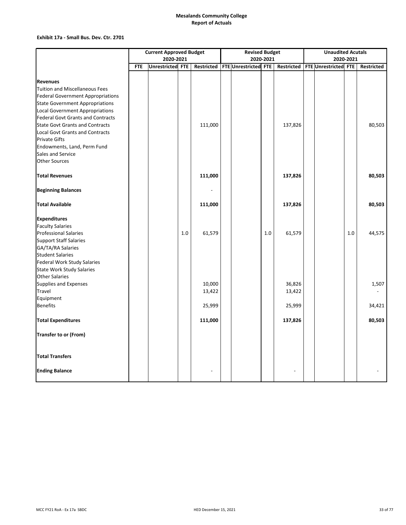### **Exhibit 17a ‐ Small Bus. Dev. Ctr. 2701**

|                                                                                    | <b>Current Approved Budget</b> |                  |         |         |  | <b>Revised Budget</b>           |           | <b>Unaudited Acutals</b> |           |                      |     |            |
|------------------------------------------------------------------------------------|--------------------------------|------------------|---------|---------|--|---------------------------------|-----------|--------------------------|-----------|----------------------|-----|------------|
|                                                                                    | 2020-2021                      |                  |         |         |  |                                 | 2020-2021 |                          | 2020-2021 |                      |     |            |
|                                                                                    | <b>FTE</b>                     | Unrestricted FTE |         |         |  | Restricted FTE Unrestricted FTE |           | <b>Restricted</b>        |           | FTE Unrestricted FTE |     | Restricted |
|                                                                                    |                                |                  |         |         |  |                                 |           |                          |           |                      |     |            |
| <b>Revenues</b><br><b>Tuition and Miscellaneous Fees</b>                           |                                |                  |         |         |  |                                 |           |                          |           |                      |     |            |
|                                                                                    |                                |                  |         |         |  |                                 |           |                          |           |                      |     |            |
| <b>Federal Government Appropriations</b><br><b>State Government Appropriations</b> |                                |                  |         |         |  |                                 |           |                          |           |                      |     |            |
| Local Government Appropriations                                                    |                                |                  |         |         |  |                                 |           |                          |           |                      |     |            |
| <b>Federal Govt Grants and Contracts</b>                                           |                                |                  |         |         |  |                                 |           |                          |           |                      |     |            |
| <b>State Govt Grants and Contracts</b>                                             |                                |                  |         | 111,000 |  |                                 |           | 137,826                  |           |                      |     | 80,503     |
| <b>Local Govt Grants and Contracts</b>                                             |                                |                  |         |         |  |                                 |           |                          |           |                      |     |            |
| <b>Private Gifts</b>                                                               |                                |                  |         |         |  |                                 |           |                          |           |                      |     |            |
| Endowments, Land, Perm Fund                                                        |                                |                  |         |         |  |                                 |           |                          |           |                      |     |            |
| Sales and Service                                                                  |                                |                  |         |         |  |                                 |           |                          |           |                      |     |            |
| <b>Other Sources</b>                                                               |                                |                  |         |         |  |                                 |           |                          |           |                      |     |            |
|                                                                                    |                                |                  |         |         |  |                                 |           |                          |           |                      |     |            |
| <b>Total Revenues</b>                                                              |                                |                  |         | 111,000 |  |                                 |           | 137,826                  |           |                      |     | 80,503     |
| <b>Beginning Balances</b>                                                          |                                |                  |         |         |  |                                 |           |                          |           |                      |     |            |
| <b>Total Available</b>                                                             |                                |                  |         | 111,000 |  |                                 |           | 137,826                  |           |                      |     | 80,503     |
| <b>Expenditures</b>                                                                |                                |                  |         |         |  |                                 |           |                          |           |                      |     |            |
| <b>Faculty Salaries</b>                                                            |                                |                  |         |         |  |                                 |           |                          |           |                      |     |            |
| <b>Professional Salaries</b>                                                       |                                |                  | $1.0\,$ | 61,579  |  |                                 | 1.0       | 61,579                   |           |                      | 1.0 | 44,575     |
| <b>Support Staff Salaries</b>                                                      |                                |                  |         |         |  |                                 |           |                          |           |                      |     |            |
| GA/TA/RA Salaries                                                                  |                                |                  |         |         |  |                                 |           |                          |           |                      |     |            |
| <b>Student Salaries</b>                                                            |                                |                  |         |         |  |                                 |           |                          |           |                      |     |            |
| Federal Work Study Salaries                                                        |                                |                  |         |         |  |                                 |           |                          |           |                      |     |            |
| <b>State Work Study Salaries</b>                                                   |                                |                  |         |         |  |                                 |           |                          |           |                      |     |            |
| <b>Other Salaries</b>                                                              |                                |                  |         |         |  |                                 |           |                          |           |                      |     |            |
| Supplies and Expenses                                                              |                                |                  |         | 10,000  |  |                                 |           | 36,826                   |           |                      |     | 1,507      |
| <b>Travel</b>                                                                      |                                |                  |         | 13,422  |  |                                 |           | 13,422                   |           |                      |     |            |
| Equipment                                                                          |                                |                  |         |         |  |                                 |           |                          |           |                      |     |            |
| <b>Benefits</b>                                                                    |                                |                  |         | 25,999  |  |                                 |           | 25,999                   |           |                      |     | 34,421     |
| <b>Total Expenditures</b>                                                          |                                |                  |         | 111,000 |  |                                 |           | 137,826                  |           |                      |     | 80,503     |
| Transfer to or (From)                                                              |                                |                  |         |         |  |                                 |           |                          |           |                      |     |            |
| <b>Total Transfers</b>                                                             |                                |                  |         |         |  |                                 |           |                          |           |                      |     |            |
| <b>Ending Balance</b>                                                              |                                |                  |         |         |  |                                 |           |                          |           |                      |     |            |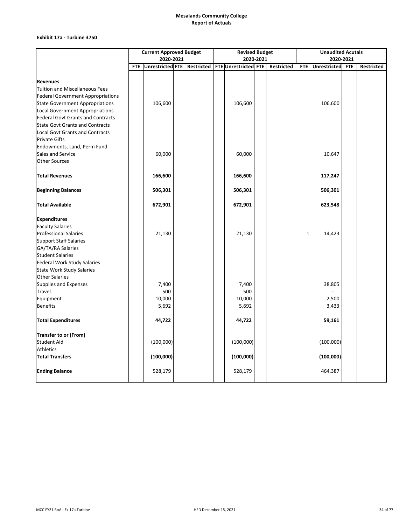### **Exhibit 17a ‐ Turbine 3750**

|                                          | <b>Current Approved Budget</b> |                                 |  |  |  | <b>Revised Budget</b>       |           |                   | <b>Unaudited Acutals</b> |                     |            |                   |  |  |
|------------------------------------------|--------------------------------|---------------------------------|--|--|--|-----------------------------|-----------|-------------------|--------------------------|---------------------|------------|-------------------|--|--|
|                                          |                                | 2020-2021                       |  |  |  |                             | 2020-2021 |                   | 2020-2021                |                     |            |                   |  |  |
|                                          |                                | FTE Unrestricted FTE Restricted |  |  |  | <b>FTE Unrestricted FTE</b> |           | <b>Restricted</b> | <b>FTE</b>               | <b>Unrestricted</b> | <b>FTE</b> | <b>Restricted</b> |  |  |
|                                          |                                |                                 |  |  |  |                             |           |                   |                          |                     |            |                   |  |  |
| <b>Revenues</b>                          |                                |                                 |  |  |  |                             |           |                   |                          |                     |            |                   |  |  |
| Tuition and Miscellaneous Fees           |                                |                                 |  |  |  |                             |           |                   |                          |                     |            |                   |  |  |
| <b>Federal Government Appropriations</b> |                                |                                 |  |  |  |                             |           |                   |                          |                     |            |                   |  |  |
| <b>State Government Appropriations</b>   |                                | 106,600                         |  |  |  | 106,600                     |           |                   |                          | 106,600             |            |                   |  |  |
| Local Government Appropriations          |                                |                                 |  |  |  |                             |           |                   |                          |                     |            |                   |  |  |
| <b>Federal Govt Grants and Contracts</b> |                                |                                 |  |  |  |                             |           |                   |                          |                     |            |                   |  |  |
| <b>State Govt Grants and Contracts</b>   |                                |                                 |  |  |  |                             |           |                   |                          |                     |            |                   |  |  |
| <b>Local Govt Grants and Contracts</b>   |                                |                                 |  |  |  |                             |           |                   |                          |                     |            |                   |  |  |
| <b>Private Gifts</b>                     |                                |                                 |  |  |  |                             |           |                   |                          |                     |            |                   |  |  |
| Endowments, Land, Perm Fund              |                                |                                 |  |  |  |                             |           |                   |                          |                     |            |                   |  |  |
| Sales and Service                        |                                | 60,000                          |  |  |  | 60,000                      |           |                   |                          | 10,647              |            |                   |  |  |
| <b>Other Sources</b>                     |                                |                                 |  |  |  |                             |           |                   |                          |                     |            |                   |  |  |
| <b>Total Revenues</b>                    |                                | 166,600                         |  |  |  | 166,600                     |           |                   |                          | 117,247             |            |                   |  |  |
| <b>Beginning Balances</b>                |                                | 506,301                         |  |  |  | 506,301                     |           |                   |                          | 506,301             |            |                   |  |  |
|                                          |                                |                                 |  |  |  |                             |           |                   |                          |                     |            |                   |  |  |
| <b>Total Available</b>                   |                                | 672,901                         |  |  |  | 672,901                     |           |                   |                          | 623,548             |            |                   |  |  |
| <b>Expenditures</b>                      |                                |                                 |  |  |  |                             |           |                   |                          |                     |            |                   |  |  |
| <b>Faculty Salaries</b>                  |                                |                                 |  |  |  |                             |           |                   |                          |                     |            |                   |  |  |
| <b>Professional Salaries</b>             |                                | 21,130                          |  |  |  | 21,130                      |           |                   | $\mathbf{1}$             | 14,423              |            |                   |  |  |
| <b>Support Staff Salaries</b>            |                                |                                 |  |  |  |                             |           |                   |                          |                     |            |                   |  |  |
| GA/TA/RA Salaries                        |                                |                                 |  |  |  |                             |           |                   |                          |                     |            |                   |  |  |
| <b>Student Salaries</b>                  |                                |                                 |  |  |  |                             |           |                   |                          |                     |            |                   |  |  |
| <b>Federal Work Study Salaries</b>       |                                |                                 |  |  |  |                             |           |                   |                          |                     |            |                   |  |  |
| <b>State Work Study Salaries</b>         |                                |                                 |  |  |  |                             |           |                   |                          |                     |            |                   |  |  |
| <b>Other Salaries</b>                    |                                |                                 |  |  |  |                             |           |                   |                          |                     |            |                   |  |  |
| Supplies and Expenses                    |                                | 7,400                           |  |  |  | 7,400                       |           |                   |                          | 38,805              |            |                   |  |  |
| <b>Travel</b>                            |                                | 500                             |  |  |  | 500                         |           |                   |                          |                     |            |                   |  |  |
| Equipment                                |                                | 10,000                          |  |  |  | 10,000                      |           |                   |                          | 2,500               |            |                   |  |  |
| <b>Benefits</b>                          |                                | 5,692                           |  |  |  | 5,692                       |           |                   |                          | 3,433               |            |                   |  |  |
| <b>Total Expenditures</b>                |                                | 44,722                          |  |  |  | 44,722                      |           |                   |                          | 59,161              |            |                   |  |  |
| Transfer to or (From)                    |                                |                                 |  |  |  |                             |           |                   |                          |                     |            |                   |  |  |
| <b>Student Aid</b>                       |                                | (100,000)                       |  |  |  | (100,000)                   |           |                   |                          | (100,000)           |            |                   |  |  |
| Athletics                                |                                |                                 |  |  |  |                             |           |                   |                          |                     |            |                   |  |  |
| <b>Total Transfers</b>                   |                                | (100,000)                       |  |  |  | (100,000)                   |           |                   |                          | (100,000)           |            |                   |  |  |
| <b>Ending Balance</b>                    |                                | 528,179                         |  |  |  | 528,179                     |           |                   |                          | 464,387             |            |                   |  |  |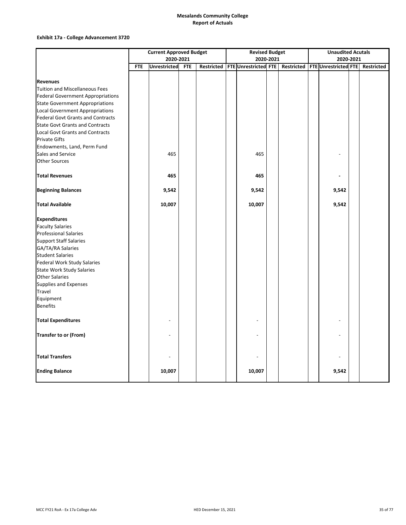### **Exhibit 17a ‐ College Advancement 3720**

|                                          | <b>Current Approved Budget</b> |                     |            |  |  | <b>Revised Budget</b>             |  | <b>Unaudited Acutals</b> |  |                      |  |                   |
|------------------------------------------|--------------------------------|---------------------|------------|--|--|-----------------------------------|--|--------------------------|--|----------------------|--|-------------------|
|                                          | 2020-2021                      |                     |            |  |  | 2020-2021                         |  | 2020-2021                |  |                      |  |                   |
|                                          | <b>FTE</b>                     | <b>Unrestricted</b> | <b>FTE</b> |  |  | Restricted   FTE Unrestricted FTE |  | Restricted               |  | FTE Unrestricted FTE |  | <b>Restricted</b> |
|                                          |                                |                     |            |  |  |                                   |  |                          |  |                      |  |                   |
| <b>Revenues</b>                          |                                |                     |            |  |  |                                   |  |                          |  |                      |  |                   |
| <b>Tuition and Miscellaneous Fees</b>    |                                |                     |            |  |  |                                   |  |                          |  |                      |  |                   |
| <b>Federal Government Appropriations</b> |                                |                     |            |  |  |                                   |  |                          |  |                      |  |                   |
| <b>State Government Appropriations</b>   |                                |                     |            |  |  |                                   |  |                          |  |                      |  |                   |
| <b>Local Government Appropriations</b>   |                                |                     |            |  |  |                                   |  |                          |  |                      |  |                   |
| <b>Federal Govt Grants and Contracts</b> |                                |                     |            |  |  |                                   |  |                          |  |                      |  |                   |
| <b>State Govt Grants and Contracts</b>   |                                |                     |            |  |  |                                   |  |                          |  |                      |  |                   |
| <b>Local Govt Grants and Contracts</b>   |                                |                     |            |  |  |                                   |  |                          |  |                      |  |                   |
| <b>Private Gifts</b>                     |                                |                     |            |  |  |                                   |  |                          |  |                      |  |                   |
| Endowments, Land, Perm Fund              |                                |                     |            |  |  |                                   |  |                          |  |                      |  |                   |
| Sales and Service                        |                                | 465                 |            |  |  | 465                               |  |                          |  |                      |  |                   |
| <b>Other Sources</b>                     |                                |                     |            |  |  |                                   |  |                          |  |                      |  |                   |
| <b>Total Revenues</b>                    |                                | 465                 |            |  |  | 465                               |  |                          |  |                      |  |                   |
| <b>Beginning Balances</b>                |                                | 9,542               |            |  |  | 9,542                             |  |                          |  | 9,542                |  |                   |
| <b>Total Available</b>                   |                                | 10,007              |            |  |  | 10,007                            |  |                          |  | 9,542                |  |                   |
| <b>Expenditures</b>                      |                                |                     |            |  |  |                                   |  |                          |  |                      |  |                   |
| <b>Faculty Salaries</b>                  |                                |                     |            |  |  |                                   |  |                          |  |                      |  |                   |
| <b>Professional Salaries</b>             |                                |                     |            |  |  |                                   |  |                          |  |                      |  |                   |
| <b>Support Staff Salaries</b>            |                                |                     |            |  |  |                                   |  |                          |  |                      |  |                   |
| GA/TA/RA Salaries                        |                                |                     |            |  |  |                                   |  |                          |  |                      |  |                   |
| <b>Student Salaries</b>                  |                                |                     |            |  |  |                                   |  |                          |  |                      |  |                   |
| Federal Work Study Salaries              |                                |                     |            |  |  |                                   |  |                          |  |                      |  |                   |
| <b>State Work Study Salaries</b>         |                                |                     |            |  |  |                                   |  |                          |  |                      |  |                   |
| <b>Other Salaries</b>                    |                                |                     |            |  |  |                                   |  |                          |  |                      |  |                   |
| Supplies and Expenses                    |                                |                     |            |  |  |                                   |  |                          |  |                      |  |                   |
| Travel                                   |                                |                     |            |  |  |                                   |  |                          |  |                      |  |                   |
| Equipment                                |                                |                     |            |  |  |                                   |  |                          |  |                      |  |                   |
| <b>Benefits</b>                          |                                |                     |            |  |  |                                   |  |                          |  |                      |  |                   |
| <b>Total Expenditures</b>                |                                |                     |            |  |  |                                   |  |                          |  |                      |  |                   |
| Transfer to or (From)                    |                                |                     |            |  |  |                                   |  |                          |  |                      |  |                   |
| <b>Total Transfers</b>                   |                                |                     |            |  |  |                                   |  |                          |  |                      |  |                   |
| <b>Ending Balance</b>                    |                                | 10,007              |            |  |  | 10,007                            |  |                          |  | 9,542                |  |                   |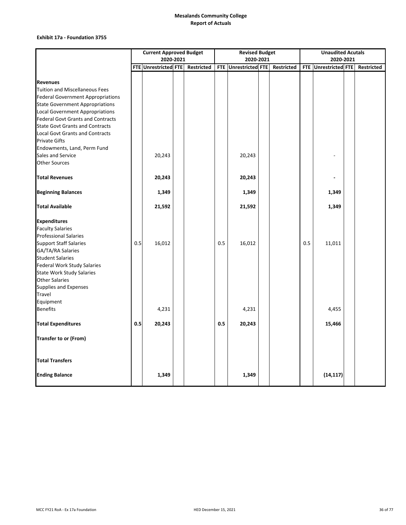### **Exhibit 17a ‐ Foundation 3755**

|                                          | <b>Current Approved Budget</b> |                      |  |            |     | <b>Revised Budget</b> |  | <b>Unaudited Acutals</b> |           |                      |  |            |
|------------------------------------------|--------------------------------|----------------------|--|------------|-----|-----------------------|--|--------------------------|-----------|----------------------|--|------------|
|                                          | 2020-2021                      |                      |  |            |     | 2020-2021             |  |                          | 2020-2021 |                      |  |            |
|                                          |                                | FTE Unrestricted FTE |  | Restricted |     | FTE Unrestricted FTE  |  | Restricted               |           | FTE Unrestricted FTE |  | Restricted |
|                                          |                                |                      |  |            |     |                       |  |                          |           |                      |  |            |
| <b>Revenues</b>                          |                                |                      |  |            |     |                       |  |                          |           |                      |  |            |
| <b>Tuition and Miscellaneous Fees</b>    |                                |                      |  |            |     |                       |  |                          |           |                      |  |            |
| <b>Federal Government Appropriations</b> |                                |                      |  |            |     |                       |  |                          |           |                      |  |            |
| <b>State Government Appropriations</b>   |                                |                      |  |            |     |                       |  |                          |           |                      |  |            |
| <b>Local Government Appropriations</b>   |                                |                      |  |            |     |                       |  |                          |           |                      |  |            |
| <b>Federal Govt Grants and Contracts</b> |                                |                      |  |            |     |                       |  |                          |           |                      |  |            |
| <b>State Govt Grants and Contracts</b>   |                                |                      |  |            |     |                       |  |                          |           |                      |  |            |
| <b>Local Govt Grants and Contracts</b>   |                                |                      |  |            |     |                       |  |                          |           |                      |  |            |
| <b>Private Gifts</b>                     |                                |                      |  |            |     |                       |  |                          |           |                      |  |            |
| Endowments, Land, Perm Fund              |                                |                      |  |            |     |                       |  |                          |           |                      |  |            |
| Sales and Service                        |                                | 20,243               |  |            |     | 20,243                |  |                          |           |                      |  |            |
| <b>Other Sources</b>                     |                                |                      |  |            |     |                       |  |                          |           |                      |  |            |
| <b>Total Revenues</b>                    |                                | 20,243               |  |            |     | 20,243                |  |                          |           |                      |  |            |
|                                          |                                |                      |  |            |     |                       |  |                          |           |                      |  |            |
| <b>Beginning Balances</b>                |                                | 1,349                |  |            |     | 1,349                 |  |                          |           | 1,349                |  |            |
| <b>Total Available</b>                   |                                | 21,592               |  |            |     | 21,592                |  |                          |           | 1,349                |  |            |
| <b>Expenditures</b>                      |                                |                      |  |            |     |                       |  |                          |           |                      |  |            |
| <b>Faculty Salaries</b>                  |                                |                      |  |            |     |                       |  |                          |           |                      |  |            |
| <b>Professional Salaries</b>             |                                |                      |  |            |     |                       |  |                          |           |                      |  |            |
| <b>Support Staff Salaries</b>            | 0.5                            | 16,012               |  |            | 0.5 | 16,012                |  |                          | 0.5       | 11,011               |  |            |
| GA/TA/RA Salaries                        |                                |                      |  |            |     |                       |  |                          |           |                      |  |            |
| <b>Student Salaries</b>                  |                                |                      |  |            |     |                       |  |                          |           |                      |  |            |
| <b>Federal Work Study Salaries</b>       |                                |                      |  |            |     |                       |  |                          |           |                      |  |            |
| <b>State Work Study Salaries</b>         |                                |                      |  |            |     |                       |  |                          |           |                      |  |            |
| <b>Other Salaries</b>                    |                                |                      |  |            |     |                       |  |                          |           |                      |  |            |
| Supplies and Expenses                    |                                |                      |  |            |     |                       |  |                          |           |                      |  |            |
| Travel                                   |                                |                      |  |            |     |                       |  |                          |           |                      |  |            |
| Equipment                                |                                |                      |  |            |     |                       |  |                          |           |                      |  |            |
| <b>Benefits</b>                          |                                | 4,231                |  |            |     | 4,231                 |  |                          |           | 4,455                |  |            |
| <b>Total Expenditures</b>                | 0.5                            | 20,243               |  |            | 0.5 | 20,243                |  |                          |           | 15,466               |  |            |
| Transfer to or (From)                    |                                |                      |  |            |     |                       |  |                          |           |                      |  |            |
| <b>Total Transfers</b>                   |                                |                      |  |            |     |                       |  |                          |           |                      |  |            |
| <b>Ending Balance</b>                    |                                | 1,349                |  |            |     | 1,349                 |  |                          |           | (14, 117)            |  |            |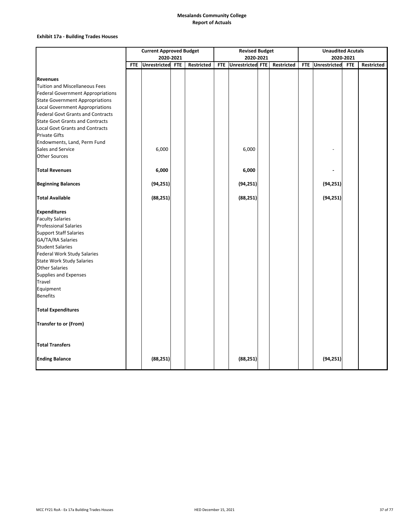### **Exhibit 17a ‐ Building Trades Houses**

|                                                                                    | <b>Current Approved Budget</b> |                  |  |                   |            | <b>Revised Budget</b> |                   | <b>Unaudited Acutals</b> |                     |            |                   |  |
|------------------------------------------------------------------------------------|--------------------------------|------------------|--|-------------------|------------|-----------------------|-------------------|--------------------------|---------------------|------------|-------------------|--|
|                                                                                    |                                | 2020-2021        |  |                   |            | 2020-2021             |                   |                          |                     | 2020-2021  |                   |  |
|                                                                                    | <b>FTE</b>                     | Unrestricted FTE |  | <b>Restricted</b> | <b>FTE</b> | Unrestricted FTE      | <b>Restricted</b> | <b>FTE</b>               | <b>Unrestricted</b> | <b>FTE</b> | <b>Restricted</b> |  |
|                                                                                    |                                |                  |  |                   |            |                       |                   |                          |                     |            |                   |  |
| <b>Revenues</b>                                                                    |                                |                  |  |                   |            |                       |                   |                          |                     |            |                   |  |
| <b>Tuition and Miscellaneous Fees</b>                                              |                                |                  |  |                   |            |                       |                   |                          |                     |            |                   |  |
| <b>Federal Government Appropriations</b><br><b>State Government Appropriations</b> |                                |                  |  |                   |            |                       |                   |                          |                     |            |                   |  |
| <b>Local Government Appropriations</b>                                             |                                |                  |  |                   |            |                       |                   |                          |                     |            |                   |  |
| <b>Federal Govt Grants and Contracts</b>                                           |                                |                  |  |                   |            |                       |                   |                          |                     |            |                   |  |
| <b>State Govt Grants and Contracts</b>                                             |                                |                  |  |                   |            |                       |                   |                          |                     |            |                   |  |
| <b>Local Govt Grants and Contracts</b>                                             |                                |                  |  |                   |            |                       |                   |                          |                     |            |                   |  |
| <b>Private Gifts</b>                                                               |                                |                  |  |                   |            |                       |                   |                          |                     |            |                   |  |
| Endowments, Land, Perm Fund                                                        |                                |                  |  |                   |            |                       |                   |                          |                     |            |                   |  |
| Sales and Service                                                                  |                                | 6,000            |  |                   |            | 6,000                 |                   |                          |                     |            |                   |  |
| <b>Other Sources</b>                                                               |                                |                  |  |                   |            |                       |                   |                          |                     |            |                   |  |
| <b>Total Revenues</b>                                                              |                                | 6,000            |  |                   |            | 6,000                 |                   |                          |                     |            |                   |  |
| <b>Beginning Balances</b>                                                          |                                | (94, 251)        |  |                   |            | (94, 251)             |                   |                          | (94, 251)           |            |                   |  |
|                                                                                    |                                |                  |  |                   |            |                       |                   |                          |                     |            |                   |  |
| <b>Total Available</b>                                                             |                                | (88, 251)        |  |                   |            | (88, 251)             |                   |                          | (94, 251)           |            |                   |  |
| <b>Expenditures</b>                                                                |                                |                  |  |                   |            |                       |                   |                          |                     |            |                   |  |
| <b>Faculty Salaries</b>                                                            |                                |                  |  |                   |            |                       |                   |                          |                     |            |                   |  |
| <b>Professional Salaries</b>                                                       |                                |                  |  |                   |            |                       |                   |                          |                     |            |                   |  |
| <b>Support Staff Salaries</b>                                                      |                                |                  |  |                   |            |                       |                   |                          |                     |            |                   |  |
| GA/TA/RA Salaries                                                                  |                                |                  |  |                   |            |                       |                   |                          |                     |            |                   |  |
| <b>Student Salaries</b>                                                            |                                |                  |  |                   |            |                       |                   |                          |                     |            |                   |  |
| <b>Federal Work Study Salaries</b>                                                 |                                |                  |  |                   |            |                       |                   |                          |                     |            |                   |  |
| <b>State Work Study Salaries</b>                                                   |                                |                  |  |                   |            |                       |                   |                          |                     |            |                   |  |
| <b>Other Salaries</b>                                                              |                                |                  |  |                   |            |                       |                   |                          |                     |            |                   |  |
| <b>Supplies and Expenses</b>                                                       |                                |                  |  |                   |            |                       |                   |                          |                     |            |                   |  |
| Travel                                                                             |                                |                  |  |                   |            |                       |                   |                          |                     |            |                   |  |
| Equipment                                                                          |                                |                  |  |                   |            |                       |                   |                          |                     |            |                   |  |
| <b>Benefits</b>                                                                    |                                |                  |  |                   |            |                       |                   |                          |                     |            |                   |  |
| <b>Total Expenditures</b>                                                          |                                |                  |  |                   |            |                       |                   |                          |                     |            |                   |  |
| <b>Transfer to or (From)</b>                                                       |                                |                  |  |                   |            |                       |                   |                          |                     |            |                   |  |
| <b>Total Transfers</b>                                                             |                                |                  |  |                   |            |                       |                   |                          |                     |            |                   |  |
| <b>Ending Balance</b>                                                              |                                | (88, 251)        |  |                   |            | (88, 251)             |                   |                          | (94, 251)           |            |                   |  |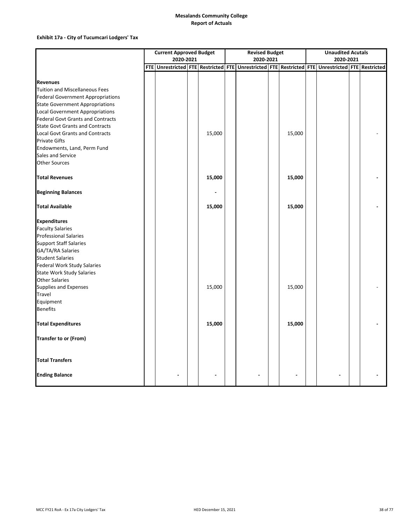### **Exhibit 17a ‐ City of Tucumcari Lodgers' Tax**

|                                          | <b>Current Approved Budget</b> |           |  |        |  | <b>Revised Budget</b>                                                                           |  |        |  | <b>Unaudited Acutals</b> |  |  |  |
|------------------------------------------|--------------------------------|-----------|--|--------|--|-------------------------------------------------------------------------------------------------|--|--------|--|--------------------------|--|--|--|
|                                          |                                | 2020-2021 |  |        |  | 2020-2021                                                                                       |  |        |  | 2020-2021                |  |  |  |
|                                          |                                |           |  |        |  | FTE Unrestricted FTE Restricted FTE Unrestricted FTE Restricted FTE Unrestricted FTE Restricted |  |        |  |                          |  |  |  |
|                                          |                                |           |  |        |  |                                                                                                 |  |        |  |                          |  |  |  |
| <b>Revenues</b>                          |                                |           |  |        |  |                                                                                                 |  |        |  |                          |  |  |  |
| <b>Tuition and Miscellaneous Fees</b>    |                                |           |  |        |  |                                                                                                 |  |        |  |                          |  |  |  |
| <b>Federal Government Appropriations</b> |                                |           |  |        |  |                                                                                                 |  |        |  |                          |  |  |  |
| <b>State Government Appropriations</b>   |                                |           |  |        |  |                                                                                                 |  |        |  |                          |  |  |  |
| <b>Local Government Appropriations</b>   |                                |           |  |        |  |                                                                                                 |  |        |  |                          |  |  |  |
| <b>Federal Govt Grants and Contracts</b> |                                |           |  |        |  |                                                                                                 |  |        |  |                          |  |  |  |
| <b>State Govt Grants and Contracts</b>   |                                |           |  |        |  |                                                                                                 |  |        |  |                          |  |  |  |
| <b>Local Govt Grants and Contracts</b>   |                                |           |  | 15,000 |  |                                                                                                 |  | 15,000 |  |                          |  |  |  |
| <b>Private Gifts</b>                     |                                |           |  |        |  |                                                                                                 |  |        |  |                          |  |  |  |
| Endowments, Land, Perm Fund              |                                |           |  |        |  |                                                                                                 |  |        |  |                          |  |  |  |
| Sales and Service                        |                                |           |  |        |  |                                                                                                 |  |        |  |                          |  |  |  |
| <b>Other Sources</b>                     |                                |           |  |        |  |                                                                                                 |  |        |  |                          |  |  |  |
| <b>Total Revenues</b>                    |                                |           |  | 15,000 |  |                                                                                                 |  | 15,000 |  |                          |  |  |  |
| <b>Beginning Balances</b>                |                                |           |  |        |  |                                                                                                 |  |        |  |                          |  |  |  |
| <b>Total Available</b>                   |                                |           |  | 15,000 |  |                                                                                                 |  | 15,000 |  |                          |  |  |  |
| <b>Expenditures</b>                      |                                |           |  |        |  |                                                                                                 |  |        |  |                          |  |  |  |
| <b>Faculty Salaries</b>                  |                                |           |  |        |  |                                                                                                 |  |        |  |                          |  |  |  |
| <b>Professional Salaries</b>             |                                |           |  |        |  |                                                                                                 |  |        |  |                          |  |  |  |
| <b>Support Staff Salaries</b>            |                                |           |  |        |  |                                                                                                 |  |        |  |                          |  |  |  |
| GA/TA/RA Salaries                        |                                |           |  |        |  |                                                                                                 |  |        |  |                          |  |  |  |
| <b>Student Salaries</b>                  |                                |           |  |        |  |                                                                                                 |  |        |  |                          |  |  |  |
| <b>Federal Work Study Salaries</b>       |                                |           |  |        |  |                                                                                                 |  |        |  |                          |  |  |  |
| <b>State Work Study Salaries</b>         |                                |           |  |        |  |                                                                                                 |  |        |  |                          |  |  |  |
| <b>Other Salaries</b>                    |                                |           |  |        |  |                                                                                                 |  |        |  |                          |  |  |  |
| Supplies and Expenses                    |                                |           |  | 15,000 |  |                                                                                                 |  | 15,000 |  |                          |  |  |  |
| Travel                                   |                                |           |  |        |  |                                                                                                 |  |        |  |                          |  |  |  |
| Equipment                                |                                |           |  |        |  |                                                                                                 |  |        |  |                          |  |  |  |
| <b>Benefits</b>                          |                                |           |  |        |  |                                                                                                 |  |        |  |                          |  |  |  |
| <b>Total Expenditures</b>                |                                |           |  | 15,000 |  |                                                                                                 |  | 15,000 |  |                          |  |  |  |
| Transfer to or (From)                    |                                |           |  |        |  |                                                                                                 |  |        |  |                          |  |  |  |
| <b>Total Transfers</b>                   |                                |           |  |        |  |                                                                                                 |  |        |  |                          |  |  |  |
| <b>Ending Balance</b>                    |                                |           |  |        |  |                                                                                                 |  |        |  |                          |  |  |  |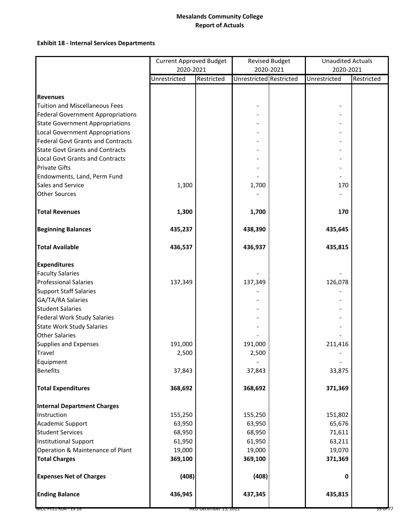# **Exhibit 18 ‐ Internal Services Departments**

|                                          | <b>Current Approved Budget</b><br>2020-2021 |                       |                         | <b>Revised Budget</b> | <b>Unaudited Actuals</b> |            |  |  |
|------------------------------------------|---------------------------------------------|-----------------------|-------------------------|-----------------------|--------------------------|------------|--|--|
|                                          |                                             |                       |                         | 2020-2021             | 2020-2021                |            |  |  |
|                                          | Unrestricted                                | Restricted            | Unrestricted Restricted |                       | Unrestricted             | Restricted |  |  |
|                                          |                                             |                       |                         |                       |                          |            |  |  |
| <b>Revenues</b>                          |                                             |                       |                         |                       |                          |            |  |  |
| <b>Tuition and Miscellaneous Fees</b>    |                                             |                       |                         |                       |                          |            |  |  |
| <b>Federal Government Appropriations</b> |                                             |                       |                         |                       |                          |            |  |  |
| <b>State Government Appropriations</b>   |                                             |                       |                         |                       |                          |            |  |  |
| <b>Local Government Appropriations</b>   |                                             |                       |                         |                       |                          |            |  |  |
| <b>Federal Govt Grants and Contracts</b> |                                             |                       |                         |                       |                          |            |  |  |
| <b>State Govt Grants and Contracts</b>   |                                             |                       |                         |                       |                          |            |  |  |
| <b>Local Govt Grants and Contracts</b>   |                                             |                       |                         |                       |                          |            |  |  |
| <b>Private Gifts</b>                     |                                             |                       |                         |                       |                          |            |  |  |
| Endowments, Land, Perm Fund              |                                             |                       |                         |                       |                          |            |  |  |
| Sales and Service                        | 1,300                                       |                       | 1,700                   |                       | 170                      |            |  |  |
| <b>Other Sources</b>                     |                                             |                       |                         |                       |                          |            |  |  |
| <b>Total Revenues</b>                    | 1,300                                       |                       | 1,700                   |                       | 170                      |            |  |  |
| <b>Beginning Balances</b>                | 435,237                                     |                       | 438,390                 |                       | 435,645                  |            |  |  |
| <b>Total Available</b>                   | 436,537                                     |                       | 436,937                 |                       | 435,815                  |            |  |  |
| <b>Expenditures</b>                      |                                             |                       |                         |                       |                          |            |  |  |
| <b>Faculty Salaries</b>                  |                                             |                       |                         |                       |                          |            |  |  |
| <b>Professional Salaries</b>             | 137,349                                     |                       | 137,349                 |                       | 126,078                  |            |  |  |
| <b>Support Staff Salaries</b>            |                                             |                       |                         |                       |                          |            |  |  |
| GA/TA/RA Salaries                        |                                             |                       |                         |                       |                          |            |  |  |
| <b>Student Salaries</b>                  |                                             |                       |                         |                       |                          |            |  |  |
| <b>Federal Work Study Salaries</b>       |                                             |                       |                         |                       |                          |            |  |  |
| <b>State Work Study Salaries</b>         |                                             |                       |                         |                       |                          |            |  |  |
| <b>Other Salaries</b>                    |                                             |                       |                         |                       |                          |            |  |  |
| <b>Supplies and Expenses</b>             | 191,000                                     |                       | 191,000                 |                       | 211,416                  |            |  |  |
| Travel                                   | 2,500                                       |                       | 2,500                   |                       |                          |            |  |  |
| Equipment                                |                                             |                       |                         |                       |                          |            |  |  |
| <b>Benefits</b>                          | 37,843                                      |                       | 37,843                  |                       | 33,875                   |            |  |  |
| <b>Total Expenditures</b>                | 368,692                                     |                       | 368,692                 |                       | 371,369                  |            |  |  |
| <b>Internal Department Charges</b>       |                                             |                       |                         |                       |                          |            |  |  |
| Instruction                              | 155,250                                     |                       | 155,250                 |                       | 151,802                  |            |  |  |
| Academic Support                         | 63,950                                      |                       | 63,950                  |                       | 65,676                   |            |  |  |
| <b>Student Services</b>                  | 68,950                                      |                       | 68,950                  |                       | 71,611                   |            |  |  |
| <b>Institutional Support</b>             | 61,950                                      |                       | 61,950                  |                       | 63,211                   |            |  |  |
| Operation & Maintenance of Plant         | 19,000                                      |                       | 19,000                  |                       | 19,070                   |            |  |  |
| <b>Total Charges</b>                     | 369,100                                     |                       | 369,100                 |                       | 371,369                  |            |  |  |
| <b>Expenses Net of Charges</b>           | (408)                                       |                       | (408)                   |                       | 0                        |            |  |  |
| <b>Ending Balance</b>                    | 436,945                                     |                       | 437,345                 |                       | 435,815                  |            |  |  |
| MCC FYZI ROA - EX 18                     |                                             | HED December 15, 2021 |                         |                       |                          | 39 of 77   |  |  |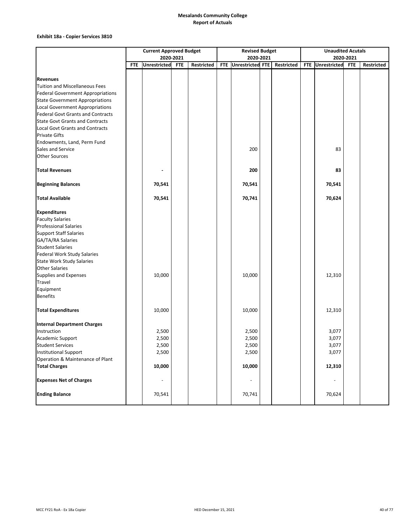### **Exhibit 18a ‐ Copier Services 3810**

|                                                                | <b>Current Approved Budget</b><br>2020-2021 |                     |            |            |  | <b>Revised Budget</b>    |  | <b>Unaudited Acutals</b> |  |                  |            |                   |
|----------------------------------------------------------------|---------------------------------------------|---------------------|------------|------------|--|--------------------------|--|--------------------------|--|------------------|------------|-------------------|
|                                                                |                                             |                     |            |            |  | 2020-2021                |  |                          |  |                  | 2020-2021  |                   |
|                                                                | <b>FTE</b>                                  | <b>Unrestricted</b> | <b>FTE</b> | Restricted |  | FTE Unrestricted FTE     |  | Restricted               |  | FTE Unrestricted | <b>FTE</b> | <b>Restricted</b> |
|                                                                |                                             |                     |            |            |  |                          |  |                          |  |                  |            |                   |
| <b>Revenues</b>                                                |                                             |                     |            |            |  |                          |  |                          |  |                  |            |                   |
| Tuition and Miscellaneous Fees                                 |                                             |                     |            |            |  |                          |  |                          |  |                  |            |                   |
| <b>Federal Government Appropriations</b>                       |                                             |                     |            |            |  |                          |  |                          |  |                  |            |                   |
| <b>State Government Appropriations</b>                         |                                             |                     |            |            |  |                          |  |                          |  |                  |            |                   |
| Local Government Appropriations                                |                                             |                     |            |            |  |                          |  |                          |  |                  |            |                   |
| <b>Federal Govt Grants and Contracts</b>                       |                                             |                     |            |            |  |                          |  |                          |  |                  |            |                   |
| <b>State Govt Grants and Contracts</b>                         |                                             |                     |            |            |  |                          |  |                          |  |                  |            |                   |
| <b>Local Govt Grants and Contracts</b><br><b>Private Gifts</b> |                                             |                     |            |            |  |                          |  |                          |  |                  |            |                   |
| Endowments, Land, Perm Fund                                    |                                             |                     |            |            |  |                          |  |                          |  |                  |            |                   |
| Sales and Service                                              |                                             |                     |            |            |  | 200                      |  |                          |  | 83               |            |                   |
| <b>Other Sources</b>                                           |                                             |                     |            |            |  |                          |  |                          |  |                  |            |                   |
| <b>Total Revenues</b>                                          |                                             |                     |            |            |  | 200                      |  |                          |  | 83               |            |                   |
| <b>Beginning Balances</b>                                      |                                             | 70,541              |            |            |  | 70,541                   |  |                          |  | 70,541           |            |                   |
| <b>Total Available</b>                                         |                                             | 70,541              |            |            |  | 70,741                   |  |                          |  | 70,624           |            |                   |
| <b>Expenditures</b>                                            |                                             |                     |            |            |  |                          |  |                          |  |                  |            |                   |
| <b>Faculty Salaries</b>                                        |                                             |                     |            |            |  |                          |  |                          |  |                  |            |                   |
| <b>Professional Salaries</b>                                   |                                             |                     |            |            |  |                          |  |                          |  |                  |            |                   |
| <b>Support Staff Salaries</b>                                  |                                             |                     |            |            |  |                          |  |                          |  |                  |            |                   |
| GA/TA/RA Salaries                                              |                                             |                     |            |            |  |                          |  |                          |  |                  |            |                   |
| <b>Student Salaries</b>                                        |                                             |                     |            |            |  |                          |  |                          |  |                  |            |                   |
| <b>Federal Work Study Salaries</b>                             |                                             |                     |            |            |  |                          |  |                          |  |                  |            |                   |
| <b>State Work Study Salaries</b>                               |                                             |                     |            |            |  |                          |  |                          |  |                  |            |                   |
| <b>Other Salaries</b>                                          |                                             |                     |            |            |  |                          |  |                          |  |                  |            |                   |
| <b>Supplies and Expenses</b>                                   |                                             | 10,000              |            |            |  | 10,000                   |  |                          |  | 12,310           |            |                   |
| Travel                                                         |                                             |                     |            |            |  |                          |  |                          |  |                  |            |                   |
| Equipment                                                      |                                             |                     |            |            |  |                          |  |                          |  |                  |            |                   |
| <b>Benefits</b>                                                |                                             |                     |            |            |  |                          |  |                          |  |                  |            |                   |
| <b>Total Expenditures</b>                                      |                                             | 10,000              |            |            |  | 10,000                   |  |                          |  | 12,310           |            |                   |
| <b>Internal Department Charges</b>                             |                                             |                     |            |            |  |                          |  |                          |  |                  |            |                   |
| Instruction                                                    |                                             | 2,500               |            |            |  | 2,500                    |  |                          |  | 3,077            |            |                   |
| Academic Support                                               |                                             | 2,500               |            |            |  | 2,500                    |  |                          |  | 3,077            |            |                   |
| <b>Student Services</b>                                        |                                             | 2,500               |            |            |  | 2,500                    |  |                          |  | 3,077            |            |                   |
| <b>Institutional Support</b>                                   |                                             | 2,500               |            |            |  | 2,500                    |  |                          |  | 3,077            |            |                   |
| Operation & Maintenance of Plant                               |                                             |                     |            |            |  |                          |  |                          |  |                  |            |                   |
| <b>Total Charges</b>                                           |                                             | 10,000              |            |            |  | 10,000                   |  |                          |  | 12,310           |            |                   |
| <b>Expenses Net of Charges</b>                                 |                                             |                     |            |            |  | $\overline{\phantom{a}}$ |  |                          |  |                  |            |                   |
| <b>Ending Balance</b>                                          |                                             | 70,541              |            |            |  | 70,741                   |  |                          |  | 70,624           |            |                   |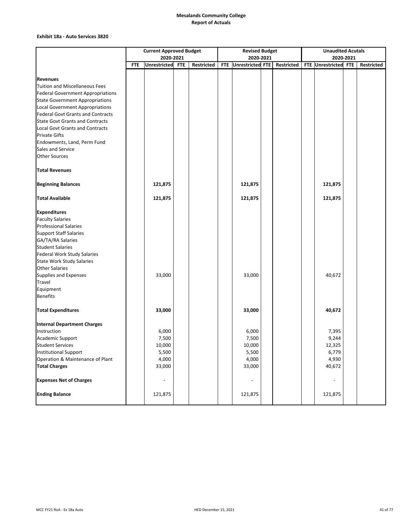#### **Exhibit 18a ‐ Auto Services 3820**

|                                                                                    | <b>Current Approved Budget</b> |                          |            |            |            | <b>Revised Budget</b>    |  | <b>Unaudited Acutals</b> |  |                          |           |            |
|------------------------------------------------------------------------------------|--------------------------------|--------------------------|------------|------------|------------|--------------------------|--|--------------------------|--|--------------------------|-----------|------------|
|                                                                                    |                                | 2020-2021                |            |            |            | 2020-2021                |  |                          |  |                          | 2020-2021 |            |
|                                                                                    | <b>FTE</b>                     | <b>Unrestricted</b>      | <b>FTE</b> | Restricted | <b>FTE</b> | Unrestricted FTE         |  | Restricted               |  | FTE Unrestricted FTE     |           | Restricted |
|                                                                                    |                                |                          |            |            |            |                          |  |                          |  |                          |           |            |
| <b>Revenues</b><br><b>Tuition and Miscellaneous Fees</b>                           |                                |                          |            |            |            |                          |  |                          |  |                          |           |            |
| <b>Federal Government Appropriations</b>                                           |                                |                          |            |            |            |                          |  |                          |  |                          |           |            |
|                                                                                    |                                |                          |            |            |            |                          |  |                          |  |                          |           |            |
| <b>State Government Appropriations</b>                                             |                                |                          |            |            |            |                          |  |                          |  |                          |           |            |
| <b>Local Government Appropriations</b><br><b>Federal Govt Grants and Contracts</b> |                                |                          |            |            |            |                          |  |                          |  |                          |           |            |
| <b>State Govt Grants and Contracts</b>                                             |                                |                          |            |            |            |                          |  |                          |  |                          |           |            |
| <b>Local Govt Grants and Contracts</b>                                             |                                |                          |            |            |            |                          |  |                          |  |                          |           |            |
| <b>Private Gifts</b>                                                               |                                |                          |            |            |            |                          |  |                          |  |                          |           |            |
| Endowments, Land, Perm Fund                                                        |                                |                          |            |            |            |                          |  |                          |  |                          |           |            |
| Sales and Service                                                                  |                                |                          |            |            |            |                          |  |                          |  |                          |           |            |
| <b>Other Sources</b>                                                               |                                |                          |            |            |            |                          |  |                          |  |                          |           |            |
| <b>Total Revenues</b>                                                              |                                |                          |            |            |            |                          |  |                          |  |                          |           |            |
|                                                                                    |                                |                          |            |            |            |                          |  |                          |  |                          |           |            |
| <b>Beginning Balances</b>                                                          |                                | 121,875                  |            |            |            | 121,875                  |  |                          |  | 121,875                  |           |            |
| <b>Total Available</b>                                                             |                                | 121,875                  |            |            |            | 121,875                  |  |                          |  | 121,875                  |           |            |
| <b>Expenditures</b>                                                                |                                |                          |            |            |            |                          |  |                          |  |                          |           |            |
| <b>Faculty Salaries</b>                                                            |                                |                          |            |            |            |                          |  |                          |  |                          |           |            |
| <b>Professional Salaries</b>                                                       |                                |                          |            |            |            |                          |  |                          |  |                          |           |            |
| <b>Support Staff Salaries</b>                                                      |                                |                          |            |            |            |                          |  |                          |  |                          |           |            |
| GA/TA/RA Salaries                                                                  |                                |                          |            |            |            |                          |  |                          |  |                          |           |            |
| <b>Student Salaries</b>                                                            |                                |                          |            |            |            |                          |  |                          |  |                          |           |            |
| <b>Federal Work Study Salaries</b>                                                 |                                |                          |            |            |            |                          |  |                          |  |                          |           |            |
| <b>State Work Study Salaries</b>                                                   |                                |                          |            |            |            |                          |  |                          |  |                          |           |            |
| <b>Other Salaries</b>                                                              |                                |                          |            |            |            |                          |  |                          |  |                          |           |            |
| <b>Supplies and Expenses</b>                                                       |                                | 33,000                   |            |            |            | 33,000                   |  |                          |  | 40,672                   |           |            |
| Travel                                                                             |                                |                          |            |            |            |                          |  |                          |  |                          |           |            |
| Equipment                                                                          |                                |                          |            |            |            |                          |  |                          |  |                          |           |            |
| <b>Benefits</b>                                                                    |                                |                          |            |            |            |                          |  |                          |  |                          |           |            |
| <b>Total Expenditures</b>                                                          |                                | 33,000                   |            |            |            | 33,000                   |  |                          |  | 40,672                   |           |            |
| <b>Internal Department Charges</b>                                                 |                                |                          |            |            |            |                          |  |                          |  |                          |           |            |
| Instruction                                                                        |                                | 6,000                    |            |            |            | 6,000                    |  |                          |  | 7,395                    |           |            |
| Academic Support                                                                   |                                | 7,500                    |            |            |            | 7,500                    |  |                          |  | 9,244                    |           |            |
| <b>Student Services</b>                                                            |                                | 10,000                   |            |            |            | 10,000                   |  |                          |  | 12,325                   |           |            |
| <b>Institutional Support</b>                                                       |                                | 5,500                    |            |            |            | 5,500                    |  |                          |  | 6,779                    |           |            |
| Operation & Maintenance of Plant                                                   |                                | 4,000                    |            |            |            | 4,000                    |  |                          |  | 4,930                    |           |            |
| <b>Total Charges</b>                                                               |                                | 33,000                   |            |            |            | 33,000                   |  |                          |  | 40,672                   |           |            |
| <b>Expenses Net of Charges</b>                                                     |                                | $\overline{\phantom{0}}$ |            |            |            | $\overline{\phantom{a}}$ |  |                          |  | $\overline{\phantom{a}}$ |           |            |
| <b>Ending Balance</b>                                                              |                                | 121,875                  |            |            |            | 121,875                  |  |                          |  | 121,875                  |           |            |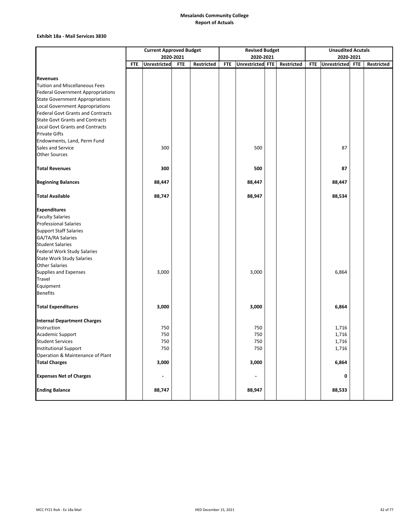#### **Exhibit 18a ‐ Mail Services 3830**

|                                          | <b>Current Approved Budget</b><br>2020-2021 |              |            |            |            | <b>Revised Budget</b> |  | <b>Unaudited Acutals</b> |            |                  |  |            |
|------------------------------------------|---------------------------------------------|--------------|------------|------------|------------|-----------------------|--|--------------------------|------------|------------------|--|------------|
|                                          |                                             |              |            |            |            | 2020-2021             |  |                          |            | 2020-2021        |  |            |
|                                          | <b>FTE</b>                                  | Unrestricted | <b>FTE</b> | Restricted | <b>FTE</b> | Unrestricted FTE      |  | Restricted               | <b>FTE</b> | Unrestricted FTE |  | Restricted |
|                                          |                                             |              |            |            |            |                       |  |                          |            |                  |  |            |
| <b>Revenues</b>                          |                                             |              |            |            |            |                       |  |                          |            |                  |  |            |
| Tuition and Miscellaneous Fees           |                                             |              |            |            |            |                       |  |                          |            |                  |  |            |
| <b>Federal Government Appropriations</b> |                                             |              |            |            |            |                       |  |                          |            |                  |  |            |
| <b>State Government Appropriations</b>   |                                             |              |            |            |            |                       |  |                          |            |                  |  |            |
| Local Government Appropriations          |                                             |              |            |            |            |                       |  |                          |            |                  |  |            |
| <b>Federal Govt Grants and Contracts</b> |                                             |              |            |            |            |                       |  |                          |            |                  |  |            |
| <b>State Govt Grants and Contracts</b>   |                                             |              |            |            |            |                       |  |                          |            |                  |  |            |
| <b>Local Govt Grants and Contracts</b>   |                                             |              |            |            |            |                       |  |                          |            |                  |  |            |
| <b>Private Gifts</b>                     |                                             |              |            |            |            |                       |  |                          |            |                  |  |            |
| Endowments, Land, Perm Fund              |                                             |              |            |            |            |                       |  |                          |            |                  |  |            |
| Sales and Service                        |                                             | 300          |            |            |            | 500                   |  |                          |            | 87               |  |            |
| <b>Other Sources</b>                     |                                             |              |            |            |            |                       |  |                          |            |                  |  |            |
| <b>Total Revenues</b>                    |                                             | 300          |            |            |            | 500                   |  |                          |            | 87               |  |            |
| <b>Beginning Balances</b>                |                                             | 88,447       |            |            |            | 88,447                |  |                          |            | 88,447           |  |            |
| <b>Total Available</b>                   |                                             | 88,747       |            |            |            | 88,947                |  |                          |            | 88,534           |  |            |
| <b>Expenditures</b>                      |                                             |              |            |            |            |                       |  |                          |            |                  |  |            |
| <b>Faculty Salaries</b>                  |                                             |              |            |            |            |                       |  |                          |            |                  |  |            |
| <b>Professional Salaries</b>             |                                             |              |            |            |            |                       |  |                          |            |                  |  |            |
| <b>Support Staff Salaries</b>            |                                             |              |            |            |            |                       |  |                          |            |                  |  |            |
| GA/TA/RA Salaries                        |                                             |              |            |            |            |                       |  |                          |            |                  |  |            |
| <b>Student Salaries</b>                  |                                             |              |            |            |            |                       |  |                          |            |                  |  |            |
| <b>Federal Work Study Salaries</b>       |                                             |              |            |            |            |                       |  |                          |            |                  |  |            |
| <b>State Work Study Salaries</b>         |                                             |              |            |            |            |                       |  |                          |            |                  |  |            |
| <b>Other Salaries</b>                    |                                             |              |            |            |            |                       |  |                          |            |                  |  |            |
| Supplies and Expenses                    |                                             | 3,000        |            |            |            | 3,000                 |  |                          |            | 6,864            |  |            |
| Travel                                   |                                             |              |            |            |            |                       |  |                          |            |                  |  |            |
| Equipment                                |                                             |              |            |            |            |                       |  |                          |            |                  |  |            |
| <b>Benefits</b>                          |                                             |              |            |            |            |                       |  |                          |            |                  |  |            |
| <b>Total Expenditures</b>                |                                             | 3,000        |            |            |            | 3,000                 |  |                          |            | 6,864            |  |            |
| <b>Internal Department Charges</b>       |                                             |              |            |            |            |                       |  |                          |            |                  |  |            |
| Instruction                              |                                             | 750          |            |            |            | 750                   |  |                          |            | 1,716            |  |            |
| Academic Support                         |                                             | 750          |            |            |            | 750                   |  |                          |            | 1,716            |  |            |
| <b>Student Services</b>                  |                                             | 750          |            |            |            | 750                   |  |                          |            | 1,716            |  |            |
| <b>Institutional Support</b>             |                                             | 750          |            |            |            | 750                   |  |                          |            | 1,716            |  |            |
| Operation & Maintenance of Plant         |                                             |              |            |            |            |                       |  |                          |            |                  |  |            |
| <b>Total Charges</b>                     |                                             | 3,000        |            |            |            | 3,000                 |  |                          |            | 6,864            |  |            |
| <b>Expenses Net of Charges</b>           |                                             |              |            |            |            |                       |  |                          |            | 0                |  |            |
| <b>Ending Balance</b>                    |                                             | 88,747       |            |            |            | 88,947                |  |                          |            | 88,533           |  |            |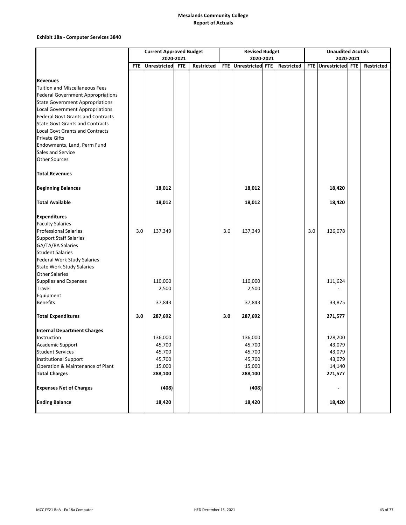#### **Exhibit 18a ‐ Computer Services 3840**

|                                          | <b>Current Approved Budget</b> |              |            |            |     | <b>Revised Budget</b> |  | <b>Unaudited Acutals</b> |     |                      |  |            |
|------------------------------------------|--------------------------------|--------------|------------|------------|-----|-----------------------|--|--------------------------|-----|----------------------|--|------------|
|                                          |                                | 2020-2021    |            |            |     | 2020-2021             |  |                          |     | 2020-2021            |  |            |
|                                          | <b>FTE</b>                     | Unrestricted | <b>FTE</b> | Restricted |     | FTE Unrestricted FTE  |  | Restricted               |     | FTE Unrestricted FTE |  | Restricted |
|                                          |                                |              |            |            |     |                       |  |                          |     |                      |  |            |
| <b>Revenues</b>                          |                                |              |            |            |     |                       |  |                          |     |                      |  |            |
| <b>Tuition and Miscellaneous Fees</b>    |                                |              |            |            |     |                       |  |                          |     |                      |  |            |
| <b>Federal Government Appropriations</b> |                                |              |            |            |     |                       |  |                          |     |                      |  |            |
| <b>State Government Appropriations</b>   |                                |              |            |            |     |                       |  |                          |     |                      |  |            |
| <b>Local Government Appropriations</b>   |                                |              |            |            |     |                       |  |                          |     |                      |  |            |
| <b>Federal Govt Grants and Contracts</b> |                                |              |            |            |     |                       |  |                          |     |                      |  |            |
| <b>State Govt Grants and Contracts</b>   |                                |              |            |            |     |                       |  |                          |     |                      |  |            |
| <b>Local Govt Grants and Contracts</b>   |                                |              |            |            |     |                       |  |                          |     |                      |  |            |
| <b>Private Gifts</b>                     |                                |              |            |            |     |                       |  |                          |     |                      |  |            |
| Endowments, Land, Perm Fund              |                                |              |            |            |     |                       |  |                          |     |                      |  |            |
| Sales and Service                        |                                |              |            |            |     |                       |  |                          |     |                      |  |            |
| <b>Other Sources</b>                     |                                |              |            |            |     |                       |  |                          |     |                      |  |            |
| <b>Total Revenues</b>                    |                                |              |            |            |     |                       |  |                          |     |                      |  |            |
| <b>Beginning Balances</b>                |                                | 18,012       |            |            |     | 18,012                |  |                          |     | 18,420               |  |            |
| <b>Total Available</b>                   |                                | 18,012       |            |            |     | 18,012                |  |                          |     | 18,420               |  |            |
|                                          |                                |              |            |            |     |                       |  |                          |     |                      |  |            |
| <b>Expenditures</b>                      |                                |              |            |            |     |                       |  |                          |     |                      |  |            |
| <b>Faculty Salaries</b>                  |                                |              |            |            |     |                       |  |                          |     |                      |  |            |
| <b>Professional Salaries</b>             | 3.0                            | 137,349      |            |            | 3.0 | 137,349               |  |                          | 3.0 | 126,078              |  |            |
| <b>Support Staff Salaries</b>            |                                |              |            |            |     |                       |  |                          |     |                      |  |            |
| GA/TA/RA Salaries                        |                                |              |            |            |     |                       |  |                          |     |                      |  |            |
| <b>Student Salaries</b>                  |                                |              |            |            |     |                       |  |                          |     |                      |  |            |
| <b>Federal Work Study Salaries</b>       |                                |              |            |            |     |                       |  |                          |     |                      |  |            |
| <b>State Work Study Salaries</b>         |                                |              |            |            |     |                       |  |                          |     |                      |  |            |
| <b>Other Salaries</b>                    |                                |              |            |            |     |                       |  |                          |     |                      |  |            |
| Supplies and Expenses                    |                                | 110,000      |            |            |     | 110,000               |  |                          |     | 111,624              |  |            |
| Travel                                   |                                | 2,500        |            |            |     | 2,500                 |  |                          |     |                      |  |            |
| Equipment                                |                                |              |            |            |     |                       |  |                          |     |                      |  |            |
| <b>Benefits</b>                          |                                | 37,843       |            |            |     | 37,843                |  |                          |     | 33,875               |  |            |
| <b>Total Expenditures</b>                | 3.0                            | 287,692      |            |            | 3.0 | 287,692               |  |                          |     | 271,577              |  |            |
| <b>Internal Department Charges</b>       |                                |              |            |            |     |                       |  |                          |     |                      |  |            |
| Instruction                              |                                | 136,000      |            |            |     | 136,000               |  |                          |     | 128,200              |  |            |
| Academic Support                         |                                | 45,700       |            |            |     | 45,700                |  |                          |     | 43,079               |  |            |
| <b>Student Services</b>                  |                                | 45,700       |            |            |     | 45,700                |  |                          |     | 43,079               |  |            |
| <b>Institutional Support</b>             |                                | 45,700       |            |            |     | 45,700                |  |                          |     | 43,079               |  |            |
| Operation & Maintenance of Plant         |                                | 15,000       |            |            |     | 15,000                |  |                          |     | 14,140               |  |            |
| <b>Total Charges</b>                     |                                | 288,100      |            |            |     | 288,100               |  |                          |     | 271,577              |  |            |
| <b>Expenses Net of Charges</b>           |                                | (408)        |            |            |     | (408)                 |  |                          |     | $\blacksquare$       |  |            |
| <b>Ending Balance</b>                    |                                | 18,420       |            |            |     | 18,420                |  |                          |     | 18,420               |  |            |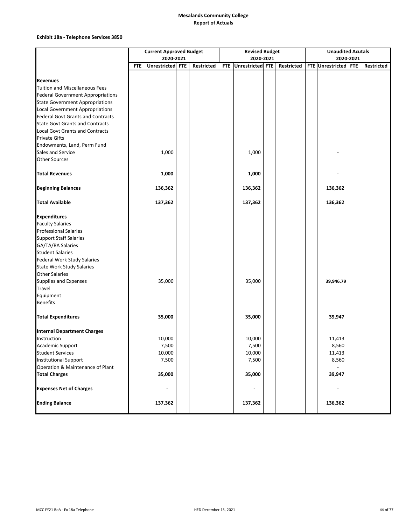### **Exhibit 18a ‐ Telephone Services 3850**

|                                          | <b>Current Approved Budget</b><br>2020-2021 |                  |  |            |            | <b>Revised Budget</b> |  |            |  | <b>Unaudited Acutals</b> |           |            |  |
|------------------------------------------|---------------------------------------------|------------------|--|------------|------------|-----------------------|--|------------|--|--------------------------|-----------|------------|--|
|                                          |                                             |                  |  |            |            | 2020-2021             |  |            |  |                          | 2020-2021 |            |  |
|                                          | <b>FTE</b>                                  | Unrestricted FTE |  | Restricted | <b>FTE</b> | Unrestricted FTE      |  | Restricted |  | FTE Unrestricted FTE     |           | Restricted |  |
|                                          |                                             |                  |  |            |            |                       |  |            |  |                          |           |            |  |
| <b>Revenues</b>                          |                                             |                  |  |            |            |                       |  |            |  |                          |           |            |  |
| <b>Tuition and Miscellaneous Fees</b>    |                                             |                  |  |            |            |                       |  |            |  |                          |           |            |  |
| <b>Federal Government Appropriations</b> |                                             |                  |  |            |            |                       |  |            |  |                          |           |            |  |
| <b>State Government Appropriations</b>   |                                             |                  |  |            |            |                       |  |            |  |                          |           |            |  |
| <b>Local Government Appropriations</b>   |                                             |                  |  |            |            |                       |  |            |  |                          |           |            |  |
| <b>Federal Govt Grants and Contracts</b> |                                             |                  |  |            |            |                       |  |            |  |                          |           |            |  |
| <b>State Govt Grants and Contracts</b>   |                                             |                  |  |            |            |                       |  |            |  |                          |           |            |  |
| <b>Local Govt Grants and Contracts</b>   |                                             |                  |  |            |            |                       |  |            |  |                          |           |            |  |
| <b>Private Gifts</b>                     |                                             |                  |  |            |            |                       |  |            |  |                          |           |            |  |
| Endowments, Land, Perm Fund              |                                             |                  |  |            |            |                       |  |            |  |                          |           |            |  |
| Sales and Service                        |                                             | 1,000            |  |            |            | 1,000                 |  |            |  |                          |           |            |  |
| <b>Other Sources</b>                     |                                             |                  |  |            |            |                       |  |            |  |                          |           |            |  |
| <b>Total Revenues</b>                    |                                             | 1,000            |  |            |            | 1,000                 |  |            |  |                          |           |            |  |
| <b>Beginning Balances</b>                |                                             | 136,362          |  |            |            | 136,362               |  |            |  | 136,362                  |           |            |  |
|                                          |                                             |                  |  |            |            |                       |  |            |  |                          |           |            |  |
| <b>Total Available</b>                   |                                             | 137,362          |  |            |            | 137,362               |  |            |  | 136,362                  |           |            |  |
| <b>Expenditures</b>                      |                                             |                  |  |            |            |                       |  |            |  |                          |           |            |  |
| <b>Faculty Salaries</b>                  |                                             |                  |  |            |            |                       |  |            |  |                          |           |            |  |
| <b>Professional Salaries</b>             |                                             |                  |  |            |            |                       |  |            |  |                          |           |            |  |
| <b>Support Staff Salaries</b>            |                                             |                  |  |            |            |                       |  |            |  |                          |           |            |  |
| GA/TA/RA Salaries                        |                                             |                  |  |            |            |                       |  |            |  |                          |           |            |  |
| <b>Student Salaries</b>                  |                                             |                  |  |            |            |                       |  |            |  |                          |           |            |  |
| <b>Federal Work Study Salaries</b>       |                                             |                  |  |            |            |                       |  |            |  |                          |           |            |  |
| <b>State Work Study Salaries</b>         |                                             |                  |  |            |            |                       |  |            |  |                          |           |            |  |
| <b>Other Salaries</b>                    |                                             |                  |  |            |            |                       |  |            |  |                          |           |            |  |
| Supplies and Expenses                    |                                             | 35,000           |  |            |            | 35,000                |  |            |  | 39,946.79                |           |            |  |
| Travel                                   |                                             |                  |  |            |            |                       |  |            |  |                          |           |            |  |
| Equipment                                |                                             |                  |  |            |            |                       |  |            |  |                          |           |            |  |
| <b>Benefits</b>                          |                                             |                  |  |            |            |                       |  |            |  |                          |           |            |  |
| <b>Total Expenditures</b>                |                                             | 35,000           |  |            |            | 35,000                |  |            |  | 39,947                   |           |            |  |
| <b>Internal Department Charges</b>       |                                             |                  |  |            |            |                       |  |            |  |                          |           |            |  |
| Instruction                              |                                             | 10,000           |  |            |            | 10,000                |  |            |  | 11,413                   |           |            |  |
| Academic Support                         |                                             | 7,500            |  |            |            | 7,500                 |  |            |  | 8,560                    |           |            |  |
| <b>Student Services</b>                  |                                             | 10,000           |  |            |            | 10,000                |  |            |  | 11,413                   |           |            |  |
| <b>Institutional Support</b>             |                                             | 7,500            |  |            |            | 7,500                 |  |            |  | 8,560                    |           |            |  |
| Operation & Maintenance of Plant         |                                             |                  |  |            |            |                       |  |            |  |                          |           |            |  |
| <b>Total Charges</b>                     |                                             | 35,000           |  |            |            | 35,000                |  |            |  | 39,947                   |           |            |  |
| <b>Expenses Net of Charges</b>           |                                             | $\overline{a}$   |  |            |            |                       |  |            |  |                          |           |            |  |
| <b>Ending Balance</b>                    |                                             | 137,362          |  |            |            | 137,362               |  |            |  | 136,362                  |           |            |  |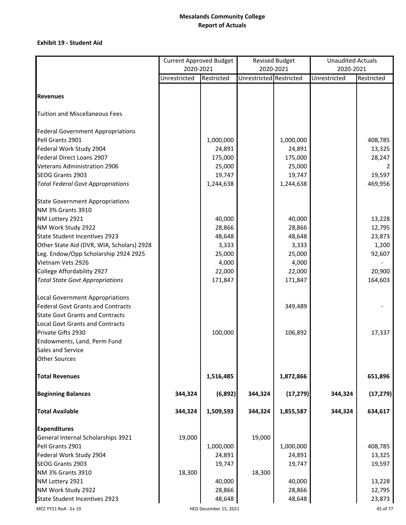## **Exhibit 19 ‐ Student Aid**

|                                                             | <b>Current Approved Budget</b> |                       |                         | <b>Revised Budget</b> | <b>Unaudited Actuals</b> |            |  |  |
|-------------------------------------------------------------|--------------------------------|-----------------------|-------------------------|-----------------------|--------------------------|------------|--|--|
|                                                             | 2020-2021                      |                       |                         | 2020-2021             | 2020-2021                |            |  |  |
|                                                             | Unrestricted                   | Restricted            | Unrestricted Restricted |                       | Unrestricted             | Restricted |  |  |
| <b>Revenues</b>                                             |                                |                       |                         |                       |                          |            |  |  |
| <b>Tuition and Miscellaneous Fees</b>                       |                                |                       |                         |                       |                          |            |  |  |
| <b>Federal Government Appropriations</b>                    |                                |                       |                         |                       |                          |            |  |  |
| Pell Grants 2901                                            |                                | 1,000,000             |                         | 1,000,000             |                          | 408,785    |  |  |
| Federal Work Study 2904                                     |                                | 24,891                |                         | 24,891                |                          | 13,325     |  |  |
| Federal Direct Loans 2907                                   |                                | 175,000               |                         | 175,000               |                          | 28,247     |  |  |
| <b>Veterans Administration 2906</b>                         |                                | 25,000                |                         | 25,000                |                          |            |  |  |
| SEOG Grants 2903                                            |                                | 19,747                |                         | 19,747                |                          | 19,597     |  |  |
| <b>Total Federal Govt Appropriations</b>                    |                                | 1,244,638             |                         | 1,244,638             |                          | 469,956    |  |  |
|                                                             |                                |                       |                         |                       |                          |            |  |  |
| <b>State Government Appropriations</b><br>NM 3% Grants 3910 |                                |                       |                         |                       |                          |            |  |  |
| NM Lottery 2921                                             |                                | 40,000                |                         | 40,000                |                          | 13,228     |  |  |
| NM Work Study 2922                                          |                                | 28,866                |                         | 28,866                |                          | 12,795     |  |  |
| <b>State Student Incentives 2923</b>                        |                                | 48,648                |                         | 48,648                |                          | 23,873     |  |  |
| Other State Aid (DVR, WIA, Scholars) 2928                   |                                | 3,333                 |                         | 3,333                 |                          | 1,200      |  |  |
| Leg. Endow/Opp Scholarship 2924 2925                        |                                | 25,000                |                         | 25,000                |                          | 92,607     |  |  |
| Vietnam Vets 2926                                           |                                | 4,000                 |                         | 4,000                 |                          |            |  |  |
| College Affordability 2927                                  |                                | 22,000                |                         | 22,000                |                          | 20,900     |  |  |
| <b>Total State Govt Appropriations</b>                      |                                | 171,847               |                         | 171,847               |                          | 164,603    |  |  |
|                                                             |                                |                       |                         |                       |                          |            |  |  |
| <b>Local Government Appropriations</b>                      |                                |                       |                         |                       |                          |            |  |  |
| <b>Federal Govt Grants and Contracts</b>                    |                                |                       |                         | 349,489               |                          |            |  |  |
| <b>State Govt Grants and Contracts</b>                      |                                |                       |                         |                       |                          |            |  |  |
| <b>Local Govt Grants and Contracts</b>                      |                                |                       |                         |                       |                          |            |  |  |
| Private Gifts 2930                                          |                                | 100,000               |                         | 106,892               |                          | 17,337     |  |  |
| Endowments, Land, Perm Fund                                 |                                |                       |                         |                       |                          |            |  |  |
| Sales and Service                                           |                                |                       |                         |                       |                          |            |  |  |
| <b>Other Sources</b>                                        |                                |                       |                         |                       |                          |            |  |  |
| <b>Total Revenues</b>                                       |                                | 1,516,485             |                         | 1,872,866             |                          | 651,896    |  |  |
| <b>Beginning Balances</b>                                   | 344,324                        | (6, 892)              | 344,324                 | (17, 279)             | 344,324                  | (17, 279)  |  |  |
| <b>Total Available</b>                                      | 344,324                        | 1,509,593             | 344,324                 | 1,855,587             | 344,324                  | 634,617    |  |  |
| <b>Expenditures</b>                                         |                                |                       |                         |                       |                          |            |  |  |
| General Internal Scholarships 3921                          | 19,000                         |                       | 19,000                  |                       |                          |            |  |  |
| Pell Grants 2901                                            |                                | 1,000,000             |                         | 1,000,000             |                          | 408,785    |  |  |
| Federal Work Study 2904                                     |                                | 24,891                |                         | 24,891                |                          | 13,325     |  |  |
| SEOG Grants 2903                                            |                                | 19,747                |                         | 19,747                |                          | 19,597     |  |  |
| NM 3% Grants 3910                                           | 18,300                         |                       | 18,300                  |                       |                          |            |  |  |
| NM Lottery 2921                                             |                                | 40,000                |                         | 40,000                |                          | 13,228     |  |  |
| NM Work Study 2922                                          |                                | 28,866                |                         | 28,866                |                          | 12,795     |  |  |
| State Student Incentives 2923                               |                                | 48,648                |                         | 48,648                |                          | 23,873     |  |  |
| MCC FY21 RoA - Ex 19                                        |                                | HED December 15, 2021 |                         |                       |                          | 45 of 77   |  |  |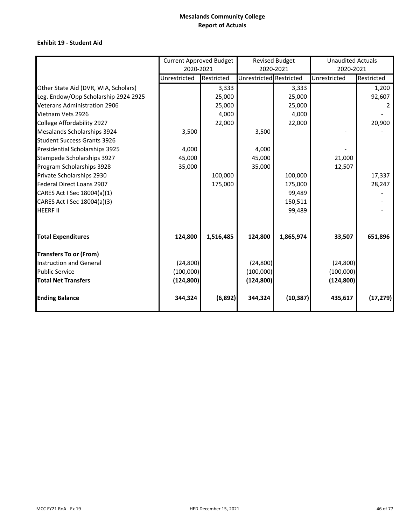## **Exhibit 19 ‐ Student Aid**

|                                      | <b>Current Approved Budget</b> |            |                         | <b>Revised Budget</b> | <b>Unaudited Actuals</b> |            |
|--------------------------------------|--------------------------------|------------|-------------------------|-----------------------|--------------------------|------------|
|                                      | 2020-2021                      |            |                         | 2020-2021             | 2020-2021                |            |
|                                      | Unrestricted                   | Restricted | Unrestricted Restricted |                       | Unrestricted             | Restricted |
| Other State Aid (DVR, WIA, Scholars) |                                | 3,333      |                         | 3,333                 |                          | 1,200      |
| Leg. Endow/Opp Scholarship 2924 2925 |                                | 25,000     |                         | 25,000                |                          | 92,607     |
| <b>Veterans Administration 2906</b>  |                                | 25,000     |                         | 25,000                |                          |            |
| Vietnam Vets 2926                    |                                | 4,000      |                         | 4,000                 |                          |            |
| College Affordability 2927           |                                | 22,000     |                         | 22,000                |                          | 20,900     |
| Mesalands Scholarships 3924          | 3,500                          |            | 3,500                   |                       |                          |            |
| <b>Student Success Grants 3926</b>   |                                |            |                         |                       |                          |            |
| Presidential Scholarships 3925       | 4,000                          |            | 4,000                   |                       |                          |            |
| Stampede Scholarships 3927           | 45,000                         |            | 45,000                  |                       | 21,000                   |            |
| Program Scholarships 3928            | 35,000                         |            | 35,000                  |                       | 12,507                   |            |
| Private Scholarships 2930            |                                | 100,000    |                         | 100,000               |                          | 17,337     |
| Federal Direct Loans 2907            |                                | 175,000    |                         | 175,000               |                          | 28,247     |
| CARES Act I Sec 18004(a)(1)          |                                |            |                         | 99,489                |                          |            |
| CARES Act I Sec 18004(a)(3)          |                                |            |                         | 150,511               |                          |            |
| <b>HEERF II</b>                      |                                |            |                         | 99,489                |                          |            |
| <b>Total Expenditures</b>            | 124,800                        | 1,516,485  | 124,800                 | 1,865,974             | 33,507                   | 651,896    |
| <b>Transfers To or (From)</b>        |                                |            |                         |                       |                          |            |
| <b>Instruction and General</b>       | (24, 800)                      |            | (24, 800)               |                       | (24, 800)                |            |
| <b>Public Service</b>                | (100,000)                      |            | (100,000)               |                       | (100,000)                |            |
| <b>Total Net Transfers</b>           | (124, 800)                     |            | (124, 800)              |                       | (124, 800)               |            |
| <b>Ending Balance</b>                | 344,324                        | (6,892)    | 344,324                 | (10, 387)             | 435,617                  | (17, 279)  |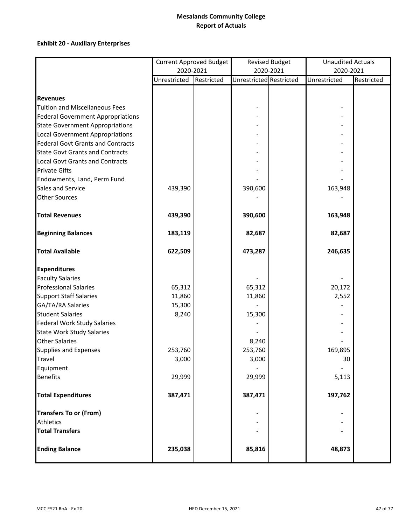# **Exhibit 20 ‐ Auxiliary Enterprises**

|                                          | <b>Current Approved Budget</b> |            |                         | <b>Revised Budget</b> | <b>Unaudited Actuals</b> |            |
|------------------------------------------|--------------------------------|------------|-------------------------|-----------------------|--------------------------|------------|
|                                          | 2020-2021                      |            |                         | 2020-2021             | 2020-2021                |            |
|                                          | Unrestricted                   | Restricted | Unrestricted Restricted |                       | Unrestricted             | Restricted |
|                                          |                                |            |                         |                       |                          |            |
| <b>Revenues</b>                          |                                |            |                         |                       |                          |            |
| <b>Tuition and Miscellaneous Fees</b>    |                                |            |                         |                       |                          |            |
| <b>Federal Government Appropriations</b> |                                |            |                         |                       |                          |            |
| <b>State Government Appropriations</b>   |                                |            |                         |                       |                          |            |
| <b>Local Government Appropriations</b>   |                                |            |                         |                       |                          |            |
| <b>Federal Govt Grants and Contracts</b> |                                |            |                         |                       |                          |            |
| <b>State Govt Grants and Contracts</b>   |                                |            |                         |                       |                          |            |
| <b>Local Govt Grants and Contracts</b>   |                                |            |                         |                       |                          |            |
| <b>Private Gifts</b>                     |                                |            |                         |                       |                          |            |
| Endowments, Land, Perm Fund              |                                |            |                         |                       |                          |            |
| Sales and Service                        | 439,390                        |            | 390,600                 |                       | 163,948                  |            |
| <b>Other Sources</b>                     |                                |            |                         |                       |                          |            |
| <b>Total Revenues</b>                    | 439,390                        |            | 390,600                 |                       | 163,948                  |            |
| <b>Beginning Balances</b>                | 183,119                        |            | 82,687                  |                       | 82,687                   |            |
| <b>Total Available</b>                   | 622,509                        |            | 473,287                 |                       | 246,635                  |            |
| <b>Expenditures</b>                      |                                |            |                         |                       |                          |            |
| <b>Faculty Salaries</b>                  |                                |            |                         |                       |                          |            |
| <b>Professional Salaries</b>             | 65,312                         |            | 65,312                  |                       | 20,172                   |            |
| <b>Support Staff Salaries</b>            | 11,860                         |            | 11,860                  |                       | 2,552                    |            |
| GA/TA/RA Salaries                        | 15,300                         |            |                         |                       |                          |            |
| <b>Student Salaries</b>                  | 8,240                          |            | 15,300                  |                       |                          |            |
| <b>Federal Work Study Salaries</b>       |                                |            |                         |                       |                          |            |
| <b>State Work Study Salaries</b>         |                                |            |                         |                       |                          |            |
| <b>Other Salaries</b>                    |                                |            | 8,240                   |                       |                          |            |
| <b>Supplies and Expenses</b>             | 253,760                        |            | 253,760                 |                       | 169,895                  |            |
| <b>Travel</b>                            | 3,000                          |            | 3,000                   |                       | 30                       |            |
| Equipment                                |                                |            |                         |                       |                          |            |
| <b>Benefits</b>                          | 29,999                         |            | 29,999                  |                       | 5,113                    |            |
| <b>Total Expenditures</b>                | 387,471                        |            | 387,471                 |                       | 197,762                  |            |
| <b>Transfers To or (From)</b>            |                                |            |                         |                       |                          |            |
| <b>Athletics</b>                         |                                |            |                         |                       |                          |            |
| <b>Total Transfers</b>                   |                                |            |                         |                       |                          |            |
| <b>Ending Balance</b>                    | 235,038                        |            | 85,816                  |                       | 48,873                   |            |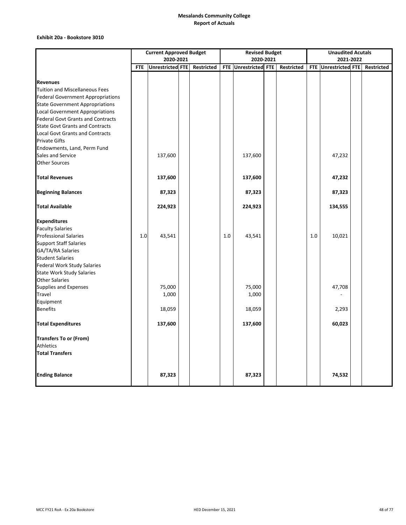### **Exhibit 20a ‐ Bookstore 3010**

|                                          | <b>Current Approved Budget</b> |                         |  |            | <b>Revised Budget</b> |                      |  |            | <b>Unaudited Acutals</b> |                      |  |            |
|------------------------------------------|--------------------------------|-------------------------|--|------------|-----------------------|----------------------|--|------------|--------------------------|----------------------|--|------------|
|                                          |                                | 2020-2021               |  |            |                       | 2020-2021            |  |            |                          | 2021-2022            |  |            |
|                                          | <b>FTE</b>                     | <b>Unrestricted FTE</b> |  | Restricted |                       | FTE Unrestricted FTE |  | Restricted |                          | FTE Unrestricted FTE |  | Restricted |
|                                          |                                |                         |  |            |                       |                      |  |            |                          |                      |  |            |
| <b>Revenues</b>                          |                                |                         |  |            |                       |                      |  |            |                          |                      |  |            |
| <b>Tuition and Miscellaneous Fees</b>    |                                |                         |  |            |                       |                      |  |            |                          |                      |  |            |
| <b>Federal Government Appropriations</b> |                                |                         |  |            |                       |                      |  |            |                          |                      |  |            |
| <b>State Government Appropriations</b>   |                                |                         |  |            |                       |                      |  |            |                          |                      |  |            |
| <b>Local Government Appropriations</b>   |                                |                         |  |            |                       |                      |  |            |                          |                      |  |            |
| <b>Federal Govt Grants and Contracts</b> |                                |                         |  |            |                       |                      |  |            |                          |                      |  |            |
| <b>State Govt Grants and Contracts</b>   |                                |                         |  |            |                       |                      |  |            |                          |                      |  |            |
| <b>Local Govt Grants and Contracts</b>   |                                |                         |  |            |                       |                      |  |            |                          |                      |  |            |
| <b>Private Gifts</b>                     |                                |                         |  |            |                       |                      |  |            |                          |                      |  |            |
| Endowments, Land, Perm Fund              |                                |                         |  |            |                       |                      |  |            |                          |                      |  |            |
| Sales and Service                        |                                | 137,600                 |  |            |                       | 137,600              |  |            |                          | 47,232               |  |            |
| <b>Other Sources</b>                     |                                |                         |  |            |                       |                      |  |            |                          |                      |  |            |
| <b>Total Revenues</b>                    |                                | 137,600                 |  |            |                       | 137,600              |  |            |                          | 47,232               |  |            |
|                                          |                                |                         |  |            |                       |                      |  |            |                          |                      |  |            |
| <b>Beginning Balances</b>                |                                | 87,323                  |  |            |                       | 87,323               |  |            |                          | 87,323               |  |            |
| <b>Total Available</b>                   |                                | 224,923                 |  |            |                       | 224,923              |  |            |                          | 134,555              |  |            |
| <b>Expenditures</b>                      |                                |                         |  |            |                       |                      |  |            |                          |                      |  |            |
| <b>Faculty Salaries</b>                  |                                |                         |  |            |                       |                      |  |            |                          |                      |  |            |
| <b>Professional Salaries</b>             | 1.0                            | 43,541                  |  |            | 1.0                   | 43,541               |  |            | 1.0                      | 10,021               |  |            |
| <b>Support Staff Salaries</b>            |                                |                         |  |            |                       |                      |  |            |                          |                      |  |            |
| GA/TA/RA Salaries                        |                                |                         |  |            |                       |                      |  |            |                          |                      |  |            |
| <b>Student Salaries</b>                  |                                |                         |  |            |                       |                      |  |            |                          |                      |  |            |
| <b>Federal Work Study Salaries</b>       |                                |                         |  |            |                       |                      |  |            |                          |                      |  |            |
| <b>State Work Study Salaries</b>         |                                |                         |  |            |                       |                      |  |            |                          |                      |  |            |
| <b>Other Salaries</b>                    |                                |                         |  |            |                       |                      |  |            |                          |                      |  |            |
| Supplies and Expenses                    |                                | 75,000                  |  |            |                       | 75,000               |  |            |                          | 47,708               |  |            |
| Travel                                   |                                | 1,000                   |  |            |                       | 1,000                |  |            |                          |                      |  |            |
| Equipment                                |                                |                         |  |            |                       |                      |  |            |                          |                      |  |            |
| <b>Benefits</b>                          |                                | 18,059                  |  |            |                       | 18,059               |  |            |                          | 2,293                |  |            |
| <b>Total Expenditures</b>                |                                | 137,600                 |  |            |                       | 137,600              |  |            |                          | 60,023               |  |            |
| <b>Transfers To or (From)</b>            |                                |                         |  |            |                       |                      |  |            |                          |                      |  |            |
| Athletics                                |                                |                         |  |            |                       |                      |  |            |                          |                      |  |            |
| <b>Total Transfers</b>                   |                                |                         |  |            |                       |                      |  |            |                          |                      |  |            |
| <b>Ending Balance</b>                    |                                | 87,323                  |  |            |                       | 87,323               |  |            |                          | 74,532               |  |            |
|                                          |                                |                         |  |            |                       |                      |  |            |                          |                      |  |            |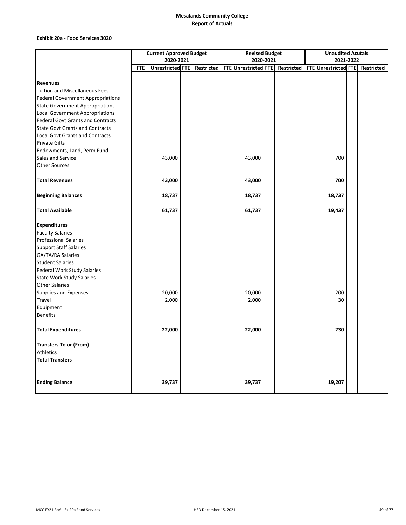#### **Exhibit 20a ‐ Food Services 3020**

|                                          | <b>Current Approved Budget</b> |                  |  |            | <b>Revised Budget</b> |                                 |  |  | <b>Unaudited Acutals</b> |                      |  |            |  |
|------------------------------------------|--------------------------------|------------------|--|------------|-----------------------|---------------------------------|--|--|--------------------------|----------------------|--|------------|--|
|                                          |                                | 2020-2021        |  |            |                       | 2020-2021                       |  |  |                          | 2021-2022            |  |            |  |
|                                          | <b>FTE</b>                     | Unrestricted FTE |  | Restricted |                       | FTE Unrestricted FTE Restricted |  |  |                          | FTE Unrestricted FTE |  | Restricted |  |
|                                          |                                |                  |  |            |                       |                                 |  |  |                          |                      |  |            |  |
| <b>Revenues</b>                          |                                |                  |  |            |                       |                                 |  |  |                          |                      |  |            |  |
| <b>Tuition and Miscellaneous Fees</b>    |                                |                  |  |            |                       |                                 |  |  |                          |                      |  |            |  |
| <b>Federal Government Appropriations</b> |                                |                  |  |            |                       |                                 |  |  |                          |                      |  |            |  |
| <b>State Government Appropriations</b>   |                                |                  |  |            |                       |                                 |  |  |                          |                      |  |            |  |
| <b>Local Government Appropriations</b>   |                                |                  |  |            |                       |                                 |  |  |                          |                      |  |            |  |
| <b>Federal Govt Grants and Contracts</b> |                                |                  |  |            |                       |                                 |  |  |                          |                      |  |            |  |
| <b>State Govt Grants and Contracts</b>   |                                |                  |  |            |                       |                                 |  |  |                          |                      |  |            |  |
| <b>Local Govt Grants and Contracts</b>   |                                |                  |  |            |                       |                                 |  |  |                          |                      |  |            |  |
| <b>Private Gifts</b>                     |                                |                  |  |            |                       |                                 |  |  |                          |                      |  |            |  |
| Endowments, Land, Perm Fund              |                                |                  |  |            |                       |                                 |  |  |                          |                      |  |            |  |
| Sales and Service                        |                                | 43,000           |  |            |                       | 43,000                          |  |  |                          | 700                  |  |            |  |
| <b>Other Sources</b>                     |                                |                  |  |            |                       |                                 |  |  |                          |                      |  |            |  |
| <b>Total Revenues</b>                    |                                | 43,000           |  |            |                       | 43,000                          |  |  |                          | 700                  |  |            |  |
| <b>Beginning Balances</b>                |                                | 18,737           |  |            |                       | 18,737                          |  |  |                          | 18,737               |  |            |  |
| <b>Total Available</b>                   |                                | 61,737           |  |            |                       | 61,737                          |  |  |                          | 19,437               |  |            |  |
| <b>Expenditures</b>                      |                                |                  |  |            |                       |                                 |  |  |                          |                      |  |            |  |
| <b>Faculty Salaries</b>                  |                                |                  |  |            |                       |                                 |  |  |                          |                      |  |            |  |
| <b>Professional Salaries</b>             |                                |                  |  |            |                       |                                 |  |  |                          |                      |  |            |  |
| <b>Support Staff Salaries</b>            |                                |                  |  |            |                       |                                 |  |  |                          |                      |  |            |  |
| GA/TA/RA Salaries                        |                                |                  |  |            |                       |                                 |  |  |                          |                      |  |            |  |
| <b>Student Salaries</b>                  |                                |                  |  |            |                       |                                 |  |  |                          |                      |  |            |  |
| Federal Work Study Salaries              |                                |                  |  |            |                       |                                 |  |  |                          |                      |  |            |  |
| <b>State Work Study Salaries</b>         |                                |                  |  |            |                       |                                 |  |  |                          |                      |  |            |  |
| <b>Other Salaries</b>                    |                                |                  |  |            |                       |                                 |  |  |                          |                      |  |            |  |
| Supplies and Expenses                    |                                | 20,000           |  |            |                       | 20,000                          |  |  |                          | 200                  |  |            |  |
| Travel                                   |                                | 2,000            |  |            |                       | 2,000                           |  |  |                          | 30                   |  |            |  |
| Equipment                                |                                |                  |  |            |                       |                                 |  |  |                          |                      |  |            |  |
| <b>Benefits</b>                          |                                |                  |  |            |                       |                                 |  |  |                          |                      |  |            |  |
| <b>Total Expenditures</b>                |                                | 22,000           |  |            |                       | 22,000                          |  |  |                          | 230                  |  |            |  |
| <b>Transfers To or (From)</b>            |                                |                  |  |            |                       |                                 |  |  |                          |                      |  |            |  |
| Athletics                                |                                |                  |  |            |                       |                                 |  |  |                          |                      |  |            |  |
| <b>Total Transfers</b>                   |                                |                  |  |            |                       |                                 |  |  |                          |                      |  |            |  |
| <b>Ending Balance</b>                    |                                | 39,737           |  |            |                       | 39,737                          |  |  |                          | 19,207               |  |            |  |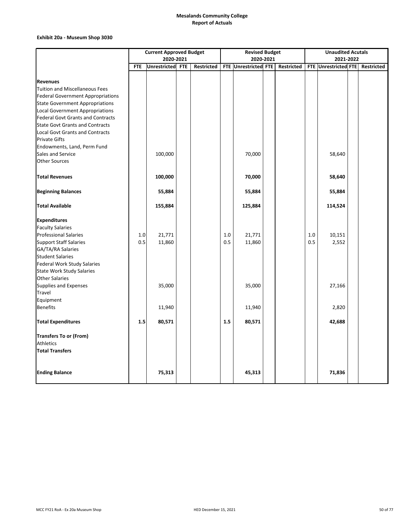### **Exhibit 20a ‐ Museum Shop 3030**

|                                                          | <b>Current Approved Budget</b> |                  |  |                   | <b>Revised Budget</b> |                      |  |            | <b>Unaudited Acutals</b> |                      |  |            |  |
|----------------------------------------------------------|--------------------------------|------------------|--|-------------------|-----------------------|----------------------|--|------------|--------------------------|----------------------|--|------------|--|
|                                                          |                                | 2020-2021        |  |                   | 2020-2021             |                      |  |            |                          | 2021-2022            |  |            |  |
|                                                          | <b>FTE</b>                     | Unrestricted FTE |  | <b>Restricted</b> |                       | FTE Unrestricted FTE |  | Restricted |                          | FTE Unrestricted FTE |  | Restricted |  |
|                                                          |                                |                  |  |                   |                       |                      |  |            |                          |                      |  |            |  |
| <b>Revenues</b><br><b>Tuition and Miscellaneous Fees</b> |                                |                  |  |                   |                       |                      |  |            |                          |                      |  |            |  |
| <b>Federal Government Appropriations</b>                 |                                |                  |  |                   |                       |                      |  |            |                          |                      |  |            |  |
| <b>State Government Appropriations</b>                   |                                |                  |  |                   |                       |                      |  |            |                          |                      |  |            |  |
| Local Government Appropriations                          |                                |                  |  |                   |                       |                      |  |            |                          |                      |  |            |  |
| <b>Federal Govt Grants and Contracts</b>                 |                                |                  |  |                   |                       |                      |  |            |                          |                      |  |            |  |
| <b>State Govt Grants and Contracts</b>                   |                                |                  |  |                   |                       |                      |  |            |                          |                      |  |            |  |
| Local Govt Grants and Contracts                          |                                |                  |  |                   |                       |                      |  |            |                          |                      |  |            |  |
| <b>Private Gifts</b>                                     |                                |                  |  |                   |                       |                      |  |            |                          |                      |  |            |  |
| Endowments, Land, Perm Fund                              |                                |                  |  |                   |                       |                      |  |            |                          |                      |  |            |  |
| Sales and Service                                        |                                | 100,000          |  |                   |                       | 70,000               |  |            |                          | 58,640               |  |            |  |
| <b>Other Sources</b>                                     |                                |                  |  |                   |                       |                      |  |            |                          |                      |  |            |  |
| <b>Total Revenues</b>                                    |                                | 100,000          |  |                   |                       | 70,000               |  |            |                          | 58,640               |  |            |  |
|                                                          |                                |                  |  |                   |                       |                      |  |            |                          |                      |  |            |  |
| <b>Beginning Balances</b>                                |                                | 55,884           |  |                   |                       | 55,884               |  |            |                          | 55,884               |  |            |  |
| <b>Total Available</b>                                   |                                | 155,884          |  |                   |                       | 125,884              |  |            |                          | 114,524              |  |            |  |
| <b>Expenditures</b>                                      |                                |                  |  |                   |                       |                      |  |            |                          |                      |  |            |  |
| <b>Faculty Salaries</b>                                  |                                |                  |  |                   |                       |                      |  |            |                          |                      |  |            |  |
| <b>Professional Salaries</b>                             | 1.0                            | 21,771           |  |                   | 1.0                   | 21,771               |  |            | 1.0                      | 10,151               |  |            |  |
| <b>Support Staff Salaries</b>                            | 0.5                            | 11,860           |  |                   | 0.5                   | 11,860               |  |            | 0.5                      | 2,552                |  |            |  |
| GA/TA/RA Salaries                                        |                                |                  |  |                   |                       |                      |  |            |                          |                      |  |            |  |
| <b>Student Salaries</b>                                  |                                |                  |  |                   |                       |                      |  |            |                          |                      |  |            |  |
| <b>Federal Work Study Salaries</b>                       |                                |                  |  |                   |                       |                      |  |            |                          |                      |  |            |  |
| <b>State Work Study Salaries</b>                         |                                |                  |  |                   |                       |                      |  |            |                          |                      |  |            |  |
| <b>Other Salaries</b>                                    |                                |                  |  |                   |                       |                      |  |            |                          |                      |  |            |  |
| Supplies and Expenses                                    |                                | 35,000           |  |                   |                       | 35,000               |  |            |                          | 27,166               |  |            |  |
| Travel                                                   |                                |                  |  |                   |                       |                      |  |            |                          |                      |  |            |  |
| Equipment<br><b>Benefits</b>                             |                                |                  |  |                   |                       |                      |  |            |                          |                      |  |            |  |
|                                                          |                                | 11,940           |  |                   |                       | 11,940               |  |            |                          | 2,820                |  |            |  |
| <b>Total Expenditures</b>                                | 1.5                            | 80,571           |  |                   | 1.5                   | 80,571               |  |            |                          | 42,688               |  |            |  |
| <b>Transfers To or (From)</b>                            |                                |                  |  |                   |                       |                      |  |            |                          |                      |  |            |  |
| Athletics                                                |                                |                  |  |                   |                       |                      |  |            |                          |                      |  |            |  |
| <b>Total Transfers</b>                                   |                                |                  |  |                   |                       |                      |  |            |                          |                      |  |            |  |
|                                                          |                                |                  |  |                   |                       |                      |  |            |                          |                      |  |            |  |
| <b>Ending Balance</b>                                    |                                | 75,313           |  |                   |                       | 45,313               |  |            |                          | 71,836               |  |            |  |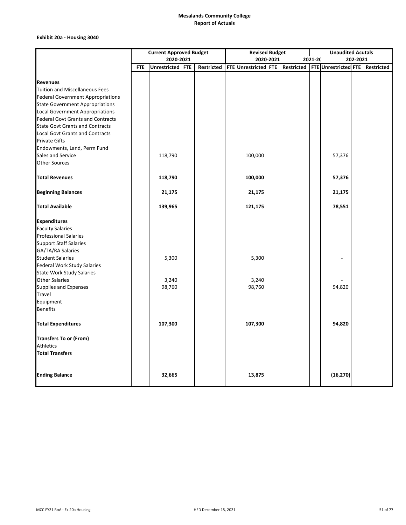### **Exhibit 20a ‐ Housing 3040**

|                                                  | <b>Current Approved Budget</b> |                     |            |                   | <b>Revised Budget</b> |                      |           |  | <b>Unaudited Acutals</b> |                                   |  |            |
|--------------------------------------------------|--------------------------------|---------------------|------------|-------------------|-----------------------|----------------------|-----------|--|--------------------------|-----------------------------------|--|------------|
|                                                  |                                | 2020-2021           |            |                   |                       |                      | 2020-2021 |  | 2021-20<br>202-2021      |                                   |  |            |
|                                                  | <b>FTE</b>                     | <b>Unrestricted</b> | <b>FTE</b> | <b>Restricted</b> |                       | FTE Unrestricted FTE |           |  |                          | Restricted   FTE Unrestricted FTE |  | Restricted |
|                                                  |                                |                     |            |                   |                       |                      |           |  |                          |                                   |  |            |
| <b>Revenues</b>                                  |                                |                     |            |                   |                       |                      |           |  |                          |                                   |  |            |
| <b>Tuition and Miscellaneous Fees</b>            |                                |                     |            |                   |                       |                      |           |  |                          |                                   |  |            |
| <b>Federal Government Appropriations</b>         |                                |                     |            |                   |                       |                      |           |  |                          |                                   |  |            |
| <b>State Government Appropriations</b>           |                                |                     |            |                   |                       |                      |           |  |                          |                                   |  |            |
| <b>Local Government Appropriations</b>           |                                |                     |            |                   |                       |                      |           |  |                          |                                   |  |            |
| <b>Federal Govt Grants and Contracts</b>         |                                |                     |            |                   |                       |                      |           |  |                          |                                   |  |            |
| <b>State Govt Grants and Contracts</b>           |                                |                     |            |                   |                       |                      |           |  |                          |                                   |  |            |
| <b>Local Govt Grants and Contracts</b>           |                                |                     |            |                   |                       |                      |           |  |                          |                                   |  |            |
| <b>Private Gifts</b>                             |                                |                     |            |                   |                       |                      |           |  |                          |                                   |  |            |
| Endowments, Land, Perm Fund<br>Sales and Service |                                |                     |            |                   |                       | 100,000              |           |  |                          |                                   |  |            |
| <b>Other Sources</b>                             |                                | 118,790             |            |                   |                       |                      |           |  |                          | 57,376                            |  |            |
|                                                  |                                |                     |            |                   |                       |                      |           |  |                          |                                   |  |            |
| <b>Total Revenues</b>                            |                                | 118,790             |            |                   |                       | 100,000              |           |  |                          | 57,376                            |  |            |
| <b>Beginning Balances</b>                        |                                | 21,175              |            |                   |                       | 21,175               |           |  |                          | 21,175                            |  |            |
| <b>Total Available</b>                           |                                | 139,965             |            |                   |                       | 121,175              |           |  |                          | 78,551                            |  |            |
| <b>Expenditures</b>                              |                                |                     |            |                   |                       |                      |           |  |                          |                                   |  |            |
| <b>Faculty Salaries</b>                          |                                |                     |            |                   |                       |                      |           |  |                          |                                   |  |            |
| <b>Professional Salaries</b>                     |                                |                     |            |                   |                       |                      |           |  |                          |                                   |  |            |
| <b>Support Staff Salaries</b>                    |                                |                     |            |                   |                       |                      |           |  |                          |                                   |  |            |
| GA/TA/RA Salaries                                |                                |                     |            |                   |                       |                      |           |  |                          |                                   |  |            |
| <b>Student Salaries</b>                          |                                | 5,300               |            |                   |                       | 5,300                |           |  |                          |                                   |  |            |
| Federal Work Study Salaries                      |                                |                     |            |                   |                       |                      |           |  |                          |                                   |  |            |
| <b>State Work Study Salaries</b>                 |                                |                     |            |                   |                       |                      |           |  |                          |                                   |  |            |
| <b>Other Salaries</b>                            |                                | 3,240               |            |                   |                       | 3,240                |           |  |                          |                                   |  |            |
| Supplies and Expenses                            |                                | 98,760              |            |                   |                       | 98,760               |           |  |                          | 94,820                            |  |            |
| Travel                                           |                                |                     |            |                   |                       |                      |           |  |                          |                                   |  |            |
| Equipment                                        |                                |                     |            |                   |                       |                      |           |  |                          |                                   |  |            |
| <b>Benefits</b>                                  |                                |                     |            |                   |                       |                      |           |  |                          |                                   |  |            |
| <b>Total Expenditures</b>                        |                                | 107,300             |            |                   |                       | 107,300              |           |  |                          | 94,820                            |  |            |
| <b>Transfers To or (From)</b>                    |                                |                     |            |                   |                       |                      |           |  |                          |                                   |  |            |
| <b>Athletics</b>                                 |                                |                     |            |                   |                       |                      |           |  |                          |                                   |  |            |
| <b>Total Transfers</b>                           |                                |                     |            |                   |                       |                      |           |  |                          |                                   |  |            |
|                                                  |                                |                     |            |                   |                       |                      |           |  |                          |                                   |  |            |
| <b>Ending Balance</b>                            |                                | 32,665              |            |                   |                       | 13,875               |           |  |                          | (16, 270)                         |  |            |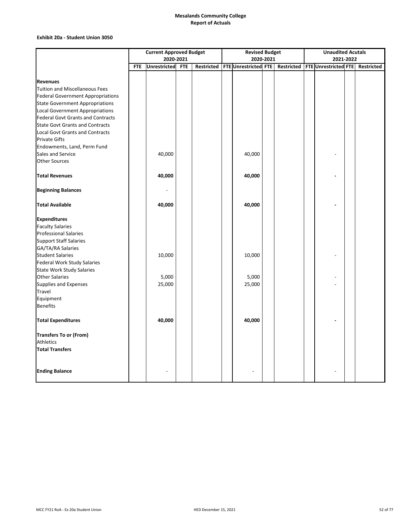#### **Exhibit 20a ‐ Student Union 3050**

|                                                                                    | <b>Current Approved Budget</b> |              |            |  | <b>Revised Budget</b> |                                 |  |  | <b>Unaudited Acutals</b> |                                                |  |  |
|------------------------------------------------------------------------------------|--------------------------------|--------------|------------|--|-----------------------|---------------------------------|--|--|--------------------------|------------------------------------------------|--|--|
|                                                                                    |                                | 2020-2021    |            |  | 2020-2021             |                                 |  |  | 2021-2022                |                                                |  |  |
|                                                                                    | <b>FTE</b>                     | Unrestricted | <b>FTE</b> |  |                       | Restricted FTE Unrestricted FTE |  |  |                          | Restricted   FTE Unrestricted FTE   Restricted |  |  |
|                                                                                    |                                |              |            |  |                       |                                 |  |  |                          |                                                |  |  |
| <b>Revenues</b>                                                                    |                                |              |            |  |                       |                                 |  |  |                          |                                                |  |  |
| <b>Tuition and Miscellaneous Fees</b>                                              |                                |              |            |  |                       |                                 |  |  |                          |                                                |  |  |
| <b>Federal Government Appropriations</b>                                           |                                |              |            |  |                       |                                 |  |  |                          |                                                |  |  |
| <b>State Government Appropriations</b>                                             |                                |              |            |  |                       |                                 |  |  |                          |                                                |  |  |
| <b>Local Government Appropriations</b>                                             |                                |              |            |  |                       |                                 |  |  |                          |                                                |  |  |
| <b>Federal Govt Grants and Contracts</b><br><b>State Govt Grants and Contracts</b> |                                |              |            |  |                       |                                 |  |  |                          |                                                |  |  |
|                                                                                    |                                |              |            |  |                       |                                 |  |  |                          |                                                |  |  |
| <b>Local Govt Grants and Contracts</b><br><b>Private Gifts</b>                     |                                |              |            |  |                       |                                 |  |  |                          |                                                |  |  |
| Endowments, Land, Perm Fund                                                        |                                |              |            |  |                       |                                 |  |  |                          |                                                |  |  |
| Sales and Service                                                                  |                                | 40,000       |            |  |                       | 40,000                          |  |  |                          |                                                |  |  |
| <b>Other Sources</b>                                                               |                                |              |            |  |                       |                                 |  |  |                          |                                                |  |  |
|                                                                                    |                                |              |            |  |                       |                                 |  |  |                          |                                                |  |  |
| <b>Total Revenues</b>                                                              |                                | 40,000       |            |  |                       | 40,000                          |  |  |                          |                                                |  |  |
| <b>Beginning Balances</b>                                                          |                                |              |            |  |                       |                                 |  |  |                          |                                                |  |  |
| <b>Total Available</b>                                                             |                                | 40,000       |            |  |                       | 40,000                          |  |  |                          |                                                |  |  |
| <b>Expenditures</b>                                                                |                                |              |            |  |                       |                                 |  |  |                          |                                                |  |  |
| <b>Faculty Salaries</b>                                                            |                                |              |            |  |                       |                                 |  |  |                          |                                                |  |  |
| <b>Professional Salaries</b>                                                       |                                |              |            |  |                       |                                 |  |  |                          |                                                |  |  |
| <b>Support Staff Salaries</b>                                                      |                                |              |            |  |                       |                                 |  |  |                          |                                                |  |  |
| GA/TA/RA Salaries                                                                  |                                |              |            |  |                       |                                 |  |  |                          |                                                |  |  |
| <b>Student Salaries</b>                                                            |                                | 10,000       |            |  |                       | 10,000                          |  |  |                          |                                                |  |  |
| <b>Federal Work Study Salaries</b>                                                 |                                |              |            |  |                       |                                 |  |  |                          |                                                |  |  |
| <b>State Work Study Salaries</b>                                                   |                                |              |            |  |                       |                                 |  |  |                          |                                                |  |  |
| <b>Other Salaries</b>                                                              |                                | 5,000        |            |  |                       | 5,000                           |  |  |                          |                                                |  |  |
| Supplies and Expenses                                                              |                                | 25,000       |            |  |                       | 25,000                          |  |  |                          |                                                |  |  |
| Travel                                                                             |                                |              |            |  |                       |                                 |  |  |                          |                                                |  |  |
| Equipment                                                                          |                                |              |            |  |                       |                                 |  |  |                          |                                                |  |  |
| <b>Benefits</b>                                                                    |                                |              |            |  |                       |                                 |  |  |                          |                                                |  |  |
| <b>Total Expenditures</b>                                                          |                                | 40,000       |            |  |                       | 40,000                          |  |  |                          |                                                |  |  |
| <b>Transfers To or (From)</b>                                                      |                                |              |            |  |                       |                                 |  |  |                          |                                                |  |  |
| Athletics                                                                          |                                |              |            |  |                       |                                 |  |  |                          |                                                |  |  |
| <b>Total Transfers</b>                                                             |                                |              |            |  |                       |                                 |  |  |                          |                                                |  |  |
|                                                                                    |                                |              |            |  |                       |                                 |  |  |                          |                                                |  |  |
| <b>Ending Balance</b>                                                              |                                |              |            |  |                       |                                 |  |  |                          |                                                |  |  |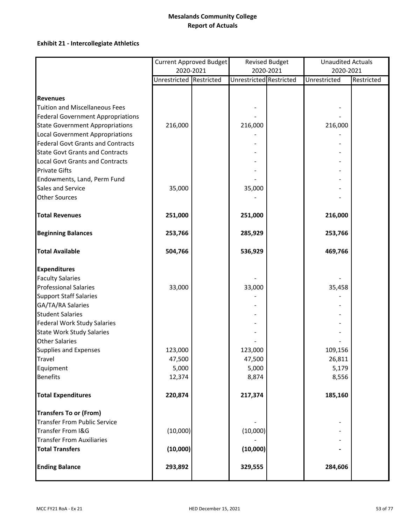# **Exhibit 21 ‐ Intercollegiate Athletics**

|                                          |                         | Current Approved Budget |                         | <b>Revised Budget</b> | <b>Unaudited Actuals</b> |            |  |
|------------------------------------------|-------------------------|-------------------------|-------------------------|-----------------------|--------------------------|------------|--|
|                                          |                         | 2020-2021               |                         | 2020-2021             | 2020-2021                |            |  |
|                                          | Unrestricted Restricted |                         | Unrestricted Restricted |                       | Unrestricted             | Restricted |  |
|                                          |                         |                         |                         |                       |                          |            |  |
| <b>Revenues</b>                          |                         |                         |                         |                       |                          |            |  |
| <b>Tuition and Miscellaneous Fees</b>    |                         |                         |                         |                       |                          |            |  |
| <b>Federal Government Appropriations</b> |                         |                         |                         |                       |                          |            |  |
| <b>State Government Appropriations</b>   | 216,000                 |                         | 216,000                 |                       | 216,000                  |            |  |
| <b>Local Government Appropriations</b>   |                         |                         |                         |                       |                          |            |  |
| <b>Federal Govt Grants and Contracts</b> |                         |                         |                         |                       |                          |            |  |
| <b>State Govt Grants and Contracts</b>   |                         |                         |                         |                       |                          |            |  |
| <b>Local Govt Grants and Contracts</b>   |                         |                         |                         |                       |                          |            |  |
| <b>Private Gifts</b>                     |                         |                         |                         |                       |                          |            |  |
| Endowments, Land, Perm Fund              |                         |                         |                         |                       |                          |            |  |
| Sales and Service                        | 35,000                  |                         | 35,000                  |                       |                          |            |  |
| <b>Other Sources</b>                     |                         |                         |                         |                       |                          |            |  |
| <b>Total Revenues</b>                    | 251,000                 |                         | 251,000                 |                       | 216,000                  |            |  |
| <b>Beginning Balances</b>                | 253,766                 |                         | 285,929                 |                       | 253,766                  |            |  |
| <b>Total Available</b>                   | 504,766                 |                         | 536,929                 |                       | 469,766                  |            |  |
| <b>Expenditures</b>                      |                         |                         |                         |                       |                          |            |  |
| <b>Faculty Salaries</b>                  |                         |                         |                         |                       |                          |            |  |
| <b>Professional Salaries</b>             | 33,000                  |                         | 33,000                  |                       | 35,458                   |            |  |
| <b>Support Staff Salaries</b>            |                         |                         |                         |                       |                          |            |  |
| GA/TA/RA Salaries                        |                         |                         |                         |                       |                          |            |  |
| <b>Student Salaries</b>                  |                         |                         |                         |                       |                          |            |  |
| <b>Federal Work Study Salaries</b>       |                         |                         |                         |                       |                          |            |  |
| <b>State Work Study Salaries</b>         |                         |                         |                         |                       |                          |            |  |
| <b>Other Salaries</b>                    |                         |                         |                         |                       |                          |            |  |
| <b>Supplies and Expenses</b>             | 123,000                 |                         | 123,000                 |                       | 109,156                  |            |  |
| <b>Travel</b>                            | 47,500                  |                         | 47,500                  |                       | 26,811                   |            |  |
| Equipment                                | 5,000                   |                         | 5,000                   |                       | 5,179                    |            |  |
| <b>Benefits</b>                          | 12,374                  |                         | 8,874                   |                       | 8,556                    |            |  |
| <b>Total Expenditures</b>                | 220,874                 |                         | 217,374                 |                       | 185,160                  |            |  |
| <b>Transfers To or (From)</b>            |                         |                         |                         |                       |                          |            |  |
| <b>Transfer From Public Service</b>      |                         |                         |                         |                       |                          |            |  |
| Transfer From I&G                        | (10,000)                |                         | (10,000)                |                       |                          |            |  |
| <b>Transfer From Auxiliaries</b>         |                         |                         |                         |                       |                          |            |  |
| <b>Total Transfers</b>                   | (10,000)                |                         | (10,000)                |                       |                          |            |  |
| <b>Ending Balance</b>                    | 293,892                 |                         | 329,555                 |                       | 284,606                  |            |  |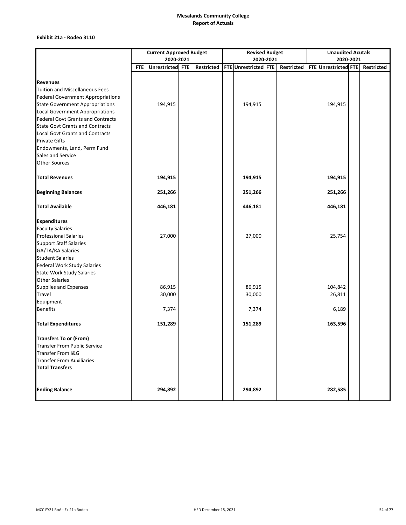### **Exhibit 21a ‐ Rodeo 3110**

|                                          | <b>Current Approved Budget</b> |                  |  |            | <b>Revised Budget</b> |                      |  |            | <b>Unaudited Acutals</b> |                      |  |            |
|------------------------------------------|--------------------------------|------------------|--|------------|-----------------------|----------------------|--|------------|--------------------------|----------------------|--|------------|
|                                          |                                | 2020-2021        |  |            | 2020-2021             |                      |  |            | 2020-2021                |                      |  |            |
|                                          | <b>FTE</b>                     | Unrestricted FTE |  | Restricted |                       | FTE Unrestricted FTE |  | Restricted |                          | FTE Unrestricted FTE |  | Restricted |
|                                          |                                |                  |  |            |                       |                      |  |            |                          |                      |  |            |
| <b>Revenues</b>                          |                                |                  |  |            |                       |                      |  |            |                          |                      |  |            |
| Tuition and Miscellaneous Fees           |                                |                  |  |            |                       |                      |  |            |                          |                      |  |            |
| <b>Federal Government Appropriations</b> |                                |                  |  |            |                       |                      |  |            |                          |                      |  |            |
| <b>State Government Appropriations</b>   |                                | 194,915          |  |            |                       | 194,915              |  |            |                          | 194,915              |  |            |
| <b>Local Government Appropriations</b>   |                                |                  |  |            |                       |                      |  |            |                          |                      |  |            |
| <b>Federal Govt Grants and Contracts</b> |                                |                  |  |            |                       |                      |  |            |                          |                      |  |            |
| <b>State Govt Grants and Contracts</b>   |                                |                  |  |            |                       |                      |  |            |                          |                      |  |            |
| <b>Local Govt Grants and Contracts</b>   |                                |                  |  |            |                       |                      |  |            |                          |                      |  |            |
| <b>Private Gifts</b>                     |                                |                  |  |            |                       |                      |  |            |                          |                      |  |            |
| Endowments, Land, Perm Fund              |                                |                  |  |            |                       |                      |  |            |                          |                      |  |            |
| Sales and Service                        |                                |                  |  |            |                       |                      |  |            |                          |                      |  |            |
| <b>Other Sources</b>                     |                                |                  |  |            |                       |                      |  |            |                          |                      |  |            |
| <b>Total Revenues</b>                    |                                | 194,915          |  |            |                       | 194,915              |  |            |                          | 194,915              |  |            |
| <b>Beginning Balances</b>                |                                | 251,266          |  |            |                       | 251,266              |  |            |                          | 251,266              |  |            |
| <b>Total Available</b>                   |                                | 446,181          |  |            |                       | 446,181              |  |            |                          | 446,181              |  |            |
| <b>Expenditures</b>                      |                                |                  |  |            |                       |                      |  |            |                          |                      |  |            |
| <b>Faculty Salaries</b>                  |                                |                  |  |            |                       |                      |  |            |                          |                      |  |            |
| <b>Professional Salaries</b>             |                                | 27,000           |  |            |                       | 27,000               |  |            |                          | 25,754               |  |            |
| <b>Support Staff Salaries</b>            |                                |                  |  |            |                       |                      |  |            |                          |                      |  |            |
| GA/TA/RA Salaries                        |                                |                  |  |            |                       |                      |  |            |                          |                      |  |            |
| <b>Student Salaries</b>                  |                                |                  |  |            |                       |                      |  |            |                          |                      |  |            |
| <b>Federal Work Study Salaries</b>       |                                |                  |  |            |                       |                      |  |            |                          |                      |  |            |
| <b>State Work Study Salaries</b>         |                                |                  |  |            |                       |                      |  |            |                          |                      |  |            |
| <b>Other Salaries</b>                    |                                |                  |  |            |                       |                      |  |            |                          |                      |  |            |
| Supplies and Expenses                    |                                | 86,915           |  |            |                       | 86,915               |  |            |                          | 104,842              |  |            |
| Travel                                   |                                | 30,000           |  |            |                       | 30,000               |  |            |                          | 26,811               |  |            |
| Equipment                                |                                |                  |  |            |                       |                      |  |            |                          |                      |  |            |
| <b>Benefits</b>                          |                                | 7,374            |  |            |                       | 7,374                |  |            |                          | 6,189                |  |            |
| <b>Total Expenditures</b>                |                                | 151,289          |  |            |                       | 151,289              |  |            |                          | 163,596              |  |            |
| <b>Transfers To or (From)</b>            |                                |                  |  |            |                       |                      |  |            |                          |                      |  |            |
| Transfer From Public Service             |                                |                  |  |            |                       |                      |  |            |                          |                      |  |            |
| Transfer From I&G                        |                                |                  |  |            |                       |                      |  |            |                          |                      |  |            |
| <b>Transfer From Auxiliaries</b>         |                                |                  |  |            |                       |                      |  |            |                          |                      |  |            |
| <b>Total Transfers</b>                   |                                |                  |  |            |                       |                      |  |            |                          |                      |  |            |
|                                          |                                |                  |  |            |                       |                      |  |            |                          |                      |  |            |
| <b>Ending Balance</b>                    |                                | 294,892          |  |            |                       | 294,892              |  |            |                          | 282,585              |  |            |
|                                          |                                |                  |  |            |                       |                      |  |            |                          |                      |  |            |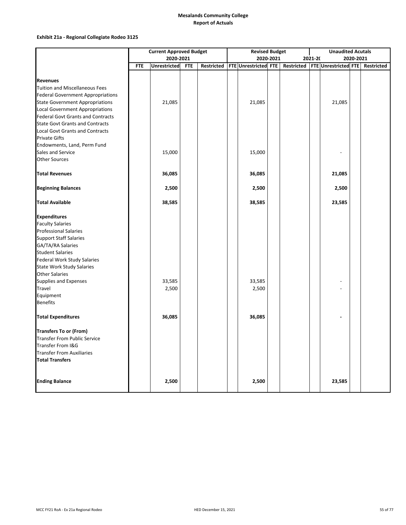### **Exhibit 21a ‐ Regional Collegiate Rodeo 3125**

|                                          | <b>Current Approved Budget</b> |                     |            |                   | <b>Revised Budget</b> |                      |  |                   |  | <b>Unaudited Acutals</b> |  |                   |  |
|------------------------------------------|--------------------------------|---------------------|------------|-------------------|-----------------------|----------------------|--|-------------------|--|--------------------------|--|-------------------|--|
|                                          | 2020-2021                      |                     |            |                   | 2020-2021             |                      |  |                   |  | 2021-20<br>2020-2021     |  |                   |  |
|                                          | <b>FTE</b>                     | <b>Unrestricted</b> | <b>FTE</b> | <b>Restricted</b> |                       | FTE Unrestricted FTE |  | <b>Restricted</b> |  | FTE Unrestricted FTE     |  | <b>Restricted</b> |  |
|                                          |                                |                     |            |                   |                       |                      |  |                   |  |                          |  |                   |  |
| <b>Revenues</b>                          |                                |                     |            |                   |                       |                      |  |                   |  |                          |  |                   |  |
| <b>Tuition and Miscellaneous Fees</b>    |                                |                     |            |                   |                       |                      |  |                   |  |                          |  |                   |  |
| <b>Federal Government Appropriations</b> |                                |                     |            |                   |                       |                      |  |                   |  |                          |  |                   |  |
| <b>State Government Appropriations</b>   |                                | 21,085              |            |                   |                       | 21,085               |  |                   |  | 21,085                   |  |                   |  |
| Local Government Appropriations          |                                |                     |            |                   |                       |                      |  |                   |  |                          |  |                   |  |
| <b>Federal Govt Grants and Contracts</b> |                                |                     |            |                   |                       |                      |  |                   |  |                          |  |                   |  |
| <b>State Govt Grants and Contracts</b>   |                                |                     |            |                   |                       |                      |  |                   |  |                          |  |                   |  |
| <b>Local Govt Grants and Contracts</b>   |                                |                     |            |                   |                       |                      |  |                   |  |                          |  |                   |  |
| <b>Private Gifts</b>                     |                                |                     |            |                   |                       |                      |  |                   |  |                          |  |                   |  |
| Endowments, Land, Perm Fund              |                                |                     |            |                   |                       |                      |  |                   |  |                          |  |                   |  |
| Sales and Service                        |                                | 15,000              |            |                   |                       | 15,000               |  |                   |  |                          |  |                   |  |
| <b>Other Sources</b>                     |                                |                     |            |                   |                       |                      |  |                   |  |                          |  |                   |  |
|                                          |                                |                     |            |                   |                       |                      |  |                   |  |                          |  |                   |  |
| <b>Total Revenues</b>                    |                                | 36,085              |            |                   |                       | 36,085               |  |                   |  | 21,085                   |  |                   |  |
| <b>Beginning Balances</b>                |                                | 2,500               |            |                   |                       | 2,500                |  |                   |  | 2,500                    |  |                   |  |
| <b>Total Available</b>                   |                                | 38,585              |            |                   |                       | 38,585               |  |                   |  | 23,585                   |  |                   |  |
| <b>Expenditures</b>                      |                                |                     |            |                   |                       |                      |  |                   |  |                          |  |                   |  |
| <b>Faculty Salaries</b>                  |                                |                     |            |                   |                       |                      |  |                   |  |                          |  |                   |  |
| <b>Professional Salaries</b>             |                                |                     |            |                   |                       |                      |  |                   |  |                          |  |                   |  |
| <b>Support Staff Salaries</b>            |                                |                     |            |                   |                       |                      |  |                   |  |                          |  |                   |  |
| GA/TA/RA Salaries                        |                                |                     |            |                   |                       |                      |  |                   |  |                          |  |                   |  |
| <b>Student Salaries</b>                  |                                |                     |            |                   |                       |                      |  |                   |  |                          |  |                   |  |
| Federal Work Study Salaries              |                                |                     |            |                   |                       |                      |  |                   |  |                          |  |                   |  |
| <b>State Work Study Salaries</b>         |                                |                     |            |                   |                       |                      |  |                   |  |                          |  |                   |  |
| <b>Other Salaries</b>                    |                                |                     |            |                   |                       |                      |  |                   |  |                          |  |                   |  |
| Supplies and Expenses                    |                                | 33,585              |            |                   |                       | 33,585               |  |                   |  |                          |  |                   |  |
| Travel                                   |                                | 2,500               |            |                   |                       | 2,500                |  |                   |  |                          |  |                   |  |
| Equipment                                |                                |                     |            |                   |                       |                      |  |                   |  |                          |  |                   |  |
| <b>Benefits</b>                          |                                |                     |            |                   |                       |                      |  |                   |  |                          |  |                   |  |
|                                          |                                |                     |            |                   |                       |                      |  |                   |  |                          |  |                   |  |
| <b>Total Expenditures</b>                |                                | 36,085              |            |                   |                       | 36,085               |  |                   |  |                          |  |                   |  |
| <b>Transfers To or (From)</b>            |                                |                     |            |                   |                       |                      |  |                   |  |                          |  |                   |  |
| <b>Transfer From Public Service</b>      |                                |                     |            |                   |                       |                      |  |                   |  |                          |  |                   |  |
| Transfer From I&G                        |                                |                     |            |                   |                       |                      |  |                   |  |                          |  |                   |  |
| <b>Transfer From Auxiliaries</b>         |                                |                     |            |                   |                       |                      |  |                   |  |                          |  |                   |  |
| <b>Total Transfers</b>                   |                                |                     |            |                   |                       |                      |  |                   |  |                          |  |                   |  |
|                                          |                                |                     |            |                   |                       |                      |  |                   |  |                          |  |                   |  |
|                                          |                                |                     |            |                   |                       |                      |  |                   |  |                          |  |                   |  |
| <b>Ending Balance</b>                    |                                | 2,500               |            |                   |                       | 2,500                |  |                   |  | 23,585                   |  |                   |  |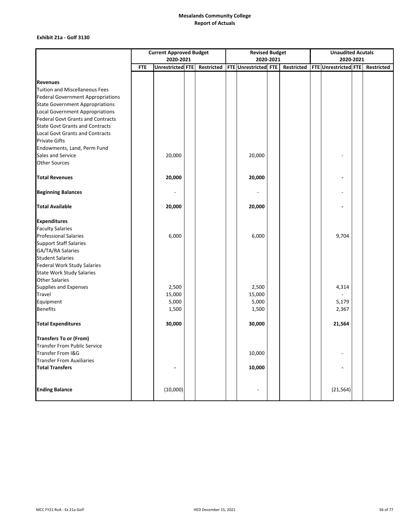### **Exhibit 21a ‐ Golf 3130**

|                                          | <b>Current Approved Budget</b> |                  |  |            | <b>Revised Budget</b> |                      |  |            | <b>Unaudited Acutals</b> |                      |  |            |  |
|------------------------------------------|--------------------------------|------------------|--|------------|-----------------------|----------------------|--|------------|--------------------------|----------------------|--|------------|--|
|                                          |                                | 2020-2021        |  |            |                       | 2020-2021            |  |            |                          | 2020-2021            |  |            |  |
|                                          | <b>FTE</b>                     | Unrestricted FTE |  | Restricted |                       | FTE Unrestricted FTE |  | Restricted |                          | FTE Unrestricted FTE |  | Restricted |  |
|                                          |                                |                  |  |            |                       |                      |  |            |                          |                      |  |            |  |
| <b>Revenues</b>                          |                                |                  |  |            |                       |                      |  |            |                          |                      |  |            |  |
| Tuition and Miscellaneous Fees           |                                |                  |  |            |                       |                      |  |            |                          |                      |  |            |  |
| <b>Federal Government Appropriations</b> |                                |                  |  |            |                       |                      |  |            |                          |                      |  |            |  |
| <b>State Government Appropriations</b>   |                                |                  |  |            |                       |                      |  |            |                          |                      |  |            |  |
| <b>Local Government Appropriations</b>   |                                |                  |  |            |                       |                      |  |            |                          |                      |  |            |  |
| <b>Federal Govt Grants and Contracts</b> |                                |                  |  |            |                       |                      |  |            |                          |                      |  |            |  |
| <b>State Govt Grants and Contracts</b>   |                                |                  |  |            |                       |                      |  |            |                          |                      |  |            |  |
| <b>Local Govt Grants and Contracts</b>   |                                |                  |  |            |                       |                      |  |            |                          |                      |  |            |  |
| <b>Private Gifts</b>                     |                                |                  |  |            |                       |                      |  |            |                          |                      |  |            |  |
| Endowments, Land, Perm Fund              |                                |                  |  |            |                       |                      |  |            |                          |                      |  |            |  |
| Sales and Service                        |                                | 20,000           |  |            |                       | 20,000               |  |            |                          |                      |  |            |  |
| <b>Other Sources</b>                     |                                |                  |  |            |                       |                      |  |            |                          |                      |  |            |  |
| <b>Total Revenues</b>                    |                                | 20,000           |  |            |                       | 20,000               |  |            |                          |                      |  |            |  |
|                                          |                                |                  |  |            |                       |                      |  |            |                          |                      |  |            |  |
| <b>Beginning Balances</b>                |                                |                  |  |            |                       |                      |  |            |                          |                      |  |            |  |
| <b>Total Available</b>                   |                                | 20,000           |  |            |                       | 20,000               |  |            |                          |                      |  |            |  |
| <b>Expenditures</b>                      |                                |                  |  |            |                       |                      |  |            |                          |                      |  |            |  |
| <b>Faculty Salaries</b>                  |                                |                  |  |            |                       |                      |  |            |                          |                      |  |            |  |
| <b>Professional Salaries</b>             |                                | 6,000            |  |            |                       | 6,000                |  |            |                          | 9,704                |  |            |  |
| <b>Support Staff Salaries</b>            |                                |                  |  |            |                       |                      |  |            |                          |                      |  |            |  |
| GA/TA/RA Salaries                        |                                |                  |  |            |                       |                      |  |            |                          |                      |  |            |  |
| <b>Student Salaries</b>                  |                                |                  |  |            |                       |                      |  |            |                          |                      |  |            |  |
| <b>Federal Work Study Salaries</b>       |                                |                  |  |            |                       |                      |  |            |                          |                      |  |            |  |
| <b>State Work Study Salaries</b>         |                                |                  |  |            |                       |                      |  |            |                          |                      |  |            |  |
| <b>Other Salaries</b>                    |                                |                  |  |            |                       |                      |  |            |                          |                      |  |            |  |
| Supplies and Expenses                    |                                | 2,500            |  |            |                       | 2,500                |  |            |                          | 4,314                |  |            |  |
| Travel                                   |                                | 15,000           |  |            |                       | 15,000               |  |            |                          |                      |  |            |  |
| Equipment                                |                                | 5,000            |  |            |                       | 5,000                |  |            |                          | 5,179                |  |            |  |
| <b>Benefits</b>                          |                                | 1,500            |  |            |                       | 1,500                |  |            |                          | 2,367                |  |            |  |
|                                          |                                |                  |  |            |                       |                      |  |            |                          |                      |  |            |  |
| <b>Total Expenditures</b>                |                                | 30,000           |  |            |                       | 30,000               |  |            |                          | 21,564               |  |            |  |
| <b>Transfers To or (From)</b>            |                                |                  |  |            |                       |                      |  |            |                          |                      |  |            |  |
| Transfer From Public Service             |                                |                  |  |            |                       |                      |  |            |                          |                      |  |            |  |
| Transfer From I&G                        |                                |                  |  |            |                       | 10,000               |  |            |                          |                      |  |            |  |
| <b>Transfer From Auxiliaries</b>         |                                |                  |  |            |                       |                      |  |            |                          |                      |  |            |  |
| <b>Total Transfers</b>                   |                                |                  |  |            |                       | 10,000               |  |            |                          |                      |  |            |  |
|                                          |                                |                  |  |            |                       |                      |  |            |                          |                      |  |            |  |
|                                          |                                |                  |  |            |                       |                      |  |            |                          |                      |  |            |  |
| <b>Ending Balance</b>                    |                                | (10,000)         |  |            |                       |                      |  |            |                          | (21, 564)            |  |            |  |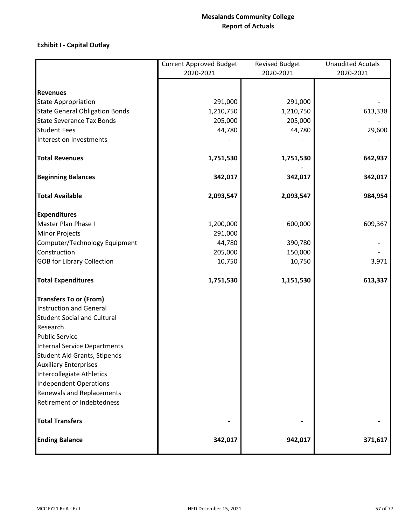# **Exhibit I ‐ Capital Outlay**

|                                       | <b>Current Approved Budget</b> | <b>Revised Budget</b> | <b>Unaudited Acutals</b> |
|---------------------------------------|--------------------------------|-----------------------|--------------------------|
|                                       | 2020-2021                      | 2020-2021             | 2020-2021                |
|                                       |                                |                       |                          |
| <b>Revenues</b>                       |                                |                       |                          |
| <b>State Appropriation</b>            | 291,000                        | 291,000               |                          |
| <b>State General Obligation Bonds</b> | 1,210,750                      | 1,210,750             | 613,338                  |
| <b>State Severance Tax Bonds</b>      | 205,000                        | 205,000               |                          |
| <b>Student Fees</b>                   | 44,780                         | 44,780                | 29,600                   |
| Interest on Investments               |                                |                       |                          |
| <b>Total Revenues</b>                 | 1,751,530                      | 1,751,530             | 642,937                  |
| <b>Beginning Balances</b>             | 342,017                        | 342,017               | 342,017                  |
| <b>Total Available</b>                | 2,093,547                      | 2,093,547             | 984,954                  |
| <b>Expenditures</b>                   |                                |                       |                          |
| Master Plan Phase I                   | 1,200,000                      | 600,000               | 609,367                  |
| <b>Minor Projects</b>                 | 291,000                        |                       |                          |
| Computer/Technology Equipment         | 44,780                         | 390,780               |                          |
| Construction                          | 205,000                        | 150,000               |                          |
| <b>GOB</b> for Library Collection     | 10,750                         | 10,750                | 3,971                    |
| <b>Total Expenditures</b>             | 1,751,530                      | 1,151,530             | 613,337                  |
| <b>Transfers To or (From)</b>         |                                |                       |                          |
| <b>Instruction and General</b>        |                                |                       |                          |
| <b>Student Social and Cultural</b>    |                                |                       |                          |
| Research                              |                                |                       |                          |
| <b>Public Service</b>                 |                                |                       |                          |
| Internal Service Departments          |                                |                       |                          |
| <b>Student Aid Grants, Stipends</b>   |                                |                       |                          |
| <b>Auxiliary Enterprises</b>          |                                |                       |                          |
| Intercollegiate Athletics             |                                |                       |                          |
| <b>Independent Operations</b>         |                                |                       |                          |
| Renewals and Replacements             |                                |                       |                          |
| Retirement of Indebtedness            |                                |                       |                          |
| <b>Total Transfers</b>                |                                |                       |                          |
| <b>Ending Balance</b>                 | 342,017                        | 942,017               | 371,617                  |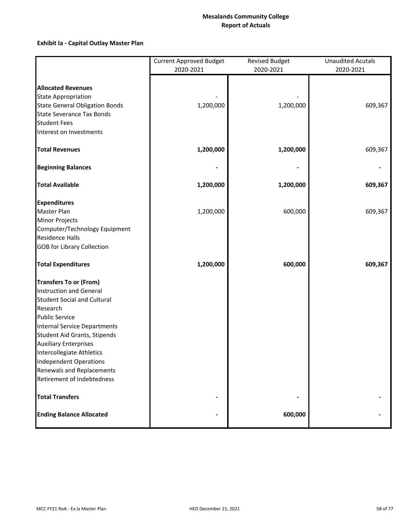# **Exhibit Ia ‐ Capital Outlay Master Plan**

|                                       | <b>Current Approved Budget</b><br>2020-2021 | <b>Revised Budget</b><br>2020-2021 | <b>Unaudited Acutals</b><br>2020-2021 |  |  |
|---------------------------------------|---------------------------------------------|------------------------------------|---------------------------------------|--|--|
|                                       |                                             |                                    |                                       |  |  |
| <b>Allocated Revenues</b>             |                                             |                                    |                                       |  |  |
| <b>State Appropriation</b>            |                                             |                                    |                                       |  |  |
| <b>State General Obligation Bonds</b> | 1,200,000                                   | 1,200,000                          | 609,367                               |  |  |
| <b>State Severance Tax Bonds</b>      |                                             |                                    |                                       |  |  |
| <b>Student Fees</b>                   |                                             |                                    |                                       |  |  |
| Interest on Investments               |                                             |                                    |                                       |  |  |
| <b>Total Revenues</b>                 | 1,200,000                                   | 1,200,000                          | 609,367                               |  |  |
| <b>Beginning Balances</b>             |                                             |                                    |                                       |  |  |
| <b>Total Available</b>                | 1,200,000                                   | 1,200,000                          | 609,367                               |  |  |
| <b>Expenditures</b>                   |                                             |                                    |                                       |  |  |
| Master Plan                           | 1,200,000                                   | 600,000                            | 609,367                               |  |  |
| <b>Minor Projects</b>                 |                                             |                                    |                                       |  |  |
| Computer/Technology Equipment         |                                             |                                    |                                       |  |  |
| <b>Residence Halls</b>                |                                             |                                    |                                       |  |  |
| <b>GOB for Library Collection</b>     |                                             |                                    |                                       |  |  |
| <b>Total Expenditures</b>             | 1,200,000                                   | 600,000                            | 609,367                               |  |  |
| <b>Transfers To or (From)</b>         |                                             |                                    |                                       |  |  |
| Instruction and General               |                                             |                                    |                                       |  |  |
| <b>Student Social and Cultural</b>    |                                             |                                    |                                       |  |  |
| Research                              |                                             |                                    |                                       |  |  |
| <b>Public Service</b>                 |                                             |                                    |                                       |  |  |
| Internal Service Departments          |                                             |                                    |                                       |  |  |
| Student Aid Grants, Stipends          |                                             |                                    |                                       |  |  |
| <b>Auxiliary Enterprises</b>          |                                             |                                    |                                       |  |  |
| Intercollegiate Athletics             |                                             |                                    |                                       |  |  |
| <b>Independent Operations</b>         |                                             |                                    |                                       |  |  |
| Renewals and Replacements             |                                             |                                    |                                       |  |  |
| Retirement of Indebtedness            |                                             |                                    |                                       |  |  |
| <b>Total Transfers</b>                |                                             |                                    |                                       |  |  |
| <b>Ending Balance Allocated</b>       |                                             | 600,000                            |                                       |  |  |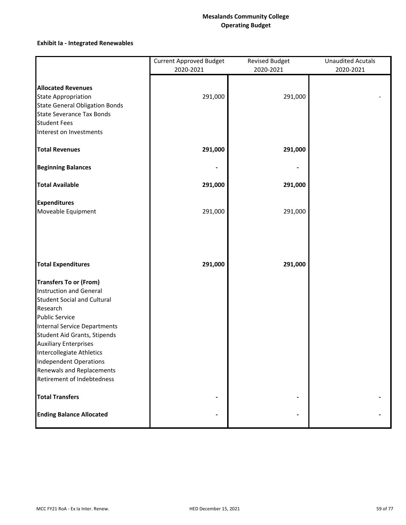# **Mesalands Community College Operating Budget**

# **Exhibit Ia ‐ Integrated Renewables**

|                                       | <b>Current Approved Budget</b><br>2020-2021 | <b>Revised Budget</b><br>2020-2021 | <b>Unaudited Acutals</b><br>2020-2021 |
|---------------------------------------|---------------------------------------------|------------------------------------|---------------------------------------|
|                                       |                                             |                                    |                                       |
| <b>Allocated Revenues</b>             |                                             |                                    |                                       |
| <b>State Appropriation</b>            | 291,000                                     | 291,000                            |                                       |
| <b>State General Obligation Bonds</b> |                                             |                                    |                                       |
| <b>State Severance Tax Bonds</b>      |                                             |                                    |                                       |
| <b>Student Fees</b>                   |                                             |                                    |                                       |
| Interest on Investments               |                                             |                                    |                                       |
| <b>Total Revenues</b>                 | 291,000                                     | 291,000                            |                                       |
| <b>Beginning Balances</b>             |                                             |                                    |                                       |
| <b>Total Available</b>                | 291,000                                     | 291,000                            |                                       |
| <b>Expenditures</b>                   |                                             |                                    |                                       |
| Moveable Equipment                    | 291,000                                     | 291,000                            |                                       |
| <b>Total Expenditures</b>             | 291,000                                     | 291,000                            |                                       |
| <b>Transfers To or (From)</b>         |                                             |                                    |                                       |
| Instruction and General               |                                             |                                    |                                       |
| <b>Student Social and Cultural</b>    |                                             |                                    |                                       |
| Research                              |                                             |                                    |                                       |
| <b>Public Service</b>                 |                                             |                                    |                                       |
| <b>Internal Service Departments</b>   |                                             |                                    |                                       |
| Student Aid Grants, Stipends          |                                             |                                    |                                       |
| <b>Auxiliary Enterprises</b>          |                                             |                                    |                                       |
| Intercollegiate Athletics             |                                             |                                    |                                       |
| <b>Independent Operations</b>         |                                             |                                    |                                       |
| Renewals and Replacements             |                                             |                                    |                                       |
| Retirement of Indebtedness            |                                             |                                    |                                       |
| <b>Total Transfers</b>                |                                             |                                    |                                       |
| <b>Ending Balance Allocated</b>       |                                             |                                    |                                       |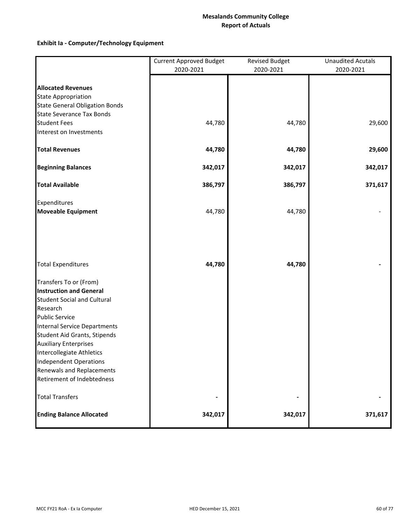# **Exhibit Ia ‐ Computer/Technology Equipment**

|                                       | <b>Current Approved Budget</b><br>2020-2021 | <b>Revised Budget</b><br>2020-2021 | <b>Unaudited Acutals</b><br>2020-2021 |  |  |  |
|---------------------------------------|---------------------------------------------|------------------------------------|---------------------------------------|--|--|--|
|                                       |                                             |                                    |                                       |  |  |  |
| <b>Allocated Revenues</b>             |                                             |                                    |                                       |  |  |  |
| <b>State Appropriation</b>            |                                             |                                    |                                       |  |  |  |
| <b>State General Obligation Bonds</b> |                                             |                                    |                                       |  |  |  |
| <b>State Severance Tax Bonds</b>      |                                             |                                    |                                       |  |  |  |
| <b>Student Fees</b>                   | 44,780                                      | 44,780                             | 29,600                                |  |  |  |
| Interest on Investments               |                                             |                                    |                                       |  |  |  |
| <b>Total Revenues</b>                 | 44,780                                      | 44,780                             | 29,600                                |  |  |  |
| <b>Beginning Balances</b>             | 342,017                                     | 342,017                            | 342,017                               |  |  |  |
| <b>Total Available</b>                | 386,797                                     | 386,797                            | 371,617                               |  |  |  |
| Expenditures                          |                                             |                                    |                                       |  |  |  |
| <b>Moveable Equipment</b>             | 44,780                                      | 44,780                             |                                       |  |  |  |
|                                       |                                             |                                    |                                       |  |  |  |
| <b>Total Expenditures</b>             | 44,780                                      | 44,780                             |                                       |  |  |  |
| Transfers To or (From)                |                                             |                                    |                                       |  |  |  |
| <b>Instruction and General</b>        |                                             |                                    |                                       |  |  |  |
| <b>Student Social and Cultural</b>    |                                             |                                    |                                       |  |  |  |
| Research                              |                                             |                                    |                                       |  |  |  |
| <b>Public Service</b>                 |                                             |                                    |                                       |  |  |  |
| <b>Internal Service Departments</b>   |                                             |                                    |                                       |  |  |  |
| Student Aid Grants, Stipends          |                                             |                                    |                                       |  |  |  |
| <b>Auxiliary Enterprises</b>          |                                             |                                    |                                       |  |  |  |
| Intercollegiate Athletics             |                                             |                                    |                                       |  |  |  |
| <b>Independent Operations</b>         |                                             |                                    |                                       |  |  |  |
| Renewals and Replacements             |                                             |                                    |                                       |  |  |  |
| Retirement of Indebtedness            |                                             |                                    |                                       |  |  |  |
| <b>Total Transfers</b>                |                                             |                                    |                                       |  |  |  |
| <b>Ending Balance Allocated</b>       | 342,017                                     | 342,017                            | 371,617                               |  |  |  |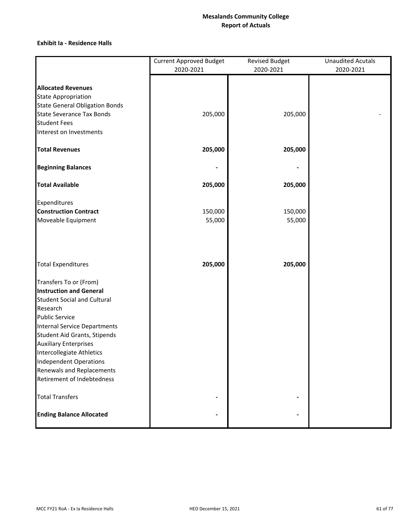### **Exhibit Ia ‐ Residence Halls**

|                                                         | <b>Current Approved Budget</b> | <b>Revised Budget</b> | <b>Unaudited Acutals</b> |
|---------------------------------------------------------|--------------------------------|-----------------------|--------------------------|
|                                                         | 2020-2021                      | 2020-2021             | 2020-2021                |
| <b>Allocated Revenues</b>                               |                                |                       |                          |
| <b>State Appropriation</b>                              |                                |                       |                          |
| <b>State General Obligation Bonds</b>                   |                                |                       |                          |
| <b>State Severance Tax Bonds</b>                        | 205,000                        | 205,000               |                          |
| <b>Student Fees</b>                                     |                                |                       |                          |
| Interest on Investments                                 |                                |                       |                          |
| <b>Total Revenues</b>                                   | 205,000                        | 205,000               |                          |
| <b>Beginning Balances</b>                               |                                |                       |                          |
| <b>Total Available</b>                                  | 205,000                        | 205,000               |                          |
| Expenditures                                            |                                |                       |                          |
| <b>Construction Contract</b>                            | 150,000                        | 150,000               |                          |
| Moveable Equipment                                      | 55,000                         | 55,000                |                          |
| <b>Total Expenditures</b>                               | 205,000                        | 205,000               |                          |
| Transfers To or (From)                                  |                                |                       |                          |
| <b>Instruction and General</b>                          |                                |                       |                          |
| <b>Student Social and Cultural</b>                      |                                |                       |                          |
| Research                                                |                                |                       |                          |
| <b>Public Service</b>                                   |                                |                       |                          |
| Internal Service Departments                            |                                |                       |                          |
| Student Aid Grants, Stipends                            |                                |                       |                          |
| <b>Auxiliary Enterprises</b>                            |                                |                       |                          |
| Intercollegiate Athletics                               |                                |                       |                          |
| <b>Independent Operations</b>                           |                                |                       |                          |
| Renewals and Replacements<br>Retirement of Indebtedness |                                |                       |                          |
|                                                         |                                |                       |                          |
| <b>Total Transfers</b>                                  |                                |                       |                          |
| <b>Ending Balance Allocated</b>                         |                                |                       |                          |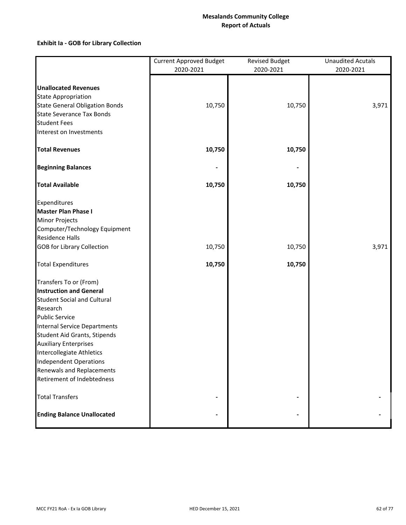# **Exhibit Ia ‐ GOB for Library Collection**

|                                       | <b>Current Approved Budget</b> | <b>Revised Budget</b> | <b>Unaudited Acutals</b> |  |  |
|---------------------------------------|--------------------------------|-----------------------|--------------------------|--|--|
|                                       | 2020-2021                      | 2020-2021             | 2020-2021                |  |  |
|                                       |                                |                       |                          |  |  |
| <b>Unallocated Revenues</b>           |                                |                       |                          |  |  |
| <b>State Appropriation</b>            |                                |                       |                          |  |  |
| <b>State General Obligation Bonds</b> | 10,750                         | 10,750                | 3,971                    |  |  |
| <b>State Severance Tax Bonds</b>      |                                |                       |                          |  |  |
| <b>Student Fees</b>                   |                                |                       |                          |  |  |
| Interest on Investments               |                                |                       |                          |  |  |
| <b>Total Revenues</b>                 | 10,750                         | 10,750                |                          |  |  |
| <b>Beginning Balances</b>             |                                |                       |                          |  |  |
| <b>Total Available</b>                | 10,750                         | 10,750                |                          |  |  |
| Expenditures                          |                                |                       |                          |  |  |
| <b>Master Plan Phase I</b>            |                                |                       |                          |  |  |
| <b>Minor Projects</b>                 |                                |                       |                          |  |  |
| Computer/Technology Equipment         |                                |                       |                          |  |  |
| <b>Residence Halls</b>                |                                |                       |                          |  |  |
| <b>GOB for Library Collection</b>     | 10,750                         | 10,750                | 3,971                    |  |  |
| <b>Total Expenditures</b>             | 10,750                         | 10,750                |                          |  |  |
| Transfers To or (From)                |                                |                       |                          |  |  |
| <b>Instruction and General</b>        |                                |                       |                          |  |  |
| <b>Student Social and Cultural</b>    |                                |                       |                          |  |  |
| Research                              |                                |                       |                          |  |  |
| <b>Public Service</b>                 |                                |                       |                          |  |  |
| Internal Service Departments          |                                |                       |                          |  |  |
| Student Aid Grants, Stipends          |                                |                       |                          |  |  |
| <b>Auxiliary Enterprises</b>          |                                |                       |                          |  |  |
| Intercollegiate Athletics             |                                |                       |                          |  |  |
| <b>Independent Operations</b>         |                                |                       |                          |  |  |
| Renewals and Replacements             |                                |                       |                          |  |  |
| Retirement of Indebtedness            |                                |                       |                          |  |  |
| <b>Total Transfers</b>                |                                |                       |                          |  |  |
| <b>Ending Balance Unallocated</b>     |                                |                       |                          |  |  |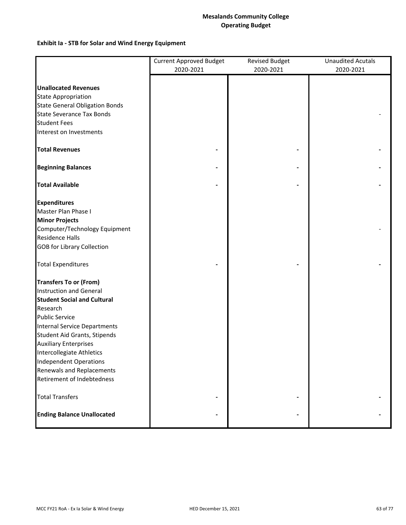## **Mesalands Community College Operating Budget**

# **Exhibit Ia ‐ STB for Solar and Wind Energy Equipment**

|                                                            | <b>Current Approved Budget</b><br>2020-2021 | <b>Revised Budget</b><br>2020-2021 | <b>Unaudited Acutals</b><br>2020-2021 |  |  |
|------------------------------------------------------------|---------------------------------------------|------------------------------------|---------------------------------------|--|--|
|                                                            |                                             |                                    |                                       |  |  |
| <b>Unallocated Revenues</b>                                |                                             |                                    |                                       |  |  |
| <b>State Appropriation</b>                                 |                                             |                                    |                                       |  |  |
| <b>State General Obligation Bonds</b>                      |                                             |                                    |                                       |  |  |
| <b>State Severance Tax Bonds</b>                           |                                             |                                    |                                       |  |  |
| <b>Student Fees</b>                                        |                                             |                                    |                                       |  |  |
| Interest on Investments                                    |                                             |                                    |                                       |  |  |
| <b>Total Revenues</b>                                      |                                             |                                    |                                       |  |  |
| <b>Beginning Balances</b>                                  |                                             |                                    |                                       |  |  |
| <b>Total Available</b>                                     |                                             |                                    |                                       |  |  |
| <b>Expenditures</b>                                        |                                             |                                    |                                       |  |  |
| Master Plan Phase I                                        |                                             |                                    |                                       |  |  |
| <b>Minor Projects</b>                                      |                                             |                                    |                                       |  |  |
| Computer/Technology Equipment                              |                                             |                                    |                                       |  |  |
| <b>Residence Halls</b>                                     |                                             |                                    |                                       |  |  |
| <b>GOB for Library Collection</b>                          |                                             |                                    |                                       |  |  |
| <b>Total Expenditures</b>                                  |                                             |                                    |                                       |  |  |
| <b>Transfers To or (From)</b>                              |                                             |                                    |                                       |  |  |
| <b>Instruction and General</b>                             |                                             |                                    |                                       |  |  |
| <b>Student Social and Cultural</b>                         |                                             |                                    |                                       |  |  |
| Research                                                   |                                             |                                    |                                       |  |  |
| <b>Public Service</b>                                      |                                             |                                    |                                       |  |  |
| Internal Service Departments                               |                                             |                                    |                                       |  |  |
| Student Aid Grants, Stipends                               |                                             |                                    |                                       |  |  |
| <b>Auxiliary Enterprises</b>                               |                                             |                                    |                                       |  |  |
| Intercollegiate Athletics<br><b>Independent Operations</b> |                                             |                                    |                                       |  |  |
| Renewals and Replacements                                  |                                             |                                    |                                       |  |  |
| Retirement of Indebtedness                                 |                                             |                                    |                                       |  |  |
| <b>Total Transfers</b>                                     |                                             |                                    |                                       |  |  |
| <b>Ending Balance Unallocated</b>                          |                                             |                                    |                                       |  |  |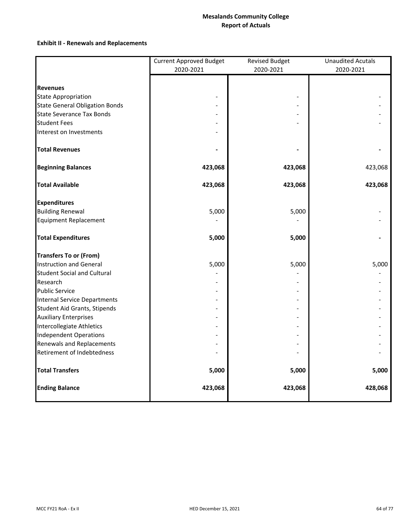# **Exhibit II ‐ Renewals and Replacements**

|                                       | <b>Current Approved Budget</b> | <b>Revised Budget</b> | <b>Unaudited Acutals</b> |
|---------------------------------------|--------------------------------|-----------------------|--------------------------|
|                                       | 2020-2021                      | 2020-2021             | 2020-2021                |
|                                       |                                |                       |                          |
| <b>Revenues</b>                       |                                |                       |                          |
| <b>State Appropriation</b>            |                                |                       |                          |
| <b>State General Obligation Bonds</b> |                                |                       |                          |
| <b>State Severance Tax Bonds</b>      |                                |                       |                          |
| <b>Student Fees</b>                   |                                |                       |                          |
| Interest on Investments               |                                |                       |                          |
| <b>Total Revenues</b>                 |                                |                       |                          |
| <b>Beginning Balances</b>             | 423,068                        | 423,068               | 423,068                  |
| <b>Total Available</b>                | 423,068                        | 423,068               | 423,068                  |
| <b>Expenditures</b>                   |                                |                       |                          |
| <b>Building Renewal</b>               | 5,000                          | 5,000                 |                          |
| <b>Equipment Replacement</b>          |                                |                       |                          |
| <b>Total Expenditures</b>             | 5,000                          | 5,000                 |                          |
| <b>Transfers To or (From)</b>         |                                |                       |                          |
| Instruction and General               | 5,000                          | 5,000                 | 5,000                    |
| <b>Student Social and Cultural</b>    |                                |                       |                          |
| Research                              |                                |                       |                          |
| <b>Public Service</b>                 |                                |                       |                          |
| <b>Internal Service Departments</b>   |                                |                       |                          |
| <b>Student Aid Grants, Stipends</b>   |                                |                       |                          |
| <b>Auxiliary Enterprises</b>          |                                |                       |                          |
| Intercollegiate Athletics             |                                |                       |                          |
| <b>Independent Operations</b>         |                                |                       |                          |
| Renewals and Replacements             |                                |                       |                          |
| Retirement of Indebtedness            |                                |                       |                          |
| <b>Total Transfers</b>                | 5,000                          | 5,000                 | 5,000                    |
| <b>Ending Balance</b>                 | 423,068                        | 423,068               | 428,068                  |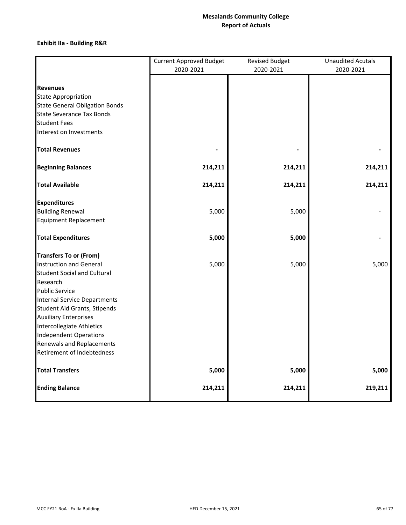# **Exhibit IIa ‐ Building R&R**

|                                                                           | <b>Current Approved Budget</b> | <b>Unaudited Acutals</b> |           |  |
|---------------------------------------------------------------------------|--------------------------------|--------------------------|-----------|--|
|                                                                           | 2020-2021                      | 2020-2021                | 2020-2021 |  |
|                                                                           |                                |                          |           |  |
| <b>Revenues</b>                                                           |                                |                          |           |  |
| <b>State Appropriation</b>                                                |                                |                          |           |  |
| <b>State General Obligation Bonds</b><br><b>State Severance Tax Bonds</b> |                                |                          |           |  |
| <b>Student Fees</b>                                                       |                                |                          |           |  |
| Interest on Investments                                                   |                                |                          |           |  |
|                                                                           |                                |                          |           |  |
| <b>Total Revenues</b>                                                     |                                |                          |           |  |
| <b>Beginning Balances</b>                                                 | 214,211                        | 214,211                  | 214,211   |  |
| <b>Total Available</b>                                                    | 214,211                        | 214,211                  | 214,211   |  |
| <b>Expenditures</b>                                                       |                                |                          |           |  |
| <b>Building Renewal</b>                                                   | 5,000                          | 5,000                    |           |  |
| <b>Equipment Replacement</b>                                              |                                |                          |           |  |
| <b>Total Expenditures</b>                                                 | 5,000                          | 5,000                    |           |  |
| <b>Transfers To or (From)</b>                                             |                                |                          |           |  |
| <b>Instruction and General</b>                                            | 5,000                          | 5,000                    | 5,000     |  |
| <b>Student Social and Cultural</b>                                        |                                |                          |           |  |
| Research                                                                  |                                |                          |           |  |
| <b>Public Service</b>                                                     |                                |                          |           |  |
| <b>Internal Service Departments</b>                                       |                                |                          |           |  |
| Student Aid Grants, Stipends                                              |                                |                          |           |  |
| <b>Auxiliary Enterprises</b>                                              |                                |                          |           |  |
| Intercollegiate Athletics                                                 |                                |                          |           |  |
| <b>Independent Operations</b><br><b>Renewals and Replacements</b>         |                                |                          |           |  |
| Retirement of Indebtedness                                                |                                |                          |           |  |
|                                                                           |                                |                          |           |  |
| <b>Total Transfers</b>                                                    | 5,000                          | 5,000                    | 5,000     |  |
| <b>Ending Balance</b>                                                     | 214,211                        | 214,211                  | 219,211   |  |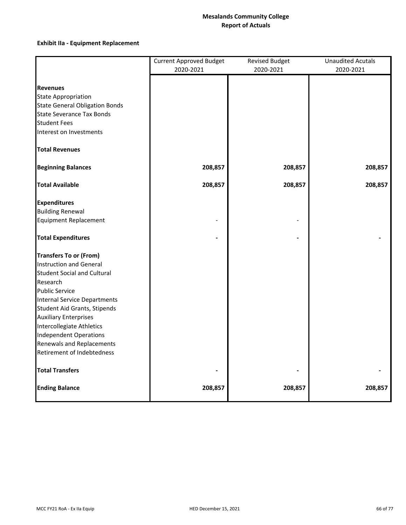# **Exhibit IIa ‐ Equipment Replacement**

|                                       | <b>Current Approved Budget</b> | <b>Revised Budget</b> |           |  |  |
|---------------------------------------|--------------------------------|-----------------------|-----------|--|--|
|                                       | 2020-2021                      | 2020-2021             | 2020-2021 |  |  |
|                                       |                                |                       |           |  |  |
| <b>Revenues</b>                       |                                |                       |           |  |  |
| <b>State Appropriation</b>            |                                |                       |           |  |  |
| <b>State General Obligation Bonds</b> |                                |                       |           |  |  |
| <b>State Severance Tax Bonds</b>      |                                |                       |           |  |  |
| <b>Student Fees</b>                   |                                |                       |           |  |  |
| Interest on Investments               |                                |                       |           |  |  |
| <b>Total Revenues</b>                 |                                |                       |           |  |  |
| <b>Beginning Balances</b>             | 208,857                        | 208,857               | 208,857   |  |  |
| <b>Total Available</b>                | 208,857                        | 208,857               | 208,857   |  |  |
| <b>Expenditures</b>                   |                                |                       |           |  |  |
| <b>Building Renewal</b>               |                                |                       |           |  |  |
| <b>Equipment Replacement</b>          |                                |                       |           |  |  |
| <b>Total Expenditures</b>             |                                |                       |           |  |  |
| <b>Transfers To or (From)</b>         |                                |                       |           |  |  |
| <b>Instruction and General</b>        |                                |                       |           |  |  |
| <b>Student Social and Cultural</b>    |                                |                       |           |  |  |
| Research                              |                                |                       |           |  |  |
| <b>Public Service</b>                 |                                |                       |           |  |  |
| <b>Internal Service Departments</b>   |                                |                       |           |  |  |
| Student Aid Grants, Stipends          |                                |                       |           |  |  |
| <b>Auxiliary Enterprises</b>          |                                |                       |           |  |  |
| Intercollegiate Athletics             |                                |                       |           |  |  |
| <b>Independent Operations</b>         |                                |                       |           |  |  |
| Renewals and Replacements             |                                |                       |           |  |  |
| Retirement of Indebtedness            |                                |                       |           |  |  |
| <b>Total Transfers</b>                |                                |                       |           |  |  |
| <b>Ending Balance</b>                 | 208,857                        | 208,857               | 208,857   |  |  |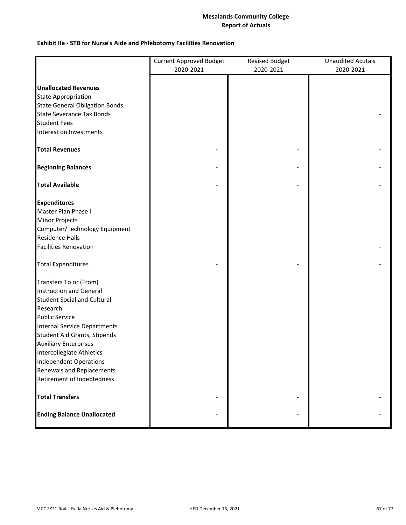# **Exhibit IIa ‐ STB for Nurse's Aide and Phlebotomy Facilities Renovation**

|                                       | <b>Current Approved Budget</b> | <b>Revised Budget</b> | <b>Unaudited Acutals</b> |
|---------------------------------------|--------------------------------|-----------------------|--------------------------|
|                                       | 2020-2021                      | 2020-2021             | 2020-2021                |
|                                       |                                |                       |                          |
| <b>Unallocated Revenues</b>           |                                |                       |                          |
| <b>State Appropriation</b>            |                                |                       |                          |
| <b>State General Obligation Bonds</b> |                                |                       |                          |
| <b>State Severance Tax Bonds</b>      |                                |                       |                          |
| <b>Student Fees</b>                   |                                |                       |                          |
| Interest on Investments               |                                |                       |                          |
|                                       |                                |                       |                          |
| <b>Total Revenues</b>                 |                                |                       |                          |
| <b>Beginning Balances</b>             |                                |                       |                          |
| <b>Total Available</b>                |                                |                       |                          |
| <b>Expenditures</b>                   |                                |                       |                          |
| Master Plan Phase I                   |                                |                       |                          |
| <b>Minor Projects</b>                 |                                |                       |                          |
| Computer/Technology Equipment         |                                |                       |                          |
| <b>Residence Halls</b>                |                                |                       |                          |
| <b>Facilities Renovation</b>          |                                |                       |                          |
|                                       |                                |                       |                          |
| <b>Total Expenditures</b>             |                                |                       |                          |
| Transfers To or (From)                |                                |                       |                          |
| Instruction and General               |                                |                       |                          |
| <b>Student Social and Cultural</b>    |                                |                       |                          |
| Research                              |                                |                       |                          |
| <b>Public Service</b>                 |                                |                       |                          |
| <b>Internal Service Departments</b>   |                                |                       |                          |
| Student Aid Grants, Stipends          |                                |                       |                          |
| <b>Auxiliary Enterprises</b>          |                                |                       |                          |
| Intercollegiate Athletics             |                                |                       |                          |
| <b>Independent Operations</b>         |                                |                       |                          |
| Renewals and Replacements             |                                |                       |                          |
| Retirement of Indebtedness            |                                |                       |                          |
| <b>Total Transfers</b>                |                                |                       |                          |
| <b>Ending Balance Unallocated</b>     |                                |                       |                          |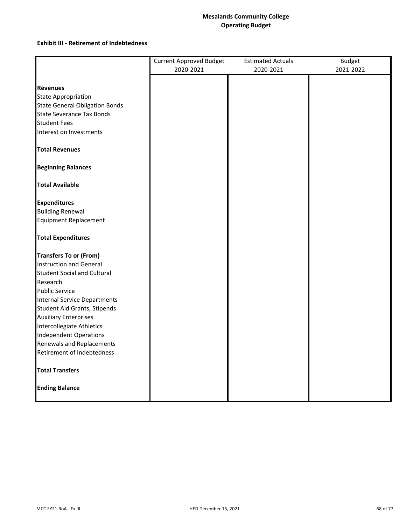## **Mesalands Community College Operating Budget**

### **Exhibit III ‐ Retirement of Indebtedness**

|                                                         | <b>Current Approved Budget</b> | <b>Estimated Actuals</b> | <b>Budget</b> |
|---------------------------------------------------------|--------------------------------|--------------------------|---------------|
|                                                         | 2020-2021                      | 2020-2021                | 2021-2022     |
|                                                         |                                |                          |               |
| <b>Revenues</b>                                         |                                |                          |               |
| <b>State Appropriation</b>                              |                                |                          |               |
| <b>State General Obligation Bonds</b>                   |                                |                          |               |
| <b>State Severance Tax Bonds</b>                        |                                |                          |               |
| <b>Student Fees</b>                                     |                                |                          |               |
| Interest on Investments                                 |                                |                          |               |
| <b>Total Revenues</b>                                   |                                |                          |               |
| <b>Beginning Balances</b>                               |                                |                          |               |
| <b>Total Available</b>                                  |                                |                          |               |
| <b>Expenditures</b>                                     |                                |                          |               |
| <b>Building Renewal</b>                                 |                                |                          |               |
| <b>Equipment Replacement</b>                            |                                |                          |               |
| <b>Total Expenditures</b>                               |                                |                          |               |
| <b>Transfers To or (From)</b>                           |                                |                          |               |
| <b>Instruction and General</b>                          |                                |                          |               |
| <b>Student Social and Cultural</b>                      |                                |                          |               |
| Research                                                |                                |                          |               |
| <b>Public Service</b>                                   |                                |                          |               |
| <b>Internal Service Departments</b>                     |                                |                          |               |
| Student Aid Grants, Stipends                            |                                |                          |               |
| <b>Auxiliary Enterprises</b>                            |                                |                          |               |
| Intercollegiate Athletics                               |                                |                          |               |
| <b>Independent Operations</b>                           |                                |                          |               |
| Renewals and Replacements<br>Retirement of Indebtedness |                                |                          |               |
|                                                         |                                |                          |               |
| <b>Total Transfers</b>                                  |                                |                          |               |
| <b>Ending Balance</b>                                   |                                |                          |               |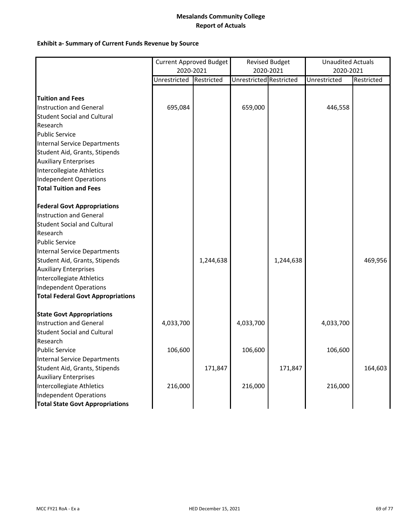|                                          | <b>Current Approved Budget</b><br>2020-2021 |            | <b>Revised Budget</b><br>2020-2021 |           | <b>Unaudited Actuals</b><br>2020-2021 |            |
|------------------------------------------|---------------------------------------------|------------|------------------------------------|-----------|---------------------------------------|------------|
|                                          | Unrestricted                                | Restricted | Unrestricted Restricted            |           | Unrestricted                          | Restricted |
|                                          |                                             |            |                                    |           |                                       |            |
| <b>Tuition and Fees</b>                  |                                             |            |                                    |           |                                       |            |
| Instruction and General                  | 695,084                                     |            | 659,000                            |           | 446,558                               |            |
| <b>Student Social and Cultural</b>       |                                             |            |                                    |           |                                       |            |
| Research                                 |                                             |            |                                    |           |                                       |            |
| <b>Public Service</b>                    |                                             |            |                                    |           |                                       |            |
| <b>Internal Service Departments</b>      |                                             |            |                                    |           |                                       |            |
| Student Aid, Grants, Stipends            |                                             |            |                                    |           |                                       |            |
| <b>Auxiliary Enterprises</b>             |                                             |            |                                    |           |                                       |            |
| Intercollegiate Athletics                |                                             |            |                                    |           |                                       |            |
| <b>Independent Operations</b>            |                                             |            |                                    |           |                                       |            |
| <b>Total Tuition and Fees</b>            |                                             |            |                                    |           |                                       |            |
| <b>Federal Govt Appropriations</b>       |                                             |            |                                    |           |                                       |            |
| Instruction and General                  |                                             |            |                                    |           |                                       |            |
| <b>Student Social and Cultural</b>       |                                             |            |                                    |           |                                       |            |
| Research                                 |                                             |            |                                    |           |                                       |            |
| <b>Public Service</b>                    |                                             |            |                                    |           |                                       |            |
| <b>Internal Service Departments</b>      |                                             |            |                                    |           |                                       |            |
| Student Aid, Grants, Stipends            |                                             | 1,244,638  |                                    | 1,244,638 |                                       | 469,956    |
| <b>Auxiliary Enterprises</b>             |                                             |            |                                    |           |                                       |            |
| Intercollegiate Athletics                |                                             |            |                                    |           |                                       |            |
| Independent Operations                   |                                             |            |                                    |           |                                       |            |
| <b>Total Federal Govt Appropriations</b> |                                             |            |                                    |           |                                       |            |
| <b>State Govt Appropriations</b>         |                                             |            |                                    |           |                                       |            |
| Instruction and General                  | 4,033,700                                   |            | 4,033,700                          |           | 4,033,700                             |            |
| <b>Student Social and Cultural</b>       |                                             |            |                                    |           |                                       |            |
| Research                                 |                                             |            |                                    |           |                                       |            |
| <b>Public Service</b>                    | 106,600                                     |            | 106,600                            |           | 106,600                               |            |
| <b>Internal Service Departments</b>      |                                             |            |                                    |           |                                       |            |
| Student Aid, Grants, Stipends            |                                             | 171,847    |                                    | 171,847   |                                       | 164,603    |
| <b>Auxiliary Enterprises</b>             |                                             |            |                                    |           |                                       |            |
| Intercollegiate Athletics                | 216,000                                     |            | 216,000                            |           | 216,000                               |            |
| Independent Operations                   |                                             |            |                                    |           |                                       |            |
| <b>Total State Govt Appropriations</b>   |                                             |            |                                    |           |                                       |            |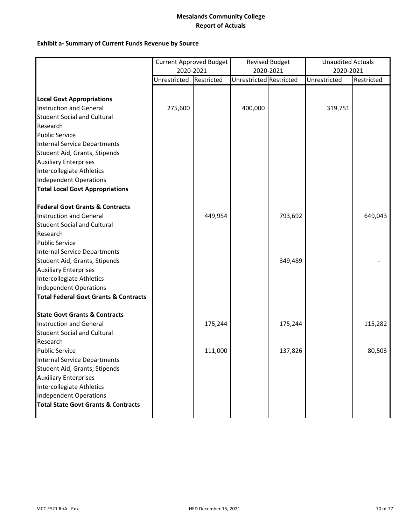|                                                  | <b>Current Approved Budget</b> |            | <b>Revised Budget</b>   |         | <b>Unaudited Actuals</b> |            |
|--------------------------------------------------|--------------------------------|------------|-------------------------|---------|--------------------------|------------|
|                                                  | 2020-2021                      |            | 2020-2021               |         | 2020-2021                |            |
|                                                  | Unrestricted                   | Restricted | Unrestricted Restricted |         | Unrestricted             | Restricted |
|                                                  |                                |            |                         |         |                          |            |
| <b>Local Govt Appropriations</b>                 |                                |            |                         |         |                          |            |
| <b>Instruction and General</b>                   | 275,600                        |            | 400,000                 |         | 319,751                  |            |
| <b>Student Social and Cultural</b>               |                                |            |                         |         |                          |            |
| Research                                         |                                |            |                         |         |                          |            |
| <b>Public Service</b>                            |                                |            |                         |         |                          |            |
| Internal Service Departments                     |                                |            |                         |         |                          |            |
| Student Aid, Grants, Stipends                    |                                |            |                         |         |                          |            |
| <b>Auxiliary Enterprises</b>                     |                                |            |                         |         |                          |            |
| Intercollegiate Athletics                        |                                |            |                         |         |                          |            |
| <b>Independent Operations</b>                    |                                |            |                         |         |                          |            |
| <b>Total Local Govt Appropriations</b>           |                                |            |                         |         |                          |            |
| <b>Federal Govt Grants &amp; Contracts</b>       |                                |            |                         |         |                          |            |
| Instruction and General                          |                                | 449,954    |                         | 793,692 |                          | 649,043    |
| <b>Student Social and Cultural</b>               |                                |            |                         |         |                          |            |
| Research                                         |                                |            |                         |         |                          |            |
| <b>Public Service</b>                            |                                |            |                         |         |                          |            |
| Internal Service Departments                     |                                |            |                         |         |                          |            |
| Student Aid, Grants, Stipends                    |                                |            |                         | 349,489 |                          |            |
| <b>Auxiliary Enterprises</b>                     |                                |            |                         |         |                          |            |
| Intercollegiate Athletics                        |                                |            |                         |         |                          |            |
| Independent Operations                           |                                |            |                         |         |                          |            |
| <b>Total Federal Govt Grants &amp; Contracts</b> |                                |            |                         |         |                          |            |
| <b>State Govt Grants &amp; Contracts</b>         |                                |            |                         |         |                          |            |
| Instruction and General                          |                                | 175,244    |                         | 175,244 |                          | 115,282    |
| <b>Student Social and Cultural</b>               |                                |            |                         |         |                          |            |
| Research                                         |                                |            |                         |         |                          |            |
| <b>Public Service</b>                            |                                | 111,000    |                         | 137,826 |                          | 80,503     |
| <b>Internal Service Departments</b>              |                                |            |                         |         |                          |            |
| Student Aid, Grants, Stipends                    |                                |            |                         |         |                          |            |
| <b>Auxiliary Enterprises</b>                     |                                |            |                         |         |                          |            |
| Intercollegiate Athletics                        |                                |            |                         |         |                          |            |
| Independent Operations                           |                                |            |                         |         |                          |            |
| <b>Total State Govt Grants &amp; Contracts</b>   |                                |            |                         |         |                          |            |
|                                                  |                                |            |                         |         |                          |            |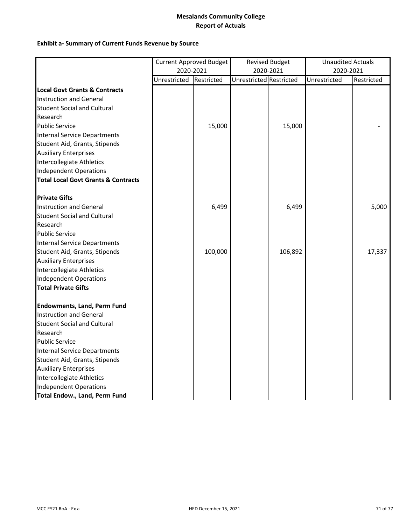|                                                | Current Approved Budget |         | <b>Revised Budget</b>   |         | <b>Unaudited Actuals</b> |            |
|------------------------------------------------|-------------------------|---------|-------------------------|---------|--------------------------|------------|
|                                                | 2020-2021               |         | 2020-2021               |         | 2020-2021                |            |
|                                                | Unrestricted Restricted |         | Unrestricted Restricted |         | Unrestricted             | Restricted |
| <b>Local Govt Grants &amp; Contracts</b>       |                         |         |                         |         |                          |            |
| Instruction and General                        |                         |         |                         |         |                          |            |
| <b>Student Social and Cultural</b>             |                         |         |                         |         |                          |            |
| Research                                       |                         |         |                         |         |                          |            |
| <b>Public Service</b>                          |                         | 15,000  |                         | 15,000  |                          |            |
| <b>Internal Service Departments</b>            |                         |         |                         |         |                          |            |
| Student Aid, Grants, Stipends                  |                         |         |                         |         |                          |            |
| <b>Auxiliary Enterprises</b>                   |                         |         |                         |         |                          |            |
| Intercollegiate Athletics                      |                         |         |                         |         |                          |            |
| <b>Independent Operations</b>                  |                         |         |                         |         |                          |            |
| <b>Total Local Govt Grants &amp; Contracts</b> |                         |         |                         |         |                          |            |
| <b>Private Gifts</b>                           |                         |         |                         |         |                          |            |
| Instruction and General                        |                         | 6,499   |                         | 6,499   |                          | 5,000      |
| <b>Student Social and Cultural</b>             |                         |         |                         |         |                          |            |
| Research                                       |                         |         |                         |         |                          |            |
| <b>Public Service</b>                          |                         |         |                         |         |                          |            |
| <b>Internal Service Departments</b>            |                         |         |                         |         |                          |            |
| Student Aid, Grants, Stipends                  |                         | 100,000 |                         | 106,892 |                          | 17,337     |
| <b>Auxiliary Enterprises</b>                   |                         |         |                         |         |                          |            |
| Intercollegiate Athletics                      |                         |         |                         |         |                          |            |
| Independent Operations                         |                         |         |                         |         |                          |            |
| <b>Total Private Gifts</b>                     |                         |         |                         |         |                          |            |
| <b>Endowments, Land, Perm Fund</b>             |                         |         |                         |         |                          |            |
| Instruction and General                        |                         |         |                         |         |                          |            |
| <b>Student Social and Cultural</b>             |                         |         |                         |         |                          |            |
| Research                                       |                         |         |                         |         |                          |            |
| <b>Public Service</b>                          |                         |         |                         |         |                          |            |
| <b>Internal Service Departments</b>            |                         |         |                         |         |                          |            |
| Student Aid, Grants, Stipends                  |                         |         |                         |         |                          |            |
| <b>Auxiliary Enterprises</b>                   |                         |         |                         |         |                          |            |
| Intercollegiate Athletics                      |                         |         |                         |         |                          |            |
| <b>Independent Operations</b>                  |                         |         |                         |         |                          |            |
| <b>Total Endow., Land, Perm Fund</b>           |                         |         |                         |         |                          |            |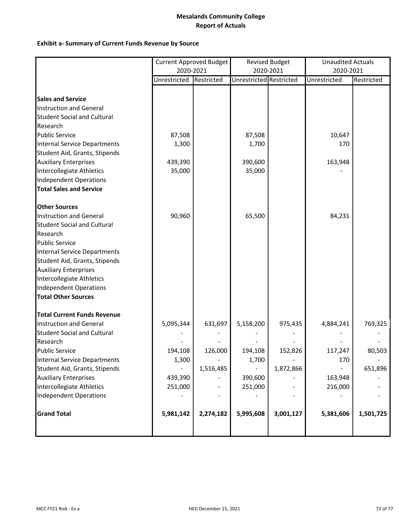|                                     |              | <b>Current Approved Budget</b> |                         | <b>Revised Budget</b> | <b>Unaudited Actuals</b> |            |
|-------------------------------------|--------------|--------------------------------|-------------------------|-----------------------|--------------------------|------------|
|                                     | 2020-2021    |                                |                         | 2020-2021             | 2020-2021                |            |
|                                     | Unrestricted | Restricted                     | Unrestricted Restricted |                       | Unrestricted             | Restricted |
| <b>Sales and Service</b>            |              |                                |                         |                       |                          |            |
| Instruction and General             |              |                                |                         |                       |                          |            |
| <b>Student Social and Cultural</b>  |              |                                |                         |                       |                          |            |
| Research                            |              |                                |                         |                       |                          |            |
| <b>Public Service</b>               | 87,508       |                                | 87,508                  |                       | 10,647                   |            |
| <b>Internal Service Departments</b> | 1,300        |                                | 1,700                   |                       | 170                      |            |
| Student Aid, Grants, Stipends       |              |                                |                         |                       |                          |            |
| <b>Auxiliary Enterprises</b>        | 439,390      |                                | 390,600                 |                       | 163,948                  |            |
| Intercollegiate Athletics           | 35,000       |                                | 35,000                  |                       |                          |            |
| Independent Operations              |              |                                |                         |                       |                          |            |
| <b>Total Sales and Service</b>      |              |                                |                         |                       |                          |            |
|                                     |              |                                |                         |                       |                          |            |
| <b>Other Sources</b>                |              |                                |                         |                       |                          |            |
| Instruction and General             | 90,960       |                                | 65,500                  |                       | 84,231                   |            |
| <b>Student Social and Cultural</b>  |              |                                |                         |                       |                          |            |
| Research                            |              |                                |                         |                       |                          |            |
| <b>Public Service</b>               |              |                                |                         |                       |                          |            |
| <b>Internal Service Departments</b> |              |                                |                         |                       |                          |            |
| Student Aid, Grants, Stipends       |              |                                |                         |                       |                          |            |
| <b>Auxiliary Enterprises</b>        |              |                                |                         |                       |                          |            |
| Intercollegiate Athletics           |              |                                |                         |                       |                          |            |
| Independent Operations              |              |                                |                         |                       |                          |            |
| <b>Total Other Sources</b>          |              |                                |                         |                       |                          |            |
| <b>Total Current Funds Revenue</b>  |              |                                |                         |                       |                          |            |
| Instruction and General             | 5,095,344    | 631,697                        | 5,158,200               | 975,435               | 4,884,241                | 769,325    |
| <b>Student Social and Cultural</b>  |              |                                |                         |                       |                          |            |
| Research                            |              |                                |                         |                       |                          |            |
| <b>Public Service</b>               | 194,108      | 126,000                        | 194,108                 | 152,826               | 117,247                  | 80,503     |
| Internal Service Departments        | 1,300        |                                | 1,700                   |                       | 170                      |            |
| Student Aid, Grants, Stipends       |              | 1,516,485                      |                         | 1,872,866             |                          | 651,896    |
| <b>Auxiliary Enterprises</b>        | 439,390      |                                | 390,600                 |                       | 163,948                  |            |
| Intercollegiate Athletics           | 251,000      |                                | 251,000                 |                       | 216,000                  |            |
| <b>Independent Operations</b>       |              |                                |                         |                       |                          |            |
| <b>Grand Total</b>                  | 5,981,142    | 2,274,182                      | 5,995,608               | 3,001,127             | 5,381,606                | 1,501,725  |
|                                     |              |                                |                         |                       |                          |            |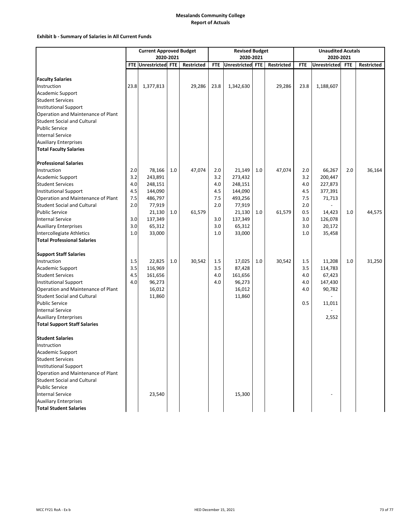### **Exhibit b ‐ Summary of Salaries in All Current Funds**

|                                                                     | <b>Current Approved Budget</b> |                      |     |                   | <b>Revised Budget</b> |                  |     | <b>Unaudited Acutals</b> |            |                     |            |            |
|---------------------------------------------------------------------|--------------------------------|----------------------|-----|-------------------|-----------------------|------------------|-----|--------------------------|------------|---------------------|------------|------------|
|                                                                     | 2020-2021                      |                      |     |                   |                       | 2020-2021        |     |                          | 2020-2021  |                     |            |            |
|                                                                     |                                | FTE Unrestricted FTE |     | <b>Restricted</b> | <b>FTE</b>            | Unrestricted FTE |     | <b>Restricted</b>        | <b>FTE</b> | <b>Unrestricted</b> | <b>FTE</b> | Restricted |
|                                                                     |                                |                      |     |                   |                       |                  |     |                          |            |                     |            |            |
| <b>Faculty Salaries</b>                                             |                                |                      |     |                   |                       |                  |     |                          |            |                     |            |            |
| Instruction                                                         | 23.8                           | 1,377,813            |     | 29,286            | 23.8                  | 1,342,630        |     | 29,286                   | 23.8       | 1,188,607           |            |            |
| Academic Support                                                    |                                |                      |     |                   |                       |                  |     |                          |            |                     |            |            |
| <b>Student Services</b>                                             |                                |                      |     |                   |                       |                  |     |                          |            |                     |            |            |
| <b>Institutional Support</b>                                        |                                |                      |     |                   |                       |                  |     |                          |            |                     |            |            |
| Operation and Maintenance of Plant                                  |                                |                      |     |                   |                       |                  |     |                          |            |                     |            |            |
| <b>Student Social and Cultural</b>                                  |                                |                      |     |                   |                       |                  |     |                          |            |                     |            |            |
| <b>Public Service</b>                                               |                                |                      |     |                   |                       |                  |     |                          |            |                     |            |            |
| <b>Internal Service</b>                                             |                                |                      |     |                   |                       |                  |     |                          |            |                     |            |            |
| <b>Auxiliary Enterprises</b>                                        |                                |                      |     |                   |                       |                  |     |                          |            |                     |            |            |
| <b>Total Faculty Salaries</b>                                       |                                |                      |     |                   |                       |                  |     |                          |            |                     |            |            |
| <b>Professional Salaries</b>                                        |                                |                      |     |                   |                       |                  |     |                          |            |                     |            |            |
| Instruction                                                         | 2.0                            | 78,166               | 1.0 | 47,074            | 2.0                   | 21,149           | 1.0 | 47,074                   | 2.0        | 66,267              | 2.0        | 36,164     |
| Academic Support                                                    | 3.2                            | 243,891              |     |                   | 3.2                   | 273,432          |     |                          | 3.2        | 200,447             |            |            |
| <b>Student Services</b>                                             | 4.0                            | 248,151              |     |                   | 4.0                   | 248,151          |     |                          | 4.0        | 227,873             |            |            |
| <b>Institutional Support</b>                                        | 4.5                            | 144,090              |     |                   | 4.5                   | 144,090          |     |                          | 4.5        | 377,391             |            |            |
| Operation and Maintenance of Plant                                  | 7.5                            | 486,797              |     |                   | 7.5                   | 493,256          |     |                          | 7.5        | 71,713              |            |            |
| <b>Student Social and Cultural</b>                                  | 2.0                            | 77,919               |     |                   | 2.0                   | 77,919           |     |                          | 2.0        |                     |            |            |
| <b>Public Service</b>                                               |                                | 21,130               | 1.0 | 61,579            |                       | 21,130           | 1.0 | 61,579                   | 0.5        | 14,423              | 1.0        | 44,575     |
| <b>Internal Service</b>                                             | 3.0                            | 137,349              |     |                   | 3.0                   | 137,349          |     |                          | 3.0        | 126,078             |            |            |
| <b>Auxiliary Enterprises</b>                                        | 3.0                            | 65,312               |     |                   | 3.0                   | 65,312           |     |                          | 3.0        | 20,172              |            |            |
| Intercollegiate Athletics                                           | 1.0                            | 33,000               |     |                   | 1.0                   | 33,000           |     |                          | 1.0        | 35,458              |            |            |
| <b>Total Professional Salaries</b>                                  |                                |                      |     |                   |                       |                  |     |                          |            |                     |            |            |
| <b>Support Staff Salaries</b>                                       |                                |                      |     |                   |                       |                  |     |                          |            |                     |            |            |
| Instruction                                                         | 1.5                            | 22,825               | 1.0 | 30,542            | 1.5                   | 17,025           | 1.0 | 30,542                   | 1.5        | 11,208              | 1.0        | 31,250     |
| Academic Support                                                    | 3.5                            | 116,969              |     |                   | 3.5                   | 87,428           |     |                          | 3.5        | 114,783             |            |            |
| <b>Student Services</b>                                             | 4.5                            | 161,656              |     |                   | 4.0                   | 161,656          |     |                          | 4.0        | 67,423              |            |            |
| <b>Institutional Support</b>                                        | 4.0                            | 96,273               |     |                   | 4.0                   | 96,273           |     |                          | 4.0        | 147,430             |            |            |
| Operation and Maintenance of Plant                                  |                                | 16,012               |     |                   |                       | 16,012           |     |                          | 4.0        | 90,782              |            |            |
| <b>Student Social and Cultural</b>                                  |                                | 11,860               |     |                   |                       | 11,860           |     |                          |            |                     |            |            |
| <b>Public Service</b>                                               |                                |                      |     |                   |                       |                  |     |                          | 0.5        |                     |            |            |
| <b>Internal Service</b>                                             |                                |                      |     |                   |                       |                  |     |                          |            | 11,011              |            |            |
|                                                                     |                                |                      |     |                   |                       |                  |     |                          |            |                     |            |            |
| <b>Auxiliary Enterprises</b><br><b>Total Support Staff Salaries</b> |                                |                      |     |                   |                       |                  |     |                          |            | 2,552               |            |            |
|                                                                     |                                |                      |     |                   |                       |                  |     |                          |            |                     |            |            |
| <b>Student Salaries</b>                                             |                                |                      |     |                   |                       |                  |     |                          |            |                     |            |            |
| Instruction                                                         |                                |                      |     |                   |                       |                  |     |                          |            |                     |            |            |
| Academic Support                                                    |                                |                      |     |                   |                       |                  |     |                          |            |                     |            |            |
| <b>Student Services</b>                                             |                                |                      |     |                   |                       |                  |     |                          |            |                     |            |            |
| <b>Institutional Support</b>                                        |                                |                      |     |                   |                       |                  |     |                          |            |                     |            |            |
| Operation and Maintenance of Plant                                  |                                |                      |     |                   |                       |                  |     |                          |            |                     |            |            |
| <b>Student Social and Cultural</b>                                  |                                |                      |     |                   |                       |                  |     |                          |            |                     |            |            |
| <b>Public Service</b>                                               |                                |                      |     |                   |                       |                  |     |                          |            |                     |            |            |
| <b>Internal Service</b>                                             |                                | 23,540               |     |                   |                       | 15,300           |     |                          |            |                     |            |            |
| <b>Auxiliary Enterprises</b>                                        |                                |                      |     |                   |                       |                  |     |                          |            |                     |            |            |
| <b>Total Student Salaries</b>                                       |                                |                      |     |                   |                       |                  |     |                          |            |                     |            |            |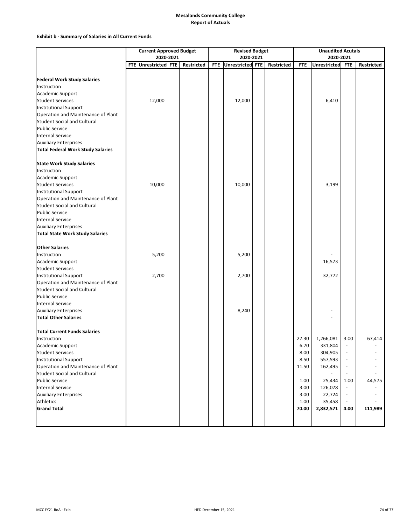### **Exhibit b ‐ Summary of Salaries in All Current Funds**

|                                          | <b>Current Approved Budget</b> |                      |  |                   | <b>Revised Budget</b> |                  | <b>Unaudited Acutals</b> |            |              |                          |            |
|------------------------------------------|--------------------------------|----------------------|--|-------------------|-----------------------|------------------|--------------------------|------------|--------------|--------------------------|------------|
|                                          |                                | 2020-2021            |  |                   |                       | 2020-2021        |                          | 2020-2021  |              |                          |            |
|                                          |                                | FTE Unrestricted FTE |  | <b>Restricted</b> | <b>FTE</b>            | Unrestricted FTE | Restricted               | <b>FTE</b> | Unrestricted | <b>FTE</b>               | Restricted |
|                                          |                                |                      |  |                   |                       |                  |                          |            |              |                          |            |
| <b>Federal Work Study Salaries</b>       |                                |                      |  |                   |                       |                  |                          |            |              |                          |            |
| Instruction                              |                                |                      |  |                   |                       |                  |                          |            |              |                          |            |
| Academic Support                         |                                |                      |  |                   |                       |                  |                          |            |              |                          |            |
| <b>Student Services</b>                  |                                | 12,000               |  |                   |                       | 12,000           |                          |            | 6,410        |                          |            |
| <b>Institutional Support</b>             |                                |                      |  |                   |                       |                  |                          |            |              |                          |            |
| Operation and Maintenance of Plant       |                                |                      |  |                   |                       |                  |                          |            |              |                          |            |
| <b>Student Social and Cultural</b>       |                                |                      |  |                   |                       |                  |                          |            |              |                          |            |
| <b>Public Service</b>                    |                                |                      |  |                   |                       |                  |                          |            |              |                          |            |
| <b>Internal Service</b>                  |                                |                      |  |                   |                       |                  |                          |            |              |                          |            |
| <b>Auxiliary Enterprises</b>             |                                |                      |  |                   |                       |                  |                          |            |              |                          |            |
| <b>Total Federal Work Study Salaries</b> |                                |                      |  |                   |                       |                  |                          |            |              |                          |            |
|                                          |                                |                      |  |                   |                       |                  |                          |            |              |                          |            |
| <b>State Work Study Salaries</b>         |                                |                      |  |                   |                       |                  |                          |            |              |                          |            |
| Instruction                              |                                |                      |  |                   |                       |                  |                          |            |              |                          |            |
| Academic Support                         |                                |                      |  |                   |                       |                  |                          |            |              |                          |            |
| <b>Student Services</b>                  |                                | 10,000               |  |                   |                       | 10,000           |                          |            | 3,199        |                          |            |
| <b>Institutional Support</b>             |                                |                      |  |                   |                       |                  |                          |            |              |                          |            |
| Operation and Maintenance of Plant       |                                |                      |  |                   |                       |                  |                          |            |              |                          |            |
| <b>Student Social and Cultural</b>       |                                |                      |  |                   |                       |                  |                          |            |              |                          |            |
| <b>Public Service</b>                    |                                |                      |  |                   |                       |                  |                          |            |              |                          |            |
| <b>Internal Service</b>                  |                                |                      |  |                   |                       |                  |                          |            |              |                          |            |
| <b>Auxiliary Enterprises</b>             |                                |                      |  |                   |                       |                  |                          |            |              |                          |            |
| <b>Total State Work Study Salaries</b>   |                                |                      |  |                   |                       |                  |                          |            |              |                          |            |
| <b>Other Salaries</b>                    |                                |                      |  |                   |                       |                  |                          |            |              |                          |            |
| Instruction                              |                                | 5,200                |  |                   |                       | 5,200            |                          |            |              |                          |            |
| Academic Support                         |                                |                      |  |                   |                       |                  |                          |            | 16,573       |                          |            |
| <b>Student Services</b>                  |                                |                      |  |                   |                       |                  |                          |            |              |                          |            |
| <b>Institutional Support</b>             |                                | 2,700                |  |                   |                       | 2,700            |                          |            | 32,772       |                          |            |
| Operation and Maintenance of Plant       |                                |                      |  |                   |                       |                  |                          |            |              |                          |            |
| <b>Student Social and Cultural</b>       |                                |                      |  |                   |                       |                  |                          |            |              |                          |            |
| <b>Public Service</b>                    |                                |                      |  |                   |                       |                  |                          |            |              |                          |            |
| <b>Internal Service</b>                  |                                |                      |  |                   |                       |                  |                          |            |              |                          |            |
| <b>Auxiliary Enterprises</b>             |                                |                      |  |                   |                       | 8,240            |                          |            |              |                          |            |
| <b>Total Other Salaries</b>              |                                |                      |  |                   |                       |                  |                          |            |              |                          |            |
|                                          |                                |                      |  |                   |                       |                  |                          |            |              |                          |            |
| <b>Total Current Funds Salaries</b>      |                                |                      |  |                   |                       |                  |                          |            |              |                          |            |
| Instruction                              |                                |                      |  |                   |                       |                  |                          | 27.30      | 1,266,081    | 3.00                     | 67,414     |
| Academic Support                         |                                |                      |  |                   |                       |                  |                          | 6.70       | 331,804      | $\overline{\phantom{a}}$ |            |
| <b>Student Services</b>                  |                                |                      |  |                   |                       |                  |                          | 8.00       | 304,905      | $\overline{\phantom{a}}$ |            |
| <b>Institutional Support</b>             |                                |                      |  |                   |                       |                  |                          | 8.50       | 557,593      | $\overline{\phantom{a}}$ |            |
| Operation and Maintenance of Plant       |                                |                      |  |                   |                       |                  |                          | 11.50      | 162,495      |                          |            |
| <b>Student Social and Cultural</b>       |                                |                      |  |                   |                       |                  |                          |            |              |                          |            |
| <b>Public Service</b>                    |                                |                      |  |                   |                       |                  |                          | 1.00       | 25,434       | 1.00                     | 44,575     |
| <b>Internal Service</b>                  |                                |                      |  |                   |                       |                  |                          | 3.00       | 126,078      | $\overline{\phantom{a}}$ |            |
| <b>Auxiliary Enterprises</b>             |                                |                      |  |                   |                       |                  |                          | 3.00       | 22,724       | $\overline{\phantom{a}}$ |            |
| <b>Athletics</b>                         |                                |                      |  |                   |                       |                  |                          | 1.00       | 35,458       |                          |            |
| <b>Grand Total</b>                       |                                |                      |  |                   |                       |                  |                          | 70.00      | 2,832,571    | 4.00                     | 111,989    |
|                                          |                                |                      |  |                   |                       |                  |                          |            |              |                          |            |
|                                          |                                |                      |  |                   |                       |                  |                          |            |              |                          |            |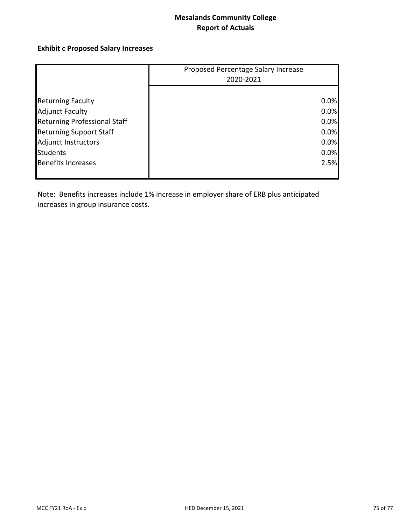# **Exhibit c Proposed Salary Increases**

|                                     | Proposed Percentage Salary Increase |
|-------------------------------------|-------------------------------------|
|                                     | 2020-2021                           |
|                                     |                                     |
| <b>Returning Faculty</b>            | 0.0%                                |
| <b>Adjunct Faculty</b>              | 0.0%                                |
| <b>Returning Professional Staff</b> | 0.0%                                |
| <b>Returning Support Staff</b>      | 0.0%                                |
| Adjunct Instructors                 | 0.0%                                |
| <b>Students</b>                     | 0.0%                                |
| <b>Benefits Increases</b>           | 2.5%                                |
|                                     |                                     |

Note: Benefits increases include 1% increase in employer share of ERB plus anticipated increases in group insurance costs.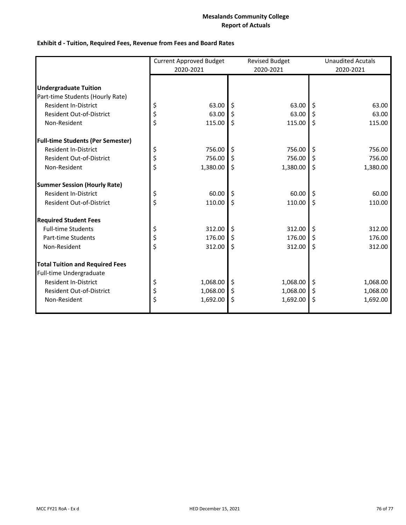## **Exhibit d ‐ Tuition, Required Fees, Revenue from Fees and Board Rates**

|                                          | <b>Current Approved Budget</b> |          |    | <b>Revised Budget</b> | <b>Unaudited Acutals</b> |          |  |
|------------------------------------------|--------------------------------|----------|----|-----------------------|--------------------------|----------|--|
|                                          | 2020-2021                      |          |    | 2020-2021             | 2020-2021                |          |  |
| <b>Undergraduate Tuition</b>             |                                |          |    |                       |                          |          |  |
| Part-time Students (Hourly Rate)         |                                |          |    |                       |                          |          |  |
| <b>Resident In-District</b>              | \$                             | 63.00    | \$ | 63.00                 | \$                       | 63.00    |  |
| <b>Resident Out-of-District</b>          | \$                             | 63.00    | \$ | 63.00                 | \$                       | 63.00    |  |
| Non-Resident                             | \$                             | 115.00   | \$ | 115.00                | \$                       | 115.00   |  |
| <b>Full-time Students (Per Semester)</b> |                                |          |    |                       |                          |          |  |
| <b>Resident In-District</b>              | \$                             | 756.00   | \$ | 756.00                | \$                       | 756.00   |  |
| Resident Out-of-District                 | \$                             | 756.00   | \$ | 756.00                | \$                       | 756.00   |  |
| Non-Resident                             | \$                             | 1,380.00 | \$ | 1,380.00              | \$                       | 1,380.00 |  |
| <b>Summer Session (Hourly Rate)</b>      |                                |          |    |                       |                          |          |  |
| <b>Resident In-District</b>              | \$                             | 60.00    | \$ | 60.00                 | \$                       | 60.00    |  |
| Resident Out-of-District                 | \$                             | 110.00   | \$ | 110.00                | \$                       | 110.00   |  |
| <b>Required Student Fees</b>             |                                |          |    |                       |                          |          |  |
| <b>Full-time Students</b>                | \$                             | 312.00   | \$ | 312.00                | \$                       | 312.00   |  |
| Part-time Students                       | \$                             | 176.00   | \$ | 176.00                | \$                       | 176.00   |  |
| Non-Resident                             | \$                             | 312.00   | \$ | 312.00                | \$                       | 312.00   |  |
| <b>Total Tuition and Required Fees</b>   |                                |          |    |                       |                          |          |  |
| Full-time Undergraduate                  |                                |          |    |                       |                          |          |  |
| <b>Resident In-District</b>              | \$                             | 1,068.00 | \$ | 1,068.00              | \$                       | 1,068.00 |  |
| <b>Resident Out-of-District</b>          | \$                             | 1,068.00 | \$ | 1,068.00              | \$                       | 1,068.00 |  |
| Non-Resident                             | Ś                              | 1,692.00 | \$ | 1,692.00              | \$                       | 1,692.00 |  |